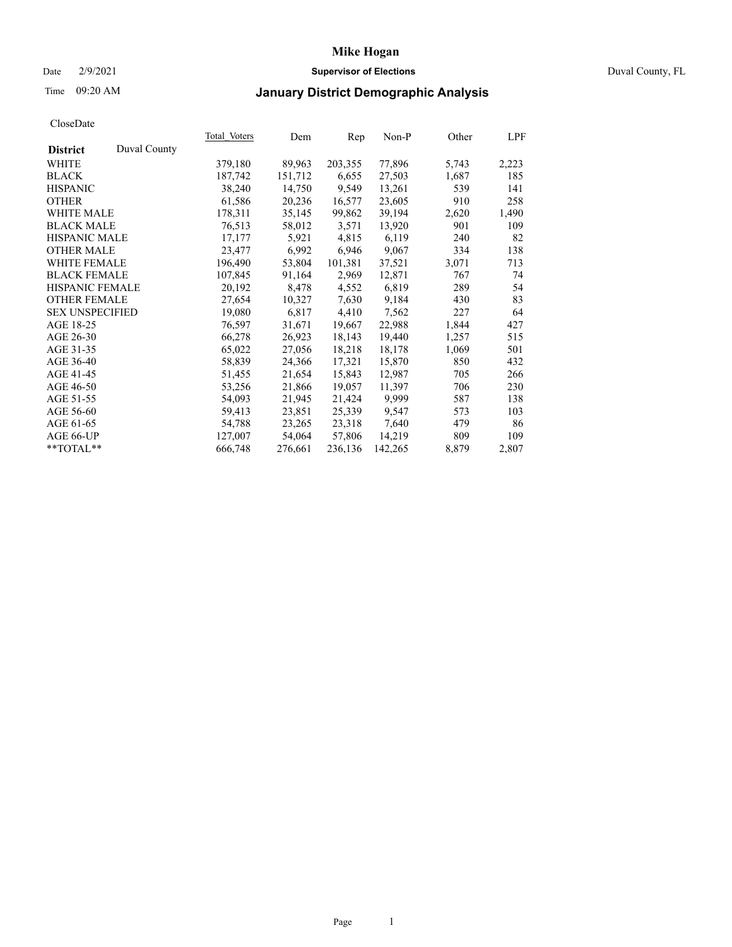### Date 2/9/2021 **Supervisor of Elections** Duval County, FL

## Time 09:20 AM **January District Demographic Analysis**

| <b>Total Voters</b> | Dem     | Rep     | $Non-P$ | Other | LPF   |
|---------------------|---------|---------|---------|-------|-------|
|                     |         |         |         |       |       |
| 379,180             | 89,963  | 203,355 | 77,896  | 5,743 | 2,223 |
| 187,742             | 151,712 | 6,655   | 27,503  | 1,687 | 185   |
| 38,240              | 14,750  | 9.549   | 13,261  | 539   | 141   |
| 61,586              | 20,236  | 16,577  | 23,605  | 910   | 258   |
| 178,311             | 35,145  | 99,862  | 39,194  | 2,620 | 1,490 |
| 76,513              | 58,012  | 3,571   | 13,920  | 901   | 109   |
| 17,177              | 5,921   | 4,815   | 6,119   | 240   | 82    |
| 23,477              | 6,992   | 6,946   | 9,067   | 334   | 138   |
| 196,490             | 53,804  | 101,381 | 37,521  | 3,071 | 713   |
| 107,845             | 91,164  | 2,969   | 12,871  | 767   | 74    |
| 20,192              | 8,478   | 4,552   | 6,819   | 289   | 54    |
| 27,654              | 10,327  | 7,630   | 9,184   | 430   | 83    |
| 19,080              | 6,817   | 4,410   | 7,562   | 227   | 64    |
| 76,597              | 31,671  | 19,667  | 22,988  | 1,844 | 427   |
| 66,278              | 26,923  | 18,143  | 19,440  | 1,257 | 515   |
| 65,022              | 27,056  | 18,218  | 18,178  | 1,069 | 501   |
| 58,839              | 24,366  | 17,321  | 15,870  | 850   | 432   |
| 51,455              | 21,654  | 15,843  | 12,987  | 705   | 266   |
| 53,256              | 21,866  | 19,057  | 11,397  | 706   | 230   |
| 54,093              | 21,945  | 21,424  | 9,999   | 587   | 138   |
| 59,413              | 23,851  | 25,339  | 9,547   | 573   | 103   |
| 54,788              | 23,265  | 23,318  | 7,640   | 479   | 86    |
| 127,007             | 54,064  | 57,806  | 14,219  | 809   | 109   |
| 666,748             | 276,661 | 236,136 | 142,265 | 8,879 | 2,807 |
|                     |         |         |         |       |       |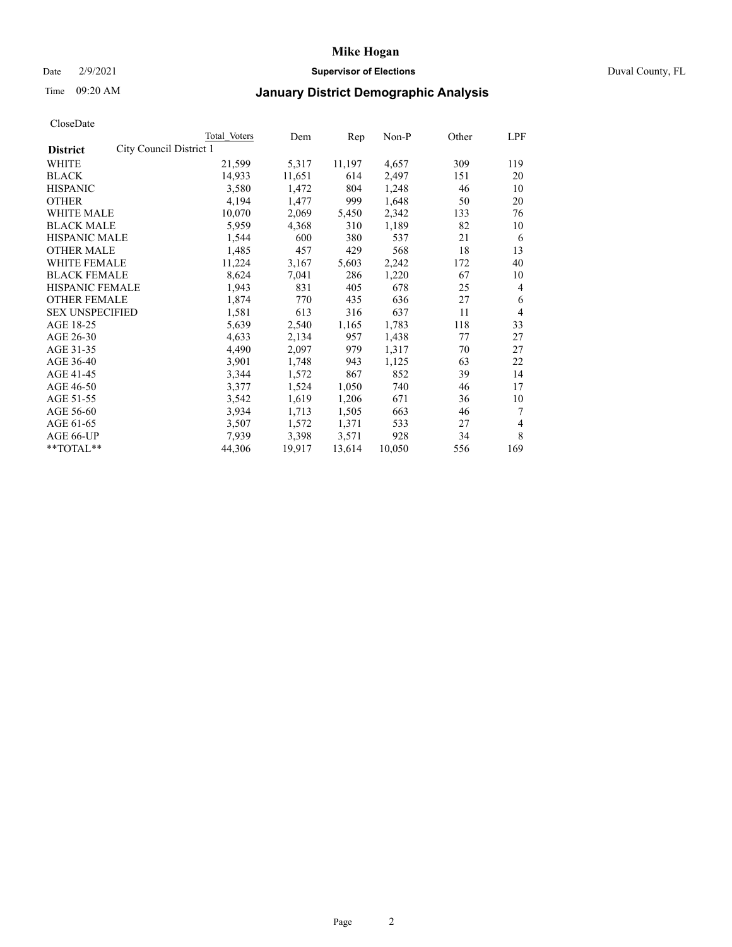### Date 2/9/2021 **Supervisor of Elections** Duval County, FL

# Time 09:20 AM **January District Demographic Analysis**

| Total Voters | Dem                     | Rep    | Non-P  | Other | LPF |
|--------------|-------------------------|--------|--------|-------|-----|
|              |                         |        |        |       |     |
| 21,599       | 5,317                   | 11,197 | 4,657  | 309   | 119 |
| 14,933       | 11,651                  | 614    | 2,497  | 151   | 20  |
| 3,580        | 1,472                   | 804    | 1,248  | 46    | 10  |
| 4,194        | 1,477                   | 999    | 1,648  | 50    | 20  |
| 10,070       | 2,069                   | 5,450  | 2,342  | 133   | 76  |
| 5,959        | 4,368                   | 310    | 1,189  | 82    | 10  |
| 1,544        | 600                     | 380    | 537    | 21    | 6   |
| 1,485        | 457                     | 429    | 568    | 18    | 13  |
| 11,224       | 3,167                   | 5,603  | 2,242  | 172   | 40  |
| 8,624        | 7,041                   | 286    | 1,220  | 67    | 10  |
| 1,943        | 831                     | 405    | 678    | 25    | 4   |
| 1,874        | 770                     | 435    | 636    | 27    | 6   |
| 1,581        | 613                     | 316    | 637    | 11    | 4   |
| 5,639        | 2,540                   | 1,165  | 1,783  | 118   | 33  |
| 4,633        | 2,134                   | 957    | 1,438  | 77    | 27  |
| 4,490        | 2,097                   | 979    | 1,317  | 70    | 27  |
| 3,901        | 1,748                   | 943    | 1,125  | 63    | 22  |
| 3,344        | 1,572                   | 867    | 852    | 39    | 14  |
| 3,377        | 1,524                   | 1,050  | 740    | 46    | 17  |
| 3,542        | 1,619                   | 1,206  | 671    | 36    | 10  |
| 3,934        | 1,713                   | 1,505  | 663    | 46    | 7   |
| 3,507        | 1,572                   | 1,371  | 533    | 27    | 4   |
| 7,939        | 3,398                   | 3,571  | 928    | 34    | 8   |
| 44,306       | 19,917                  | 13,614 | 10,050 | 556   | 169 |
|              | City Council District 1 |        |        |       |     |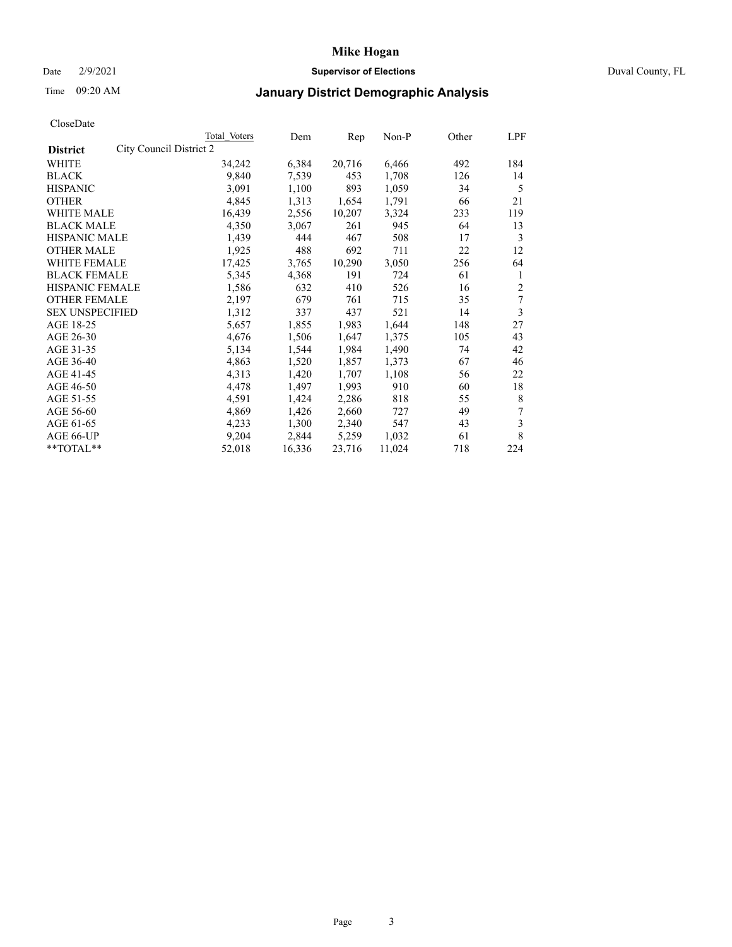### Date 2/9/2021 **Supervisor of Elections** Duval County, FL

# Time 09:20 AM **January District Demographic Analysis**

| <b>Total Voters</b>     | Dem    | Rep    | $Non-P$ | Other | LPF |
|-------------------------|--------|--------|---------|-------|-----|
| City Council District 2 |        |        |         |       |     |
| 34,242                  | 6,384  | 20,716 | 6,466   | 492   | 184 |
| 9,840                   | 7,539  | 453    | 1,708   | 126   | 14  |
| 3,091                   | 1,100  | 893    | 1,059   | 34    | 5   |
| 4,845                   | 1,313  | 1,654  | 1,791   | 66    | 21  |
| 16,439                  | 2,556  | 10,207 | 3,324   | 233   | 119 |
| 4,350                   | 3,067  | 261    | 945     | 64    | 13  |
| 1,439                   | 444    | 467    | 508     | 17    | 3   |
| 1,925                   | 488    | 692    | 711     | 22    | 12  |
| 17,425                  | 3,765  | 10,290 | 3,050   | 256   | 64  |
| 5,345                   | 4,368  | 191    | 724     | 61    | 1   |
| 1,586                   | 632    | 410    | 526     | 16    | 2   |
| 2,197                   | 679    | 761    | 715     | 35    | 7   |
| 1,312                   | 337    | 437    | 521     | 14    | 3   |
| 5,657                   | 1,855  | 1,983  | 1,644   | 148   | 27  |
| 4,676                   | 1,506  | 1,647  | 1,375   | 105   | 43  |
| 5,134                   | 1,544  | 1,984  | 1,490   | 74    | 42  |
| 4,863                   | 1,520  | 1,857  | 1,373   | 67    | 46  |
| 4,313                   | 1,420  | 1,707  | 1,108   | 56    | 22  |
| 4,478                   | 1,497  | 1,993  | 910     | 60    | 18  |
| 4,591                   | 1,424  | 2,286  | 818     | 55    | 8   |
| 4,869                   | 1,426  | 2,660  | 727     | 49    | 7   |
| 4,233                   | 1,300  | 2,340  | 547     | 43    | 3   |
| 9,204                   | 2,844  | 5,259  | 1,032   | 61    | 8   |
| 52,018                  | 16,336 | 23,716 | 11,024  | 718   | 224 |
|                         |        |        |         |       |     |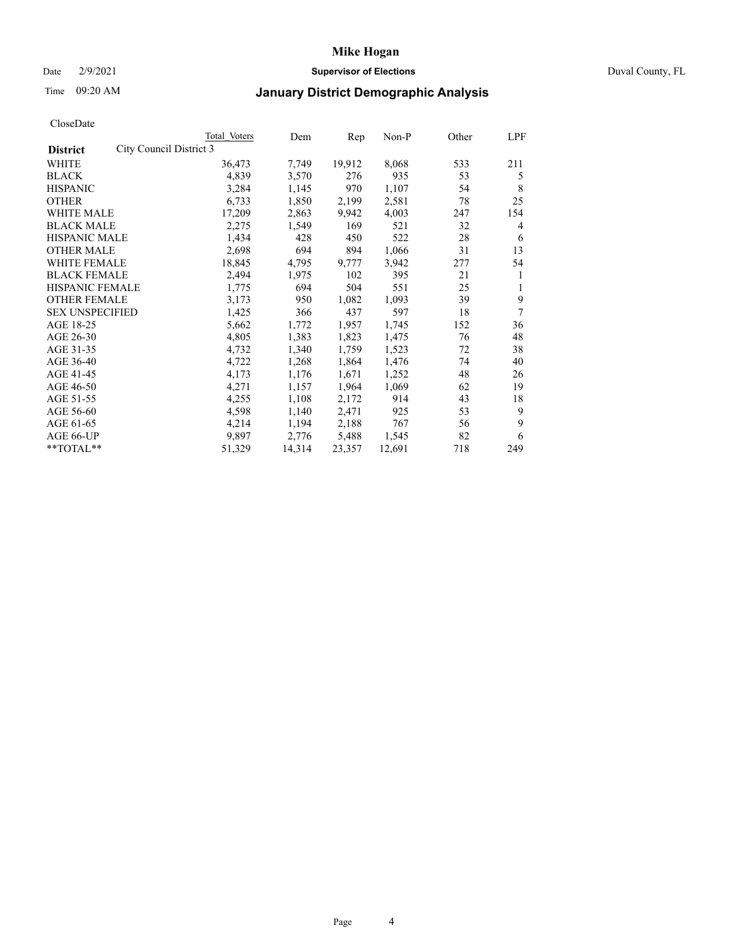### Date 2/9/2021 **Supervisor of Elections** Duval County, FL

## Time 09:20 AM **January District Demographic Analysis**

|                                            | Total Voters | Dem    | Rep    | $Non-P$ | Other | LPF |
|--------------------------------------------|--------------|--------|--------|---------|-------|-----|
| City Council District 3<br><b>District</b> |              |        |        |         |       |     |
| WHITE                                      | 36,473       | 7,749  | 19,912 | 8,068   | 533   | 211 |
| <b>BLACK</b>                               | 4,839        | 3,570  | 276    | 935     | 53    | 5   |
| <b>HISPANIC</b>                            | 3,284        | 1,145  | 970    | 1,107   | 54    | 8   |
| <b>OTHER</b>                               | 6,733        | 1,850  | 2,199  | 2,581   | 78    | 25  |
| WHITE MALE                                 | 17,209       | 2,863  | 9,942  | 4,003   | 247   | 154 |
| <b>BLACK MALE</b>                          | 2,275        | 1,549  | 169    | 521     | 32    | 4   |
| <b>HISPANIC MALE</b>                       | 1,434        | 428    | 450    | 522     | 28    | 6   |
| <b>OTHER MALE</b>                          | 2,698        | 694    | 894    | 1,066   | 31    | 13  |
| <b>WHITE FEMALE</b>                        | 18,845       | 4,795  | 9,777  | 3,942   | 277   | 54  |
| <b>BLACK FEMALE</b>                        | 2,494        | 1,975  | 102    | 395     | 21    | 1   |
| <b>HISPANIC FEMALE</b>                     | 1,775        | 694    | 504    | 551     | 25    | 1   |
| <b>OTHER FEMALE</b>                        | 3,173        | 950    | 1,082  | 1,093   | 39    | 9   |
| <b>SEX UNSPECIFIED</b>                     | 1,425        | 366    | 437    | 597     | 18    | 7   |
| AGE 18-25                                  | 5,662        | 1,772  | 1,957  | 1,745   | 152   | 36  |
| AGE 26-30                                  | 4,805        | 1,383  | 1,823  | 1,475   | 76    | 48  |
| AGE 31-35                                  | 4,732        | 1,340  | 1,759  | 1,523   | 72    | 38  |
| AGE 36-40                                  | 4,722        | 1,268  | 1,864  | 1,476   | 74    | 40  |
| AGE 41-45                                  | 4,173        | 1,176  | 1,671  | 1,252   | 48    | 26  |
| AGE 46-50                                  | 4,271        | 1,157  | 1,964  | 1,069   | 62    | 19  |
| AGE 51-55                                  | 4,255        | 1,108  | 2,172  | 914     | 43    | 18  |
| AGE 56-60                                  | 4,598        | 1,140  | 2,471  | 925     | 53    | 9   |
| AGE 61-65                                  | 4,214        | 1,194  | 2,188  | 767     | 56    | 9   |
| AGE 66-UP                                  | 9,897        | 2,776  | 5,488  | 1,545   | 82    | 6   |
| $*$ $TOTAL**$                              | 51,329       | 14,314 | 23,357 | 12,691  | 718   | 249 |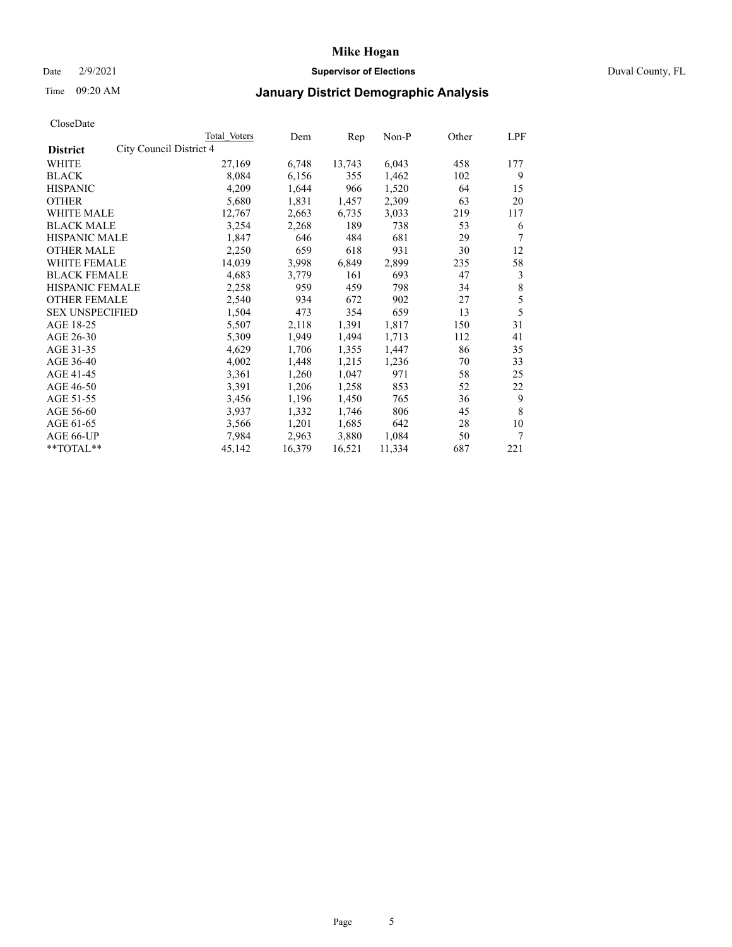### Date 2/9/2021 **Supervisor of Elections** Duval County, FL

## Time 09:20 AM **January District Demographic Analysis**

|                                            | Total Voters | Dem    | Rep    | Non-P  | Other | LPF |
|--------------------------------------------|--------------|--------|--------|--------|-------|-----|
| City Council District 4<br><b>District</b> |              |        |        |        |       |     |
| WHITE                                      | 27,169       | 6,748  | 13,743 | 6,043  | 458   | 177 |
| <b>BLACK</b>                               | 8,084        | 6,156  | 355    | 1,462  | 102   | 9   |
| <b>HISPANIC</b>                            | 4,209        | 1,644  | 966    | 1,520  | 64    | 15  |
| <b>OTHER</b>                               | 5,680        | 1,831  | 1,457  | 2,309  | 63    | 20  |
| WHITE MALE                                 | 12,767       | 2,663  | 6,735  | 3,033  | 219   | 117 |
| <b>BLACK MALE</b>                          | 3,254        | 2,268  | 189    | 738    | 53    | 6   |
| <b>HISPANIC MALE</b>                       | 1,847        | 646    | 484    | 681    | 29    | 7   |
| <b>OTHER MALE</b>                          | 2,250        | 659    | 618    | 931    | 30    | 12  |
| WHITE FEMALE                               | 14,039       | 3,998  | 6,849  | 2,899  | 235   | 58  |
| <b>BLACK FEMALE</b>                        | 4,683        | 3,779  | 161    | 693    | 47    | 3   |
| <b>HISPANIC FEMALE</b>                     | 2,258        | 959    | 459    | 798    | 34    | 8   |
| <b>OTHER FEMALE</b>                        | 2,540        | 934    | 672    | 902    | 27    | 5   |
| <b>SEX UNSPECIFIED</b>                     | 1,504        | 473    | 354    | 659    | 13    | 5   |
| AGE 18-25                                  | 5,507        | 2,118  | 1,391  | 1,817  | 150   | 31  |
| AGE 26-30                                  | 5,309        | 1,949  | 1,494  | 1,713  | 112   | 41  |
| AGE 31-35                                  | 4,629        | 1,706  | 1,355  | 1,447  | 86    | 35  |
| AGE 36-40                                  | 4,002        | 1,448  | 1,215  | 1,236  | 70    | 33  |
| AGE 41-45                                  | 3,361        | 1,260  | 1,047  | 971    | 58    | 25  |
| AGE 46-50                                  | 3,391        | 1,206  | 1,258  | 853    | 52    | 22  |
| AGE 51-55                                  | 3,456        | 1,196  | 1,450  | 765    | 36    | 9   |
| AGE 56-60                                  | 3,937        | 1,332  | 1,746  | 806    | 45    | 8   |
| AGE 61-65                                  | 3,566        | 1,201  | 1,685  | 642    | 28    | 10  |
| AGE 66-UP                                  | 7,984        | 2,963  | 3,880  | 1,084  | 50    | 7   |
| **TOTAL**                                  | 45,142       | 16,379 | 16,521 | 11,334 | 687   | 221 |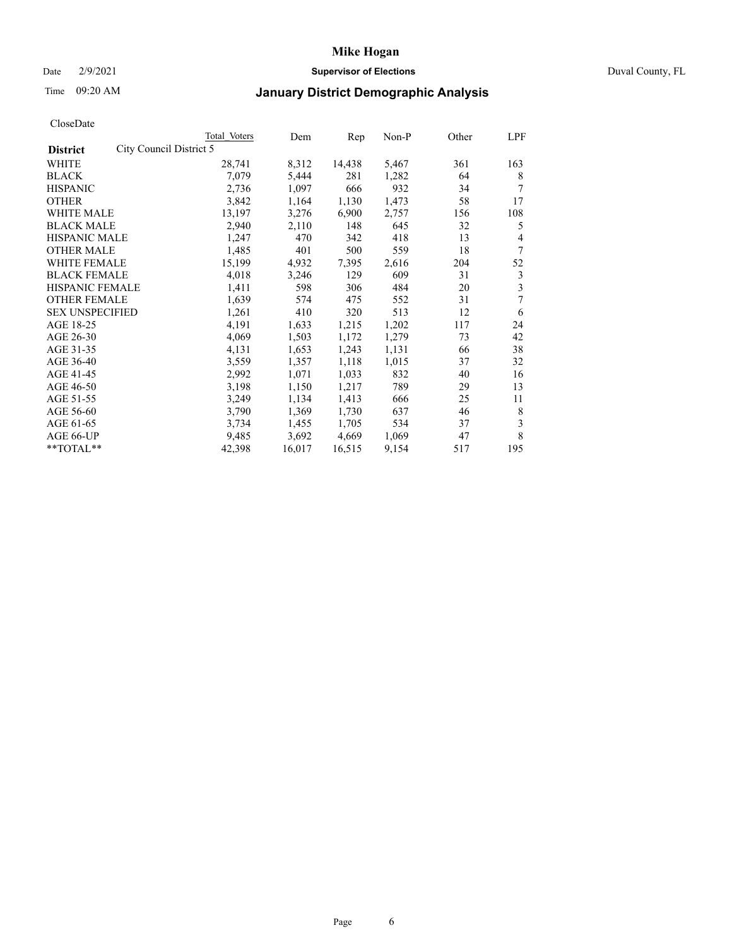### Date 2/9/2021 **Supervisor of Elections** Duval County, FL

## Time 09:20 AM **January District Demographic Analysis**

| Total Voters            | Dem    | Rep    | $Non-P$ | Other | LPF |
|-------------------------|--------|--------|---------|-------|-----|
| City Council District 5 |        |        |         |       |     |
| 28,741                  | 8,312  | 14,438 | 5,467   | 361   | 163 |
| 7,079                   | 5,444  | 281    | 1,282   | 64    | 8   |
| 2,736                   | 1,097  | 666    | 932     | 34    | 7   |
| 3,842                   | 1,164  | 1,130  | 1,473   | 58    | 17  |
| 13,197                  | 3,276  | 6,900  | 2,757   | 156   | 108 |
| 2,940                   | 2,110  | 148    | 645     | 32    | 5   |
| 1,247                   | 470    | 342    | 418     | 13    | 4   |
| 1,485                   | 401    | 500    | 559     | 18    | 7   |
| 15,199                  | 4,932  | 7,395  | 2,616   | 204   | 52  |
| 4,018                   | 3,246  | 129    | 609     | 31    | 3   |
| 1,411                   | 598    | 306    | 484     | 20    | 3   |
| 1,639                   | 574    | 475    | 552     | 31    | 7   |
| 1,261                   | 410    | 320    | 513     | 12    | 6   |
| 4,191                   | 1,633  | 1,215  | 1,202   | 117   | 24  |
| 4,069                   | 1,503  | 1,172  | 1,279   | 73    | 42  |
| 4,131                   | 1,653  | 1,243  | 1,131   | 66    | 38  |
| 3,559                   | 1,357  | 1,118  | 1,015   | 37    | 32  |
| 2,992                   | 1,071  | 1,033  | 832     | 40    | 16  |
| 3,198                   | 1,150  | 1,217  | 789     | 29    | 13  |
| 3,249                   | 1,134  | 1,413  | 666     | 25    | 11  |
| 3,790                   | 1,369  | 1,730  | 637     | 46    | 8   |
| 3,734                   | 1,455  | 1,705  | 534     | 37    | 3   |
| 9,485                   | 3,692  | 4,669  | 1,069   | 47    | 8   |
| 42,398                  | 16,017 | 16,515 | 9,154   | 517   | 195 |
|                         |        |        |         |       |     |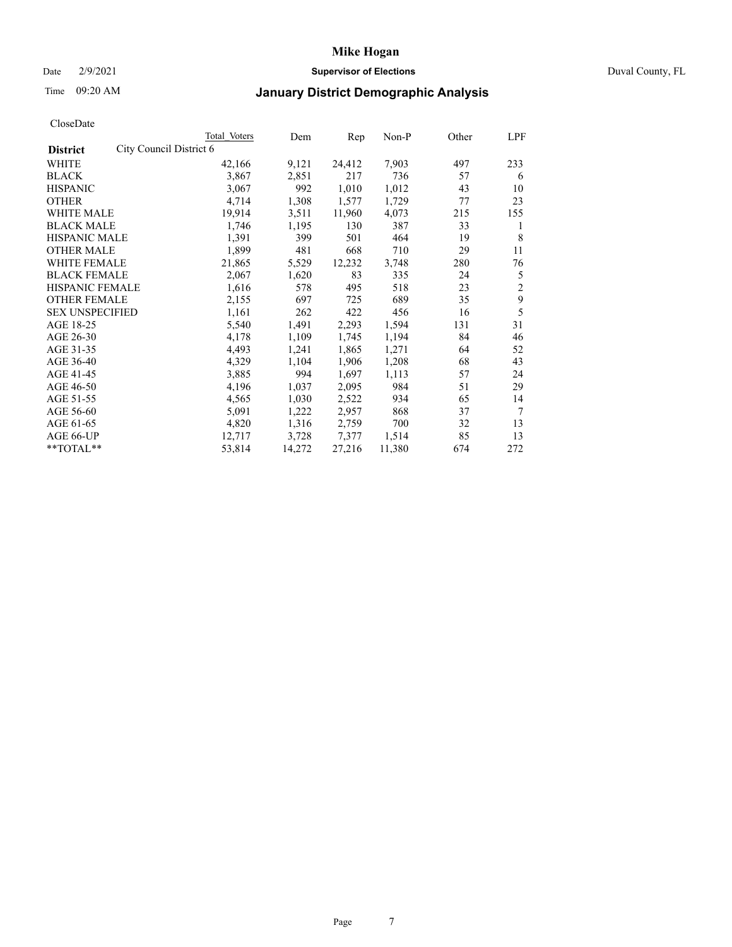### Date 2/9/2021 **Supervisor of Elections** Duval County, FL

## Time 09:20 AM **January District Demographic Analysis**

|                                            | Total Voters | Dem    | Rep    | Non-P  | Other | LPF            |
|--------------------------------------------|--------------|--------|--------|--------|-------|----------------|
| City Council District 6<br><b>District</b> |              |        |        |        |       |                |
| WHITE                                      | 42,166       | 9,121  | 24,412 | 7,903  | 497   | 233            |
| <b>BLACK</b>                               | 3,867        | 2,851  | 217    | 736    | 57    | 6              |
| <b>HISPANIC</b>                            | 3,067        | 992    | 1,010  | 1,012  | 43    | 10             |
| <b>OTHER</b>                               | 4,714        | 1,308  | 1,577  | 1,729  | 77    | 23             |
| WHITE MALE                                 | 19,914       | 3,511  | 11,960 | 4,073  | 215   | 155            |
| <b>BLACK MALE</b>                          | 1,746        | 1,195  | 130    | 387    | 33    | 1              |
| <b>HISPANIC MALE</b>                       | 1,391        | 399    | 501    | 464    | 19    | 8              |
| <b>OTHER MALE</b>                          | 1,899        | 481    | 668    | 710    | 29    | 11             |
| WHITE FEMALE                               | 21,865       | 5,529  | 12,232 | 3,748  | 280   | 76             |
| <b>BLACK FEMALE</b>                        | 2,067        | 1,620  | 83     | 335    | 24    | 5              |
| <b>HISPANIC FEMALE</b>                     | 1,616        | 578    | 495    | 518    | 23    | $\overline{2}$ |
| <b>OTHER FEMALE</b>                        | 2,155        | 697    | 725    | 689    | 35    | 9              |
| <b>SEX UNSPECIFIED</b>                     | 1,161        | 262    | 422    | 456    | 16    | 5              |
| AGE 18-25                                  | 5,540        | 1,491  | 2,293  | 1,594  | 131   | 31             |
| AGE 26-30                                  | 4,178        | 1,109  | 1,745  | 1,194  | 84    | 46             |
| AGE 31-35                                  | 4,493        | 1,241  | 1,865  | 1,271  | 64    | 52             |
| AGE 36-40                                  | 4,329        | 1,104  | 1,906  | 1,208  | 68    | 43             |
| AGE 41-45                                  | 3,885        | 994    | 1,697  | 1,113  | 57    | 24             |
| AGE 46-50                                  | 4,196        | 1,037  | 2,095  | 984    | 51    | 29             |
| AGE 51-55                                  | 4,565        | 1,030  | 2,522  | 934    | 65    | 14             |
| AGE 56-60                                  | 5,091        | 1,222  | 2,957  | 868    | 37    | 7              |
| AGE 61-65                                  | 4,820        | 1,316  | 2,759  | 700    | 32    | 13             |
| AGE 66-UP                                  | 12,717       | 3,728  | 7,377  | 1,514  | 85    | 13             |
| **TOTAL**                                  | 53,814       | 14,272 | 27,216 | 11,380 | 674   | 272            |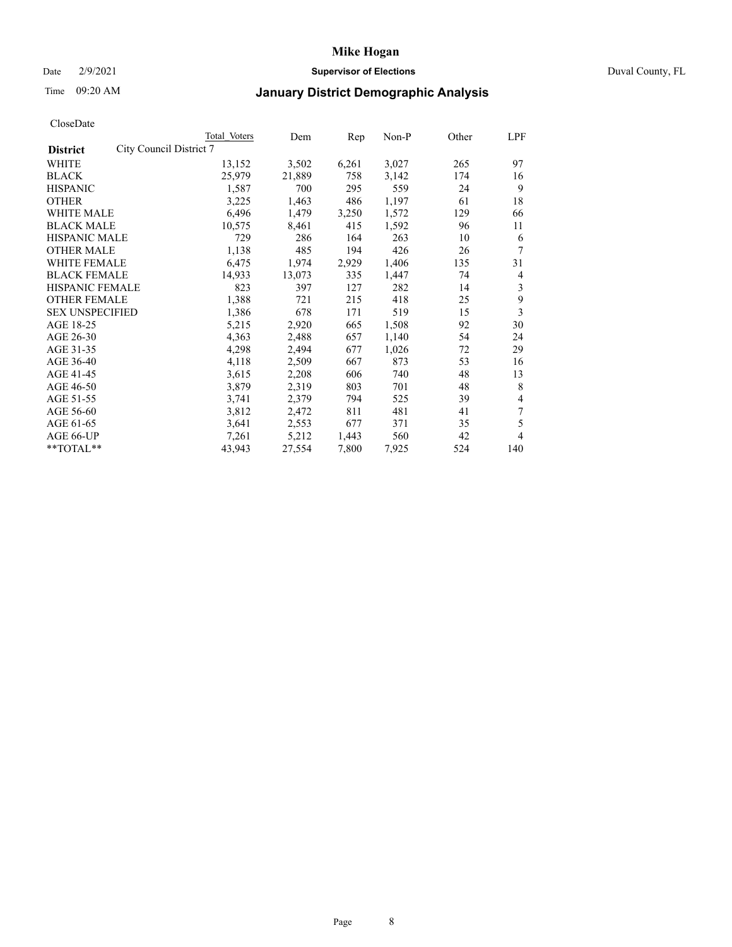### Date 2/9/2021 **Supervisor of Elections** Duval County, FL

# Time 09:20 AM **January District Demographic Analysis**

|                        |                         | Total Voters | Dem    | Rep   | $Non-P$ | Other | LPF |
|------------------------|-------------------------|--------------|--------|-------|---------|-------|-----|
| <b>District</b>        | City Council District 7 |              |        |       |         |       |     |
| WHITE                  |                         | 13,152       | 3,502  | 6,261 | 3,027   | 265   | 97  |
| <b>BLACK</b>           |                         | 25,979       | 21,889 | 758   | 3,142   | 174   | 16  |
| <b>HISPANIC</b>        |                         | 1,587        | 700    | 295   | 559     | 24    | 9   |
| <b>OTHER</b>           |                         | 3,225        | 1,463  | 486   | 1,197   | 61    | 18  |
| <b>WHITE MALE</b>      |                         | 6,496        | 1,479  | 3,250 | 1,572   | 129   | 66  |
| <b>BLACK MALE</b>      |                         | 10,575       | 8,461  | 415   | 1,592   | 96    | 11  |
| <b>HISPANIC MALE</b>   |                         | 729          | 286    | 164   | 263     | 10    | 6   |
| <b>OTHER MALE</b>      |                         | 1,138        | 485    | 194   | 426     | 26    | 7   |
| WHITE FEMALE           |                         | 6,475        | 1,974  | 2,929 | 1,406   | 135   | 31  |
| <b>BLACK FEMALE</b>    |                         | 14,933       | 13,073 | 335   | 1,447   | 74    | 4   |
| <b>HISPANIC FEMALE</b> |                         | 823          | 397    | 127   | 282     | 14    | 3   |
| <b>OTHER FEMALE</b>    |                         | 1,388        | 721    | 215   | 418     | 25    | 9   |
| <b>SEX UNSPECIFIED</b> |                         | 1,386        | 678    | 171   | 519     | 15    | 3   |
| AGE 18-25              |                         | 5,215        | 2,920  | 665   | 1,508   | 92    | 30  |
| AGE 26-30              |                         | 4,363        | 2,488  | 657   | 1,140   | 54    | 24  |
| AGE 31-35              |                         | 4,298        | 2,494  | 677   | 1,026   | 72    | 29  |
| AGE 36-40              |                         | 4,118        | 2,509  | 667   | 873     | 53    | 16  |
| AGE 41-45              |                         | 3,615        | 2,208  | 606   | 740     | 48    | 13  |
| AGE 46-50              |                         | 3,879        | 2,319  | 803   | 701     | 48    | 8   |
| AGE 51-55              |                         | 3,741        | 2,379  | 794   | 525     | 39    | 4   |
| AGE 56-60              |                         | 3,812        | 2,472  | 811   | 481     | 41    | 7   |
| AGE 61-65              |                         | 3,641        | 2,553  | 677   | 371     | 35    | 5   |
| AGE 66-UP              |                         | 7,261        | 5,212  | 1,443 | 560     | 42    | 4   |
| $*$ $TOTAL**$          |                         | 43,943       | 27,554 | 7,800 | 7,925   | 524   | 140 |
|                        |                         |              |        |       |         |       |     |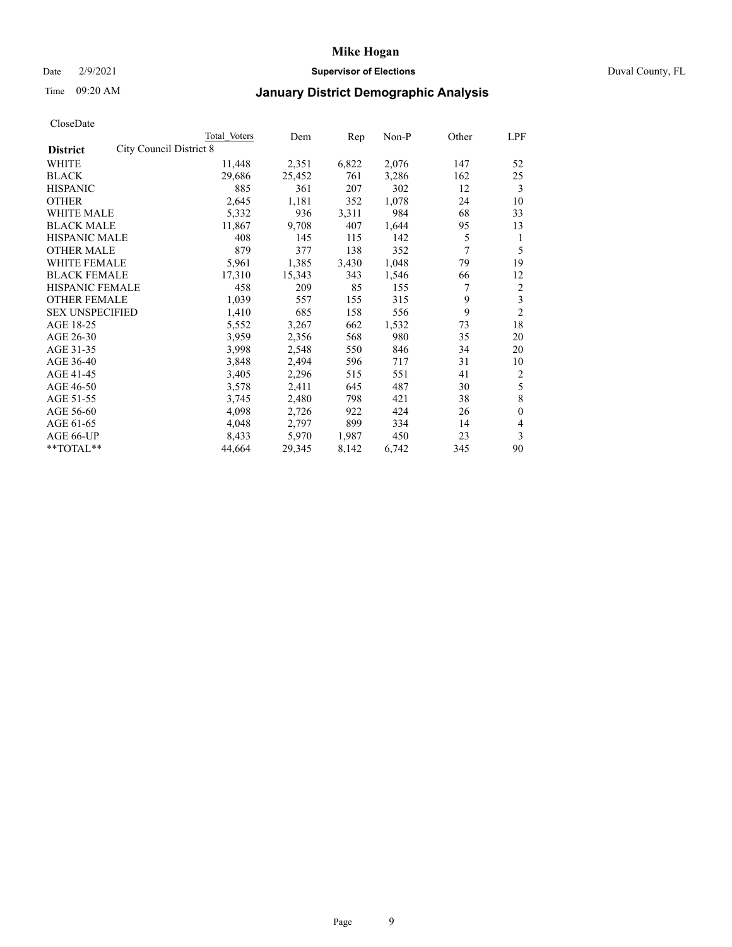### Date 2/9/2021 **Supervisor of Elections** Duval County, FL

## Time 09:20 AM **January District Demographic Analysis**

|                                            | Total Voters | Dem    | Rep   | $Non-P$ | Other | LPF            |
|--------------------------------------------|--------------|--------|-------|---------|-------|----------------|
| City Council District 8<br><b>District</b> |              |        |       |         |       |                |
| WHITE                                      | 11,448       | 2,351  | 6,822 | 2,076   | 147   | 52             |
| <b>BLACK</b>                               | 29,686       | 25,452 | 761   | 3,286   | 162   | 25             |
| <b>HISPANIC</b>                            | 885          | 361    | 207   | 302     | 12    | 3              |
| <b>OTHER</b>                               | 2,645        | 1,181  | 352   | 1,078   | 24    | 10             |
| <b>WHITE MALE</b>                          | 5,332        | 936    | 3,311 | 984     | 68    | 33             |
| <b>BLACK MALE</b>                          | 11,867       | 9,708  | 407   | 1,644   | 95    | 13             |
| <b>HISPANIC MALE</b>                       | 408          | 145    | 115   | 142     | 5     | 1              |
| <b>OTHER MALE</b>                          | 879          | 377    | 138   | 352     | 7     | 5              |
| WHITE FEMALE                               | 5,961        | 1,385  | 3,430 | 1,048   | 79    | 19             |
| <b>BLACK FEMALE</b>                        | 17,310       | 15,343 | 343   | 1,546   | 66    | 12             |
| <b>HISPANIC FEMALE</b>                     | 458          | 209    | 85    | 155     | 7     | $\overline{2}$ |
| <b>OTHER FEMALE</b>                        | 1,039        | 557    | 155   | 315     | 9     | 3              |
| <b>SEX UNSPECIFIED</b>                     | 1,410        | 685    | 158   | 556     | 9     | $\overline{2}$ |
| AGE 18-25                                  | 5,552        | 3,267  | 662   | 1,532   | 73    | 18             |
| AGE 26-30                                  | 3,959        | 2,356  | 568   | 980     | 35    | 20             |
| AGE 31-35                                  | 3,998        | 2,548  | 550   | 846     | 34    | 20             |
| AGE 36-40                                  | 3,848        | 2,494  | 596   | 717     | 31    | 10             |
| AGE 41-45                                  | 3,405        | 2,296  | 515   | 551     | 41    | $\overline{2}$ |
| AGE 46-50                                  | 3,578        | 2,411  | 645   | 487     | 30    | 5              |
| AGE 51-55                                  | 3,745        | 2,480  | 798   | 421     | 38    | 8              |
| AGE 56-60                                  | 4,098        | 2,726  | 922   | 424     | 26    | $\theta$       |
| AGE 61-65                                  | 4,048        | 2,797  | 899   | 334     | 14    | 4              |
| AGE 66-UP                                  | 8,433        | 5,970  | 1,987 | 450     | 23    | 3              |
| $*$ $TOTAL**$                              | 44,664       | 29,345 | 8,142 | 6,742   | 345   | 90             |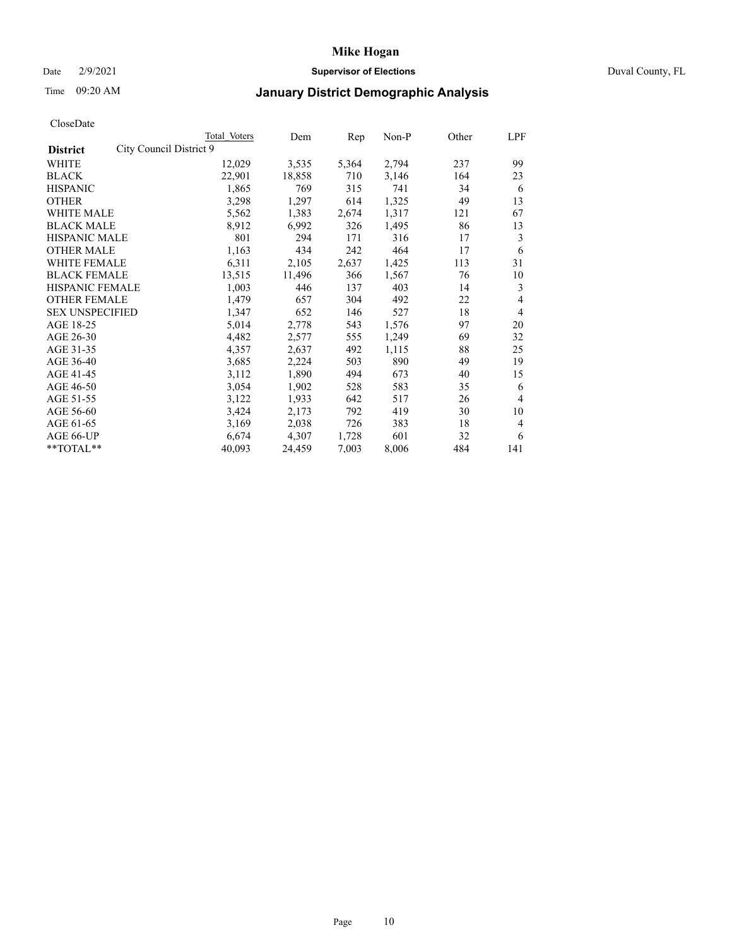### Date 2/9/2021 **Supervisor of Elections** Duval County, FL

## Time 09:20 AM **January District Demographic Analysis**

|                                            | Total Voters | Dem    | Rep   | $Non-P$ | Other | LPF            |
|--------------------------------------------|--------------|--------|-------|---------|-------|----------------|
| City Council District 9<br><b>District</b> |              |        |       |         |       |                |
| WHITE                                      | 12,029       | 3,535  | 5,364 | 2,794   | 237   | 99             |
| <b>BLACK</b>                               | 22,901       | 18,858 | 710   | 3,146   | 164   | 23             |
| <b>HISPANIC</b>                            | 1,865        | 769    | 315   | 741     | 34    | 6              |
| <b>OTHER</b>                               | 3,298        | 1,297  | 614   | 1,325   | 49    | 13             |
| <b>WHITE MALE</b>                          | 5,562        | 1,383  | 2,674 | 1,317   | 121   | 67             |
| <b>BLACK MALE</b>                          | 8,912        | 6,992  | 326   | 1,495   | 86    | 13             |
| <b>HISPANIC MALE</b>                       | 801          | 294    | 171   | 316     | 17    | 3              |
| <b>OTHER MALE</b>                          | 1,163        | 434    | 242   | 464     | 17    | 6              |
| WHITE FEMALE                               | 6,311        | 2,105  | 2,637 | 1,425   | 113   | 31             |
| <b>BLACK FEMALE</b>                        | 13,515       | 11,496 | 366   | 1,567   | 76    | 10             |
| <b>HISPANIC FEMALE</b>                     | 1,003        | 446    | 137   | 403     | 14    | 3              |
| <b>OTHER FEMALE</b>                        | 1,479        | 657    | 304   | 492     | 22    | 4              |
| <b>SEX UNSPECIFIED</b>                     | 1,347        | 652    | 146   | 527     | 18    | $\overline{4}$ |
| AGE 18-25                                  | 5,014        | 2,778  | 543   | 1,576   | 97    | 20             |
| AGE 26-30                                  | 4,482        | 2,577  | 555   | 1,249   | 69    | 32             |
| AGE 31-35                                  | 4,357        | 2,637  | 492   | 1,115   | 88    | 25             |
| AGE 36-40                                  | 3,685        | 2,224  | 503   | 890     | 49    | 19             |
| AGE 41-45                                  | 3,112        | 1,890  | 494   | 673     | 40    | 15             |
| AGE 46-50                                  | 3,054        | 1,902  | 528   | 583     | 35    | 6              |
| AGE 51-55                                  | 3,122        | 1,933  | 642   | 517     | 26    | $\overline{4}$ |
| AGE 56-60                                  | 3,424        | 2,173  | 792   | 419     | 30    | 10             |
| AGE 61-65                                  | 3,169        | 2,038  | 726   | 383     | 18    | 4              |
| AGE 66-UP                                  | 6,674        | 4,307  | 1,728 | 601     | 32    | 6              |
| $*$ $TOTAL**$                              | 40,093       | 24,459 | 7,003 | 8,006   | 484   | 141            |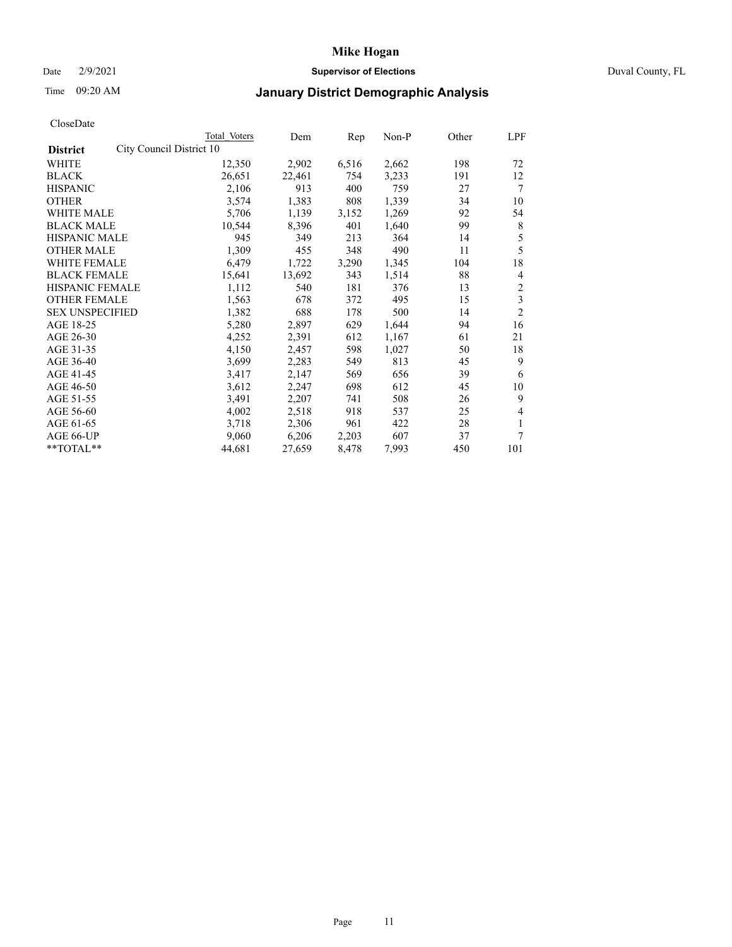### Date 2/9/2021 **Supervisor of Elections** Duval County, FL

## Time 09:20 AM **January District Demographic Analysis**

|                                             | Total Voters | Dem    | Rep   | $Non-P$ | Other | LPF                     |
|---------------------------------------------|--------------|--------|-------|---------|-------|-------------------------|
| City Council District 10<br><b>District</b> |              |        |       |         |       |                         |
| WHITE                                       | 12,350       | 2,902  | 6,516 | 2,662   | 198   | 72                      |
| <b>BLACK</b>                                | 26,651       | 22,461 | 754   | 3,233   | 191   | 12                      |
| <b>HISPANIC</b>                             | 2,106        | 913    | 400   | 759     | 27    | 7                       |
| <b>OTHER</b>                                | 3,574        | 1,383  | 808   | 1,339   | 34    | 10                      |
| <b>WHITE MALE</b>                           | 5,706        | 1,139  | 3,152 | 1,269   | 92    | 54                      |
| <b>BLACK MALE</b>                           | 10,544       | 8,396  | 401   | 1,640   | 99    | 8                       |
| <b>HISPANIC MALE</b>                        | 945          | 349    | 213   | 364     | 14    | 5                       |
| <b>OTHER MALE</b>                           | 1,309        | 455    | 348   | 490     | 11    | 5                       |
| WHITE FEMALE                                | 6,479        | 1,722  | 3,290 | 1,345   | 104   | 18                      |
| <b>BLACK FEMALE</b>                         | 15,641       | 13,692 | 343   | 1,514   | 88    | 4                       |
| HISPANIC FEMALE                             | 1,112        | 540    | 181   | 376     | 13    | $\overline{2}$          |
| <b>OTHER FEMALE</b>                         | 1,563        | 678    | 372   | 495     | 15    | $\overline{\mathbf{3}}$ |
| <b>SEX UNSPECIFIED</b>                      | 1,382        | 688    | 178   | 500     | 14    | $\overline{2}$          |
| AGE 18-25                                   | 5,280        | 2,897  | 629   | 1,644   | 94    | 16                      |
| AGE 26-30                                   | 4,252        | 2,391  | 612   | 1,167   | 61    | 21                      |
| AGE 31-35                                   | 4,150        | 2,457  | 598   | 1,027   | 50    | 18                      |
| AGE 36-40                                   | 3,699        | 2,283  | 549   | 813     | 45    | 9                       |
| AGE 41-45                                   | 3,417        | 2,147  | 569   | 656     | 39    | 6                       |
| AGE 46-50                                   | 3,612        | 2,247  | 698   | 612     | 45    | 10                      |
| AGE 51-55                                   | 3,491        | 2,207  | 741   | 508     | 26    | 9                       |
| AGE 56-60                                   | 4,002        | 2,518  | 918   | 537     | 25    | 4                       |
| AGE 61-65                                   | 3,718        | 2,306  | 961   | 422     | 28    | 1                       |
| AGE 66-UP                                   | 9,060        | 6,206  | 2,203 | 607     | 37    | 7                       |
| $*$ $TOTAL**$                               | 44,681       | 27,659 | 8,478 | 7,993   | 450   | 101                     |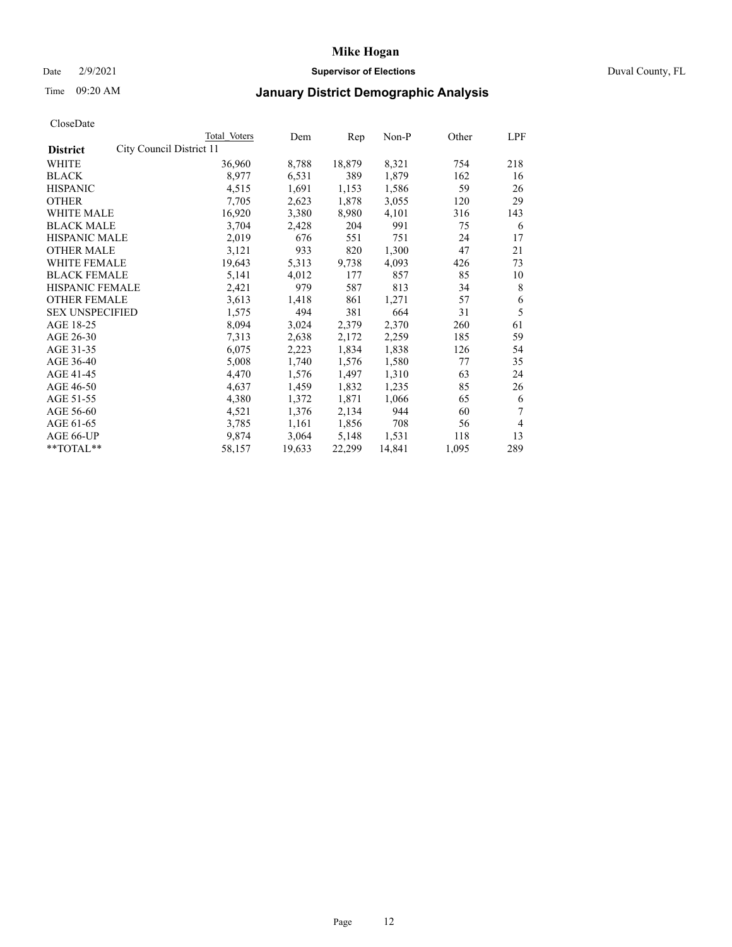### Date 2/9/2021 **Supervisor of Elections** Duval County, FL

# Time 09:20 AM **January District Demographic Analysis**

|                                             | Total Voters | Dem    | Rep    | $Non-P$ | Other | LPF |
|---------------------------------------------|--------------|--------|--------|---------|-------|-----|
| City Council District 11<br><b>District</b> |              |        |        |         |       |     |
| WHITE                                       | 36,960       | 8,788  | 18,879 | 8,321   | 754   | 218 |
| <b>BLACK</b>                                | 8,977        | 6,531  | 389    | 1,879   | 162   | 16  |
| <b>HISPANIC</b>                             | 4,515        | 1,691  | 1,153  | 1,586   | 59    | 26  |
| <b>OTHER</b>                                | 7,705        | 2,623  | 1,878  | 3,055   | 120   | 29  |
| WHITE MALE                                  | 16,920       | 3,380  | 8,980  | 4,101   | 316   | 143 |
| <b>BLACK MALE</b>                           | 3,704        | 2,428  | 204    | 991     | 75    | 6   |
| <b>HISPANIC MALE</b>                        | 2,019        | 676    | 551    | 751     | 24    | 17  |
| <b>OTHER MALE</b>                           | 3,121        | 933    | 820    | 1,300   | 47    | 21  |
| <b>WHITE FEMALE</b>                         | 19,643       | 5,313  | 9,738  | 4,093   | 426   | 73  |
| <b>BLACK FEMALE</b>                         | 5,141        | 4,012  | 177    | 857     | 85    | 10  |
| HISPANIC FEMALE                             | 2,421        | 979    | 587    | 813     | 34    | 8   |
| <b>OTHER FEMALE</b>                         | 3,613        | 1,418  | 861    | 1,271   | 57    | 6   |
| <b>SEX UNSPECIFIED</b>                      | 1,575        | 494    | 381    | 664     | 31    | 5   |
| AGE 18-25                                   | 8,094        | 3,024  | 2,379  | 2,370   | 260   | 61  |
| AGE 26-30                                   | 7,313        | 2,638  | 2,172  | 2,259   | 185   | 59  |
| AGE 31-35                                   | 6,075        | 2,223  | 1,834  | 1,838   | 126   | 54  |
| AGE 36-40                                   | 5,008        | 1,740  | 1,576  | 1,580   | 77    | 35  |
| AGE 41-45                                   | 4,470        | 1,576  | 1,497  | 1,310   | 63    | 24  |
| AGE 46-50                                   | 4,637        | 1,459  | 1,832  | 1,235   | 85    | 26  |
| AGE 51-55                                   | 4,380        | 1,372  | 1,871  | 1,066   | 65    | 6   |
| AGE 56-60                                   | 4,521        | 1,376  | 2,134  | 944     | 60    | 7   |
| AGE 61-65                                   | 3,785        | 1,161  | 1,856  | 708     | 56    | 4   |
| AGE 66-UP                                   | 9,874        | 3,064  | 5,148  | 1,531   | 118   | 13  |
| $*$ $TOTAL**$                               | 58,157       | 19,633 | 22,299 | 14,841  | 1,095 | 289 |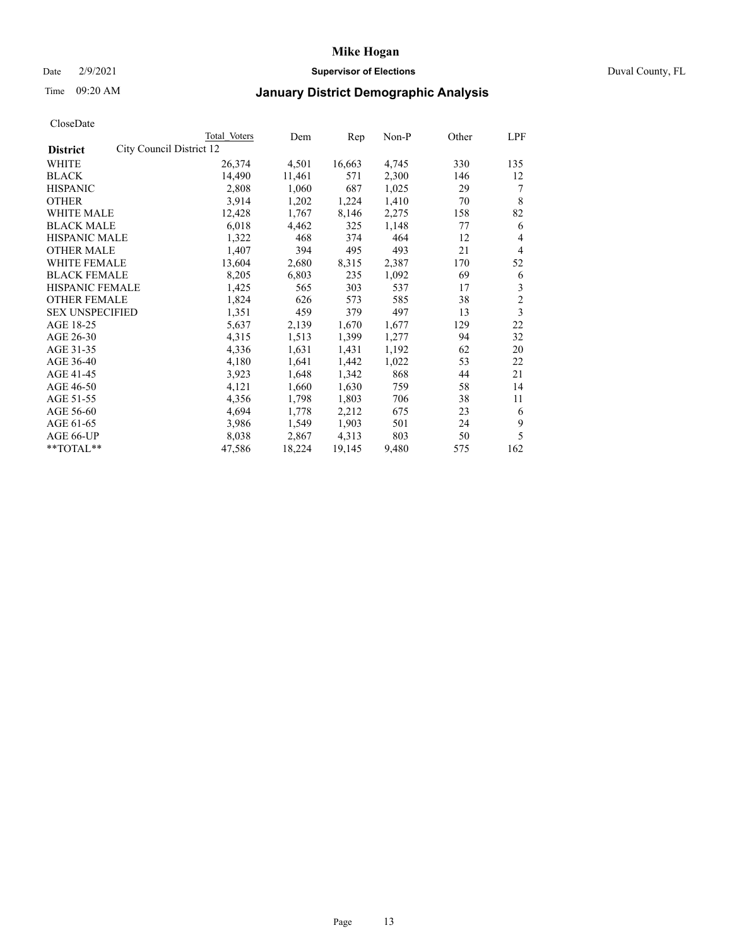### Date 2/9/2021 **Supervisor of Elections** Duval County, FL

# Time 09:20 AM **January District Demographic Analysis**

|                                             | Total Voters | Dem    | Rep    | $Non-P$ | Other | LPF            |
|---------------------------------------------|--------------|--------|--------|---------|-------|----------------|
| City Council District 12<br><b>District</b> |              |        |        |         |       |                |
| WHITE                                       | 26,374       | 4,501  | 16,663 | 4,745   | 330   | 135            |
| <b>BLACK</b>                                | 14,490       | 11,461 | 571    | 2,300   | 146   | 12             |
| <b>HISPANIC</b>                             | 2,808        | 1,060  | 687    | 1,025   | 29    | 7              |
| <b>OTHER</b>                                | 3,914        | 1,202  | 1,224  | 1,410   | 70    | 8              |
| <b>WHITE MALE</b>                           | 12,428       | 1,767  | 8,146  | 2,275   | 158   | 82             |
| <b>BLACK MALE</b>                           | 6,018        | 4,462  | 325    | 1,148   | 77    | 6              |
| <b>HISPANIC MALE</b>                        | 1,322        | 468    | 374    | 464     | 12    | 4              |
| <b>OTHER MALE</b>                           | 1,407        | 394    | 495    | 493     | 21    | 4              |
| WHITE FEMALE                                | 13,604       | 2,680  | 8,315  | 2,387   | 170   | 52             |
| <b>BLACK FEMALE</b>                         | 8,205        | 6,803  | 235    | 1,092   | 69    | 6              |
| <b>HISPANIC FEMALE</b>                      | 1,425        | 565    | 303    | 537     | 17    | 3              |
| <b>OTHER FEMALE</b>                         | 1,824        | 626    | 573    | 585     | 38    | $\overline{c}$ |
| <b>SEX UNSPECIFIED</b>                      | 1,351        | 459    | 379    | 497     | 13    | 3              |
| AGE 18-25                                   | 5,637        | 2,139  | 1,670  | 1,677   | 129   | 22             |
| AGE 26-30                                   | 4,315        | 1,513  | 1,399  | 1,277   | 94    | 32             |
| AGE 31-35                                   | 4,336        | 1,631  | 1,431  | 1,192   | 62    | 20             |
| AGE 36-40                                   | 4,180        | 1,641  | 1,442  | 1,022   | 53    | 22             |
| AGE 41-45                                   | 3,923        | 1,648  | 1,342  | 868     | 44    | 21             |
| AGE 46-50                                   | 4,121        | 1,660  | 1,630  | 759     | 58    | 14             |
| AGE 51-55                                   | 4,356        | 1,798  | 1,803  | 706     | 38    | 11             |
| AGE 56-60                                   | 4,694        | 1,778  | 2,212  | 675     | 23    | 6              |
| AGE 61-65                                   | 3,986        | 1,549  | 1,903  | 501     | 24    | 9              |
| AGE 66-UP                                   | 8,038        | 2,867  | 4,313  | 803     | 50    | 5              |
| $*$ $TOTAL**$                               | 47,586       | 18,224 | 19,145 | 9,480   | 575   | 162            |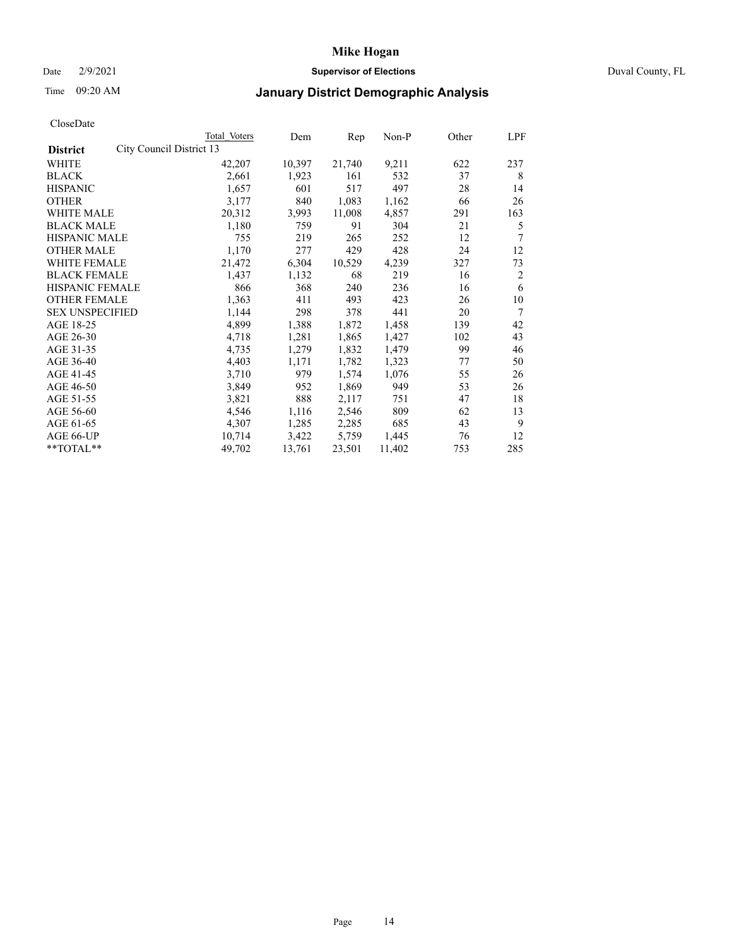### Date 2/9/2021 **Supervisor of Elections** Duval County, FL

# Time 09:20 AM **January District Demographic Analysis**

| Total Voters | Dem                      | Rep    | $Non-P$ | Other | LPF |
|--------------|--------------------------|--------|---------|-------|-----|
|              |                          |        |         |       |     |
| 42,207       | 10,397                   | 21,740 | 9,211   | 622   | 237 |
| 2,661        | 1,923                    | 161    | 532     | 37    | 8   |
| 1,657        | 601                      | 517    | 497     | 28    | 14  |
| 3,177        | 840                      | 1,083  | 1,162   | 66    | 26  |
| 20,312       | 3,993                    | 11,008 | 4,857   | 291   | 163 |
| 1,180        | 759                      | 91     | 304     | 21    | 5   |
| 755          | 219                      | 265    | 252     | 12    | 7   |
| 1,170        | 277                      | 429    | 428     | 24    | 12  |
| 21,472       | 6,304                    | 10,529 | 4,239   | 327   | 73  |
| 1,437        | 1,132                    | 68     | 219     | 16    | 2   |
| 866          | 368                      | 240    | 236     | 16    | 6   |
| 1,363        | 411                      | 493    | 423     | 26    | 10  |
| 1,144        | 298                      | 378    | 441     | 20    | 7   |
| 4,899        | 1,388                    | 1,872  | 1,458   | 139   | 42  |
| 4,718        | 1,281                    | 1,865  | 1,427   | 102   | 43  |
| 4,735        | 1,279                    | 1,832  | 1,479   | 99    | 46  |
| 4,403        | 1,171                    | 1,782  | 1,323   | 77    | 50  |
| 3,710        | 979                      | 1,574  | 1,076   | 55    | 26  |
| 3,849        | 952                      | 1,869  | 949     | 53    | 26  |
| 3,821        | 888                      | 2,117  | 751     | 47    | 18  |
| 4,546        | 1,116                    | 2,546  | 809     | 62    | 13  |
| 4,307        | 1,285                    | 2,285  | 685     | 43    | 9   |
| 10,714       | 3,422                    | 5,759  | 1,445   | 76    | 12  |
| 49,702       | 13,761                   | 23,501 | 11,402  | 753   | 285 |
|              | City Council District 13 |        |         |       |     |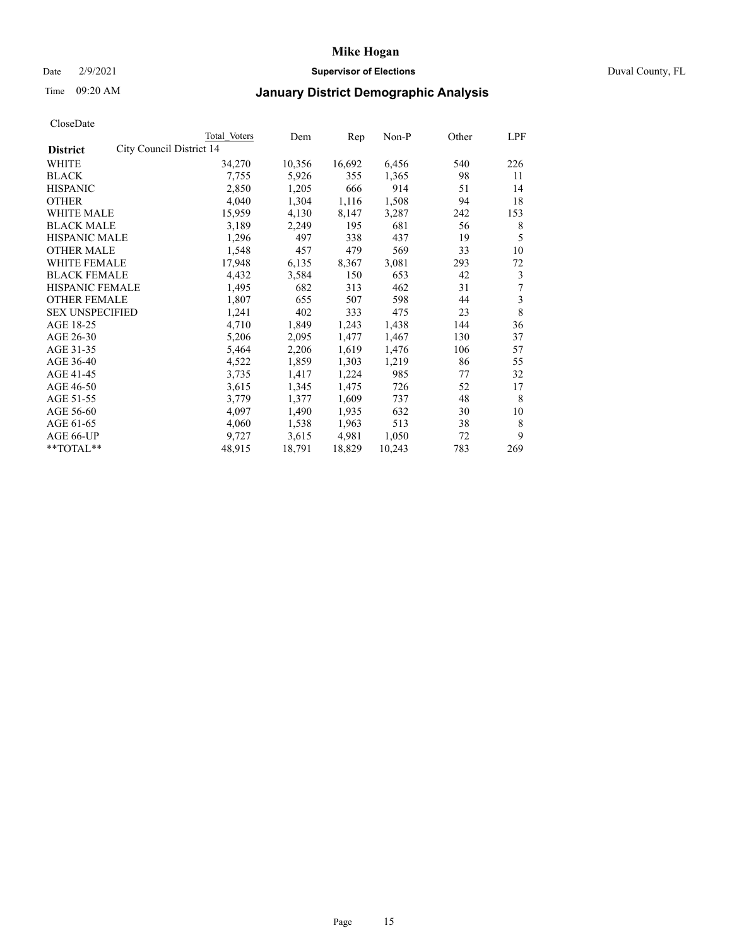### Date 2/9/2021 **Supervisor of Elections** Duval County, FL

# Time 09:20 AM **January District Demographic Analysis**

|                                             | Total Voters | Dem    | Rep    | $Non-P$ | Other | <b>LPF</b> |
|---------------------------------------------|--------------|--------|--------|---------|-------|------------|
| City Council District 14<br><b>District</b> |              |        |        |         |       |            |
| WHITE                                       | 34,270       | 10,356 | 16,692 | 6,456   | 540   | 226        |
| <b>BLACK</b>                                | 7,755        | 5,926  | 355    | 1,365   | 98    | 11         |
| <b>HISPANIC</b>                             | 2,850        | 1,205  | 666    | 914     | 51    | 14         |
| <b>OTHER</b>                                | 4,040        | 1,304  | 1,116  | 1,508   | 94    | 18         |
| WHITE MALE                                  | 15,959       | 4,130  | 8,147  | 3,287   | 242   | 153        |
| <b>BLACK MALE</b>                           | 3,189        | 2,249  | 195    | 681     | 56    | 8          |
| <b>HISPANIC MALE</b>                        | 1,296        | 497    | 338    | 437     | 19    | 5          |
| <b>OTHER MALE</b>                           | 1,548        | 457    | 479    | 569     | 33    | 10         |
| WHITE FEMALE                                | 17,948       | 6,135  | 8,367  | 3,081   | 293   | 72         |
| <b>BLACK FEMALE</b>                         | 4,432        | 3,584  | 150    | 653     | 42    | 3          |
| HISPANIC FEMALE                             | 1,495        | 682    | 313    | 462     | 31    | 7          |
| <b>OTHER FEMALE</b>                         | 1,807        | 655    | 507    | 598     | 44    | 3          |
| <b>SEX UNSPECIFIED</b>                      | 1,241        | 402    | 333    | 475     | 23    | 8          |
| AGE 18-25                                   | 4,710        | 1,849  | 1,243  | 1,438   | 144   | 36         |
| AGE 26-30                                   | 5,206        | 2,095  | 1,477  | 1,467   | 130   | 37         |
| AGE 31-35                                   | 5,464        | 2,206  | 1,619  | 1,476   | 106   | 57         |
| AGE 36-40                                   | 4,522        | 1,859  | 1,303  | 1,219   | 86    | 55         |
| AGE 41-45                                   | 3,735        | 1,417  | 1,224  | 985     | 77    | 32         |
| AGE 46-50                                   | 3,615        | 1,345  | 1,475  | 726     | 52    | 17         |
| AGE 51-55                                   | 3,779        | 1,377  | 1,609  | 737     | 48    | 8          |
| AGE 56-60                                   | 4,097        | 1,490  | 1,935  | 632     | 30    | 10         |
| AGE 61-65                                   | 4,060        | 1,538  | 1,963  | 513     | 38    | 8          |
| AGE 66-UP                                   | 9,727        | 3,615  | 4,981  | 1,050   | 72    | 9          |
| **TOTAL**                                   | 48,915       | 18,791 | 18,829 | 10,243  | 783   | 269        |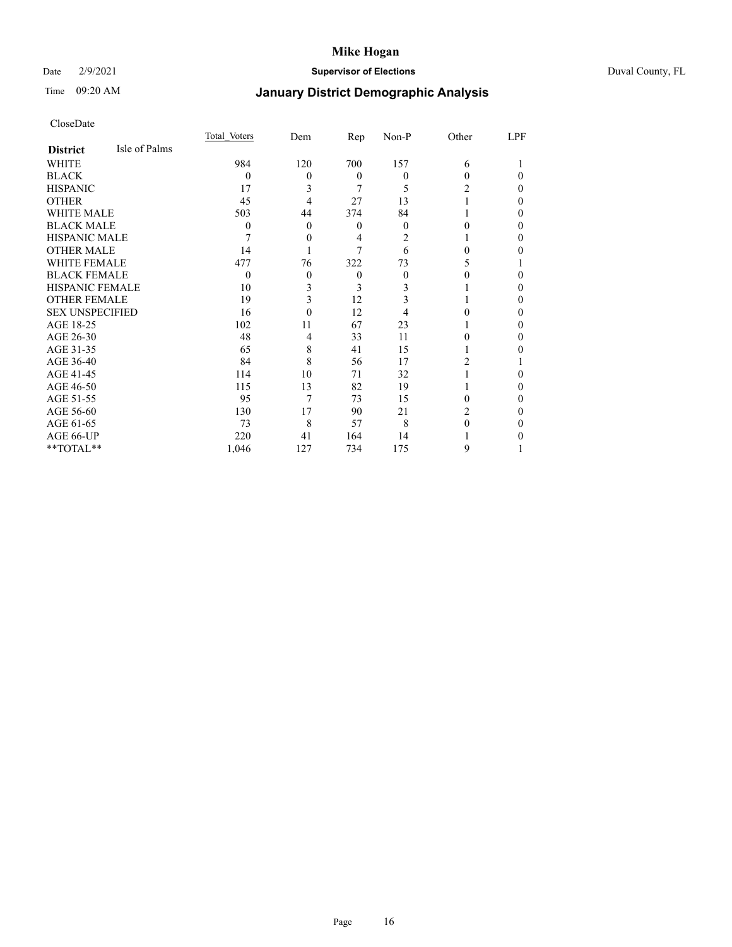### Date 2/9/2021 **Supervisor of Elections** Duval County, FL

# Time 09:20 AM **January District Demographic Analysis**

|                        |               | Total Voters | Dem      | <u>Rep</u> | Non-P    | Other | LPF      |
|------------------------|---------------|--------------|----------|------------|----------|-------|----------|
| <b>District</b>        | Isle of Palms |              |          |            |          |       |          |
| WHITE                  |               | 984          | 120      | 700        | 157      | 6     |          |
| <b>BLACK</b>           |               | $\Omega$     | $\theta$ | $\theta$   | $\theta$ | 0     | $\Omega$ |
| <b>HISPANIC</b>        |               | 17           | 3        | 7          | 5        | 2     | $\theta$ |
| <b>OTHER</b>           |               | 45           | 4        | 27         | 13       |       | $\Omega$ |
| WHITE MALE             |               | 503          | 44       | 374        | 84       |       | 0        |
| <b>BLACK MALE</b>      |               | $\theta$     | $\theta$ | $\theta$   | $\theta$ | 0     | $\Omega$ |
| <b>HISPANIC MALE</b>   |               | 7            | 0        | 4          | 2        |       | $\Omega$ |
| <b>OTHER MALE</b>      |               | 14           |          | 7          | 6        | 0     | 0        |
| <b>WHITE FEMALE</b>    |               | 477          | 76       | 322        | 73       | 5     |          |
| <b>BLACK FEMALE</b>    |               | $\Omega$     | $\theta$ | $\theta$   | 0        |       | 0        |
| <b>HISPANIC FEMALE</b> |               | 10           | 3        | 3          | 3        |       | $\Omega$ |
| <b>OTHER FEMALE</b>    |               | 19           | 3        | 12         | 3        |       | $\Omega$ |
| <b>SEX UNSPECIFIED</b> |               | 16           | 0        | 12         |          |       | $\Omega$ |
| AGE 18-25              |               | 102          | 11       | 67         | 23       |       | $\Omega$ |
| AGE 26-30              |               | 48           | 4        | 33         | 11       | 0     | $\Omega$ |
| AGE 31-35              |               | 65           | 8        | 41         | 15       |       | 0        |
| AGE 36-40              |               | 84           | 8        | 56         | 17       | 2     |          |
| AGE 41-45              |               | 114          | 10       | 71         | 32       |       | 0        |
| AGE 46-50              |               | 115          | 13       | 82         | 19       |       | $\theta$ |
| AGE 51-55              |               | 95           | 7        | 73         | 15       | 0     | $\Omega$ |
| AGE 56-60              |               | 130          | 17       | 90         | 21       | 2     | $\Omega$ |
| AGE 61-65              |               | 73           | 8        | 57         | 8        | 0     | $\Omega$ |
| AGE 66-UP              |               | 220          | 41       | 164        | 14       |       | 0        |
| **TOTAL**              |               | 1,046        | 127      | 734        | 175      | 9     |          |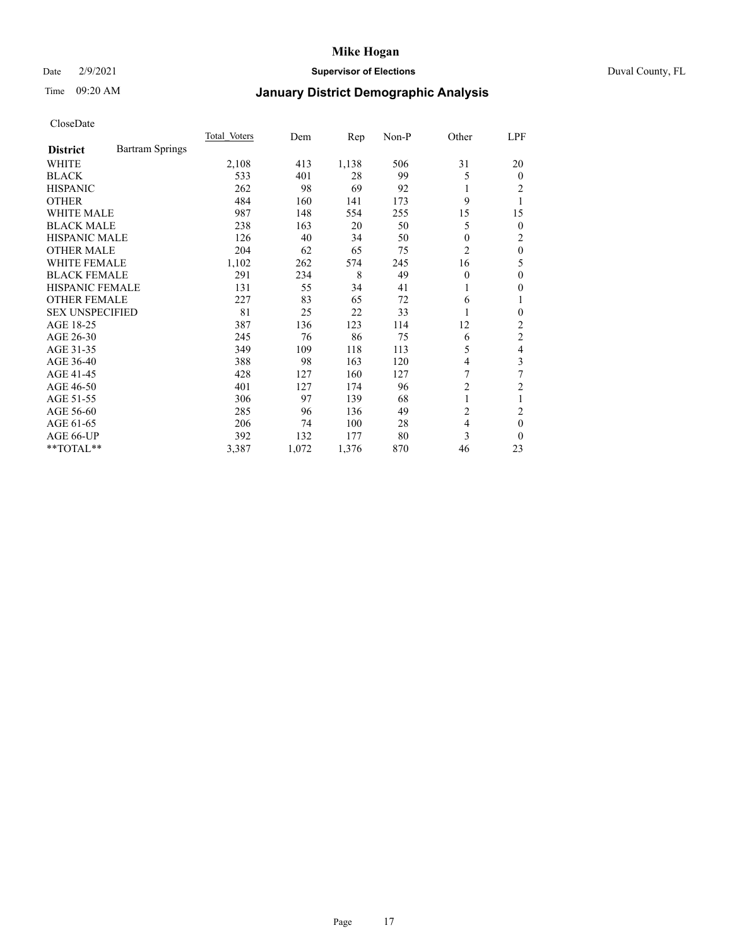### Date 2/9/2021 **Supervisor of Elections** Duval County, FL

# Time 09:20 AM **January District Demographic Analysis**

|                                           | Total Voters | Dem   | Rep   | $Non-P$ | Other          | <u>LPF</u>     |
|-------------------------------------------|--------------|-------|-------|---------|----------------|----------------|
| <b>Bartram Springs</b><br><b>District</b> |              |       |       |         |                |                |
| <b>WHITE</b>                              | 2,108        | 413   | 1,138 | 506     | 31             | 20             |
| <b>BLACK</b>                              | 533          | 401   | 28    | 99      | 5              | $\Omega$       |
| <b>HISPANIC</b>                           | 262          | 98    | 69    | 92      | 1              | 2              |
| <b>OTHER</b>                              | 484          | 160   | 141   | 173     | 9              |                |
| <b>WHITE MALE</b>                         | 987          | 148   | 554   | 255     | 15             | 15             |
| <b>BLACK MALE</b>                         | 238          | 163   | 20    | 50      | 5              | $\overline{0}$ |
| <b>HISPANIC MALE</b>                      | 126          | 40    | 34    | 50      | $\theta$       | 2              |
| <b>OTHER MALE</b>                         | 204          | 62    | 65    | 75      | 2              | $\theta$       |
| <b>WHITE FEMALE</b>                       | 1,102        | 262   | 574   | 245     | 16             | 5              |
| <b>BLACK FEMALE</b>                       | 291          | 234   | 8     | 49      | $\theta$       | $\theta$       |
| <b>HISPANIC FEMALE</b>                    | 131          | 55    | 34    | 41      | 1              | 0              |
| <b>OTHER FEMALE</b>                       | 227          | 83    | 65    | 72      | 6              |                |
| <b>SEX UNSPECIFIED</b>                    | 81           | 25    | 22    | 33      | 1              | 0              |
| AGE 18-25                                 | 387          | 136   | 123   | 114     | 12             | 2              |
| AGE 26-30                                 | 245          | 76    | 86    | 75      | 6              | $\mathfrak{2}$ |
| AGE 31-35                                 | 349          | 109   | 118   | 113     | 5              | 4              |
| AGE 36-40                                 | 388          | 98    | 163   | 120     | 4              | 3              |
| AGE 41-45                                 | 428          | 127   | 160   | 127     | 7              | 7              |
| AGE 46-50                                 | 401          | 127   | 174   | 96      | $\overline{c}$ | 2              |
| AGE 51-55                                 | 306          | 97    | 139   | 68      | 1              |                |
| AGE 56-60                                 | 285          | 96    | 136   | 49      | $\overline{c}$ | $\overline{2}$ |
| AGE 61-65                                 | 206          | 74    | 100   | 28      | $\overline{4}$ | $\theta$       |
| AGE 66-UP                                 | 392          | 132   | 177   | 80      | 3              | $\Omega$       |
| **TOTAL**                                 | 3,387        | 1,072 | 1,376 | 870     | 46             | 23             |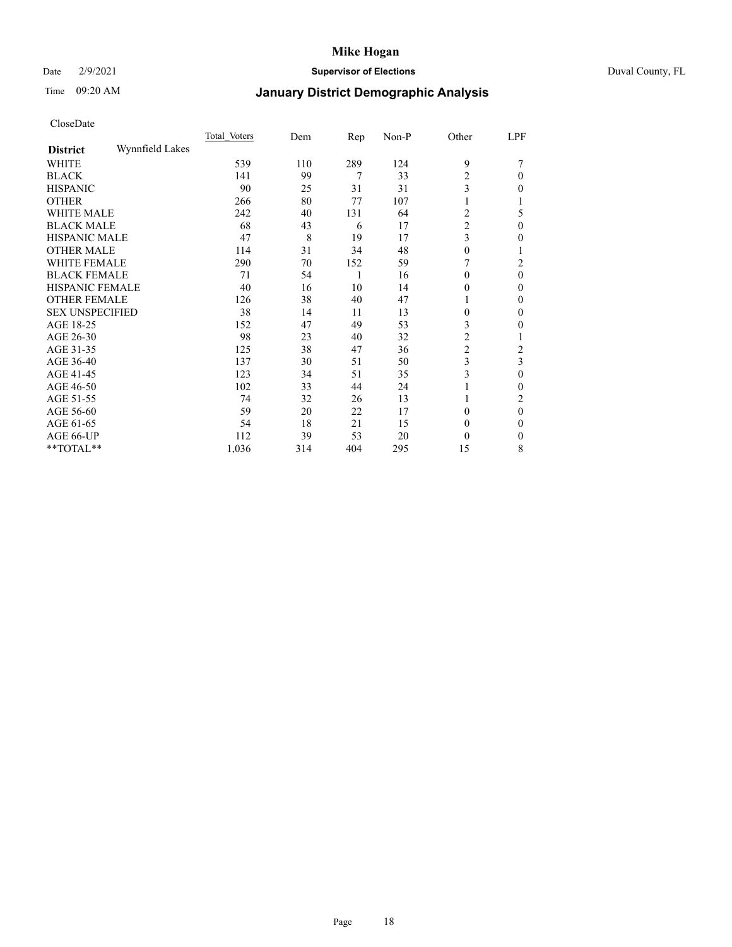### Date 2/9/2021 **Supervisor of Elections** Duval County, FL

# Time 09:20 AM **January District Demographic Analysis**

|                        |                 | Total Voters | Dem | Rep | Non-P | Other          | LPF            |
|------------------------|-----------------|--------------|-----|-----|-------|----------------|----------------|
| <b>District</b>        | Wynnfield Lakes |              |     |     |       |                |                |
| WHITE                  |                 | 539          | 110 | 289 | 124   | 9              |                |
| <b>BLACK</b>           |                 | 141          | 99  | 7   | 33    | $\overline{2}$ | 0              |
| <b>HISPANIC</b>        |                 | 90           | 25  | 31  | 31    | 3              | 0              |
| <b>OTHER</b>           |                 | 266          | 80  | 77  | 107   | 1              |                |
| <b>WHITE MALE</b>      |                 | 242          | 40  | 131 | 64    | 2              | 5              |
| <b>BLACK MALE</b>      |                 | 68           | 43  | 6   | 17    | $\overline{c}$ | $\Omega$       |
| <b>HISPANIC MALE</b>   |                 | 47           | 8   | 19  | 17    | 3              | 0              |
| <b>OTHER MALE</b>      |                 | 114          | 31  | 34  | 48    | 0              | 1              |
| <b>WHITE FEMALE</b>    |                 | 290          | 70  | 152 | 59    |                | $\overline{c}$ |
| <b>BLACK FEMALE</b>    |                 | 71           | 54  | 1   | 16    | $\theta$       | 0              |
| <b>HISPANIC FEMALE</b> |                 | 40           | 16  | 10  | 14    | 0              | 0              |
| <b>OTHER FEMALE</b>    |                 | 126          | 38  | 40  | 47    | 1              | 0              |
| <b>SEX UNSPECIFIED</b> |                 | 38           | 14  | 11  | 13    | $\theta$       | 0              |
| AGE 18-25              |                 | 152          | 47  | 49  | 53    | 3              | 0              |
| AGE 26-30              |                 | 98           | 23  | 40  | 32    | 2              |                |
| AGE 31-35              |                 | 125          | 38  | 47  | 36    | $\overline{c}$ | 2              |
| AGE 36-40              |                 | 137          | 30  | 51  | 50    | 3              | 3              |
| AGE 41-45              |                 | 123          | 34  | 51  | 35    | 3              | 0              |
| AGE 46-50              |                 | 102          | 33  | 44  | 24    | 1              | 0              |
| AGE 51-55              |                 | 74           | 32  | 26  | 13    |                | 2              |
| AGE 56-60              |                 | 59           | 20  | 22  | 17    | $\Omega$       | $\theta$       |
| AGE 61-65              |                 | 54           | 18  | 21  | 15    | $\theta$       | 0              |
| AGE 66-UP              |                 | 112          | 39  | 53  | 20    | $\theta$       | 0              |
| **TOTAL**              |                 | 1,036        | 314 | 404 | 295   | 15             | 8              |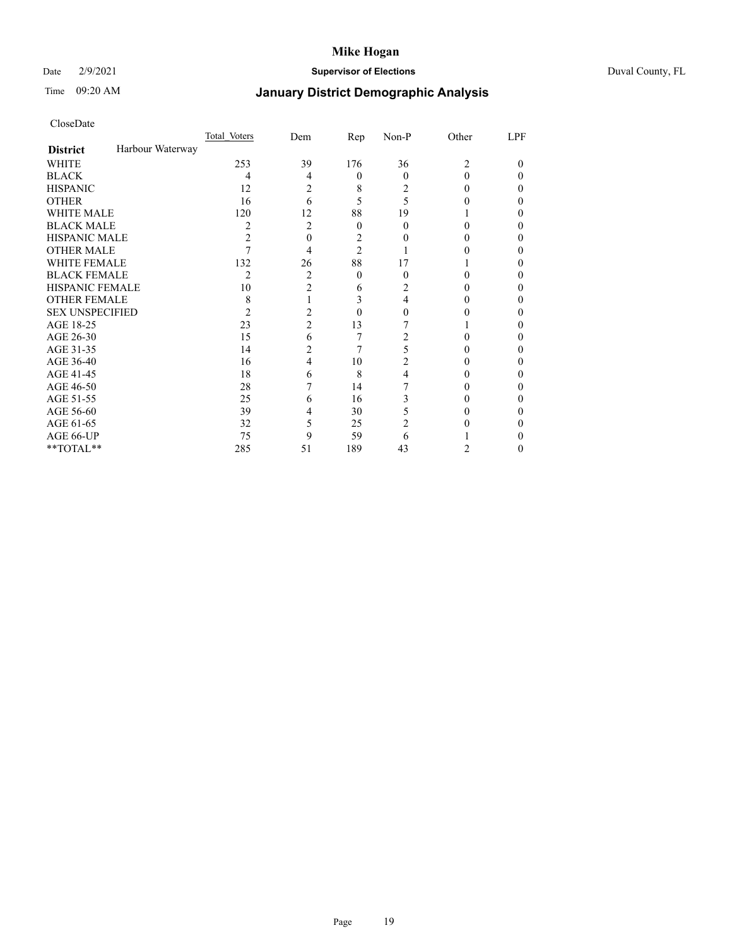### Date 2/9/2021 **Supervisor of Elections** Duval County, FL

# Time 09:20 AM **January District Demographic Analysis**

|                        |                  | Total Voters   | Dem            | Rep            | Non-P    | Other          | LPF |
|------------------------|------------------|----------------|----------------|----------------|----------|----------------|-----|
| <b>District</b>        | Harbour Waterway |                |                |                |          |                |     |
| <b>WHITE</b>           |                  | 253            | 39             | 176            | 36       | $\overline{c}$ | 0   |
| <b>BLACK</b>           |                  | 4              | 4              | $\theta$       | $\Omega$ | 0              | 0   |
| <b>HISPANIC</b>        |                  | 12             | 2              | 8              | 2        | 0              | 0   |
| <b>OTHER</b>           |                  | 16             | 6              | 5              | 5        |                | 0   |
| WHITE MALE             |                  | 120            | 12             | 88             | 19       |                |     |
| <b>BLACK MALE</b>      |                  | 2              | 2              | $\theta$       | 0        | 0              |     |
| <b>HISPANIC MALE</b>   |                  | 2              | 0              | 2              |          |                |     |
| <b>OTHER MALE</b>      |                  |                | 4              | $\overline{2}$ |          |                | 0   |
| <b>WHITE FEMALE</b>    |                  | 132            | 26             | 88             | 17       |                |     |
| <b>BLACK FEMALE</b>    |                  | $\overline{c}$ | $\overline{c}$ | $\theta$       | 0        | 0              | 0   |
| <b>HISPANIC FEMALE</b> |                  | 10             | $\overline{2}$ | 6              | 2        |                |     |
| <b>OTHER FEMALE</b>    |                  | 8              |                | 3              | 4        |                | 0   |
| <b>SEX UNSPECIFIED</b> |                  | 2              | 2              | $\theta$       | 0        |                |     |
| AGE 18-25              |                  | 23             | 2              | 13             |          |                |     |
| AGE 26-30              |                  | 15             | 6              | 7              | 2        |                | 0   |
| AGE 31-35              |                  | 14             | 2              | 7              | 5        |                |     |
| AGE 36-40              |                  | 16             | 4              | 10             | 2        | 0              | 0   |
| AGE 41-45              |                  | 18             | 6              | 8              | 4        |                | 0   |
| AGE 46-50              |                  | 28             |                | 14             |          |                | 0   |
| AGE 51-55              |                  | 25             | 6              | 16             | 3        |                |     |
| AGE 56-60              |                  | 39             | 4              | 30             | 5        |                |     |
| AGE 61-65              |                  | 32             | 5              | 25             | 2        |                |     |
| AGE 66-UP              |                  | 75             | 9              | 59             | 6        |                |     |
| **TOTAL**              |                  | 285            | 51             | 189            | 43       | 2              | 0   |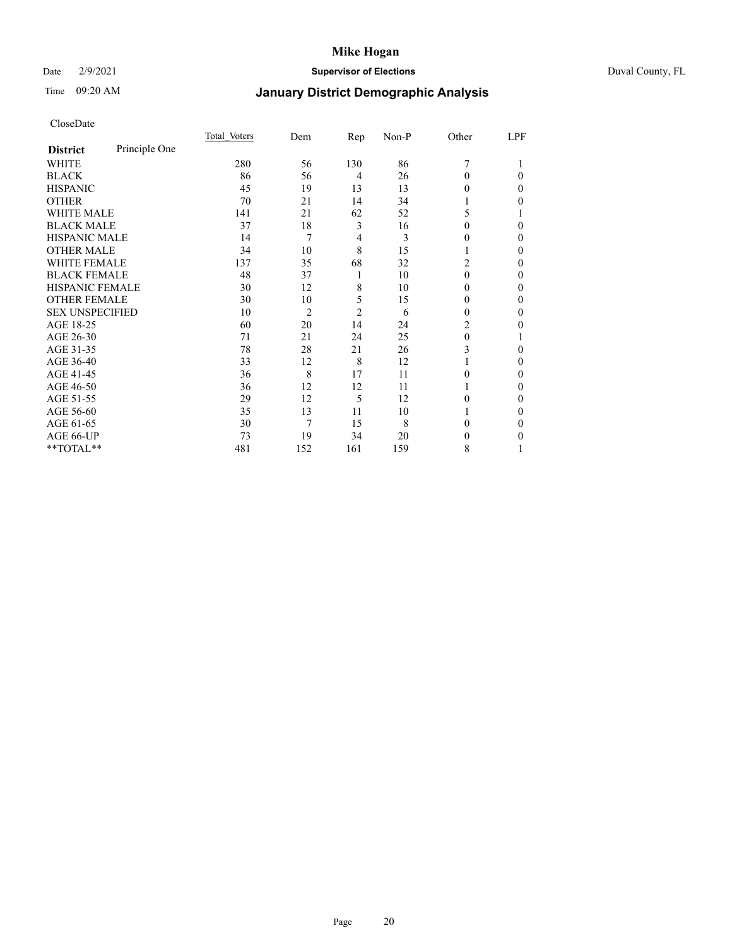### Date 2/9/2021 **Supervisor of Elections** Duval County, FL

# Time 09:20 AM **January District Demographic Analysis**

|                        |               | Total Voters | Dem            | Rep            | Non-P | Other        | LPF |
|------------------------|---------------|--------------|----------------|----------------|-------|--------------|-----|
| <b>District</b>        | Principle One |              |                |                |       |              |     |
| WHITE                  |               | 280          | 56             | 130            | 86    | 7            |     |
| <b>BLACK</b>           |               | 86           | 56             | $\overline{4}$ | 26    | 0            | 0   |
| <b>HISPANIC</b>        |               | 45           | 19             | 13             | 13    | 0            | 0   |
| <b>OTHER</b>           |               | 70           | 21             | 14             | 34    |              | 0   |
| <b>WHITE MALE</b>      |               | 141          | 21             | 62             | 52    | 5            |     |
| <b>BLACK MALE</b>      |               | 37           | 18             | 3              | 16    | 0            | 0   |
| <b>HISPANIC MALE</b>   |               | 14           | 7              | 4              | 3     | $_{0}$       | 0   |
| <b>OTHER MALE</b>      |               | 34           | 10             | 8              | 15    | 1            | 0   |
| <b>WHITE FEMALE</b>    |               | 137          | 35             | 68             | 32    | 2            | 0   |
| <b>BLACK FEMALE</b>    |               | 48           | 37             | 1              | 10    | $\theta$     | 0   |
| HISPANIC FEMALE        |               | 30           | 12             | 8              | 10    | 0            | 0   |
| <b>OTHER FEMALE</b>    |               | 30           | 10             | 5              | 15    | 0            | 0   |
| <b>SEX UNSPECIFIED</b> |               | 10           | $\overline{2}$ | $\overline{2}$ | 6     | 0            | 0   |
| AGE 18-25              |               | 60           | 20             | 14             | 24    | 2            | 0   |
| AGE 26-30              |               | 71           | 21             | 24             | 25    | $\mathbf{0}$ |     |
| AGE 31-35              |               | 78           | 28             | 21             | 26    | 3            | 0   |
| AGE 36-40              |               | 33           | 12             | 8              | 12    |              | 0   |
| AGE 41-45              |               | 36           | 8              | 17             | 11    | 0            | 0   |
| AGE 46-50              |               | 36           | 12             | 12             | 11    | 1            | 0   |
| AGE 51-55              |               | 29           | 12             | 5              | 12    | 0            | 0   |
| AGE 56-60              |               | 35           | 13             | 11             | 10    |              | 0   |
| AGE 61-65              |               | 30           | 7              | 15             | 8     | 0            | 0   |
| AGE 66-UP              |               | 73           | 19             | 34             | 20    | 0            | 0   |
| **TOTAL**              |               | 481          | 152            | 161            | 159   | 8            |     |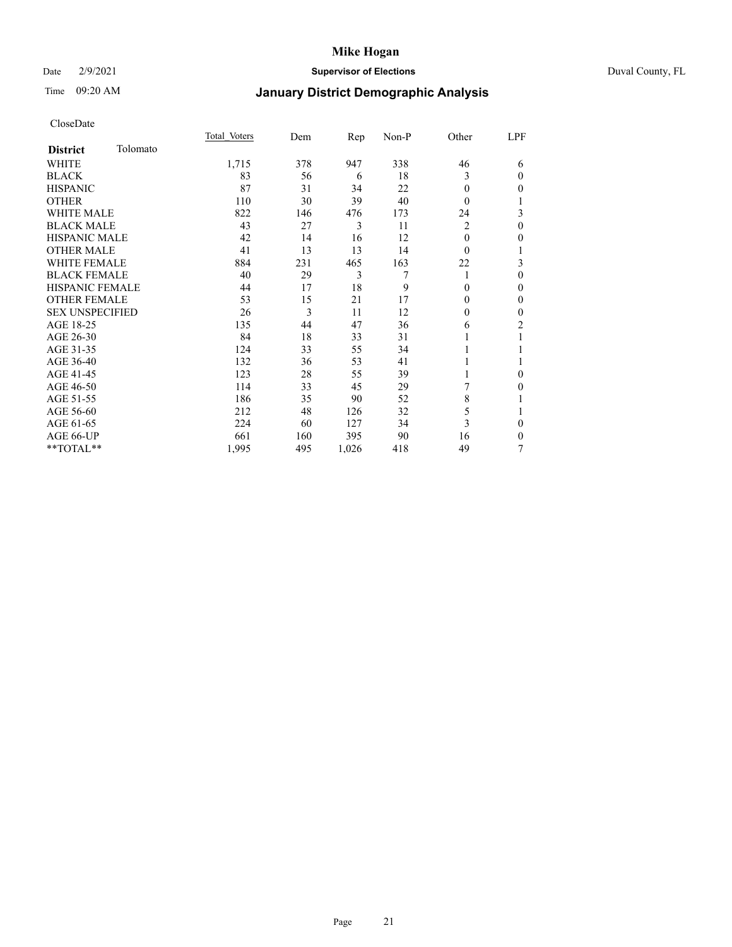### Date 2/9/2021 **Supervisor of Elections** Duval County, FL

# Time 09:20 AM **January District Demographic Analysis**

|                        |          | Total Voters | Dem | Rep   | Non-P | Other        | LPF            |
|------------------------|----------|--------------|-----|-------|-------|--------------|----------------|
| <b>District</b>        | Tolomato |              |     |       |       |              |                |
| WHITE                  |          | 1,715        | 378 | 947   | 338   | 46           | 6              |
| <b>BLACK</b>           |          | 83           | 56  | 6     | 18    | 3            | $\theta$       |
| <b>HISPANIC</b>        |          | 87           | 31  | 34    | 22    | 0            | $\mathbf{0}$   |
| <b>OTHER</b>           |          | 110          | 30  | 39    | 40    | $\theta$     | 1              |
| <b>WHITE MALE</b>      |          | 822          | 146 | 476   | 173   | 24           | 3              |
| <b>BLACK MALE</b>      |          | 43           | 27  | 3     | 11    | 2            | $\mathbf{0}$   |
| HISPANIC MALE          |          | 42           | 14  | 16    | 12    | 0            | $\theta$       |
| <b>OTHER MALE</b>      |          | 41           | 13  | 13    | 14    | 0            | 1              |
| <b>WHITE FEMALE</b>    |          | 884          | 231 | 465   | 163   | 22           | 3              |
| <b>BLACK FEMALE</b>    |          | 40           | 29  | 3     | 7     | 1            | $\theta$       |
| <b>HISPANIC FEMALE</b> |          | 44           | 17  | 18    | 9     | 0            | $\mathbf{0}$   |
| <b>OTHER FEMALE</b>    |          | 53           | 15  | 21    | 17    | 0            | $\mathbf{0}$   |
| <b>SEX UNSPECIFIED</b> |          | 26           | 3   | 11    | 12    | $\mathbf{0}$ | $\mathbf{0}$   |
| AGE 18-25              |          | 135          | 44  | 47    | 36    | 6            | $\overline{c}$ |
| AGE 26-30              |          | 84           | 18  | 33    | 31    |              | 1              |
| AGE 31-35              |          | 124          | 33  | 55    | 34    |              | 1              |
| AGE 36-40              |          | 132          | 36  | 53    | 41    |              | 1              |
| AGE 41-45              |          | 123          | 28  | 55    | 39    |              | $\mathbf{0}$   |
| AGE 46-50              |          | 114          | 33  | 45    | 29    | 7            | $\mathbf{0}$   |
| AGE 51-55              |          | 186          | 35  | 90    | 52    | 8            | 1              |
| AGE 56-60              |          | 212          | 48  | 126   | 32    | 5            | 1              |
| AGE 61-65              |          | 224          | 60  | 127   | 34    | 3            | $\theta$       |
| AGE 66-UP              |          | 661          | 160 | 395   | 90    | 16           | $\mathbf{0}$   |
| **TOTAL**              |          | 1,995        | 495 | 1,026 | 418   | 49           | 7              |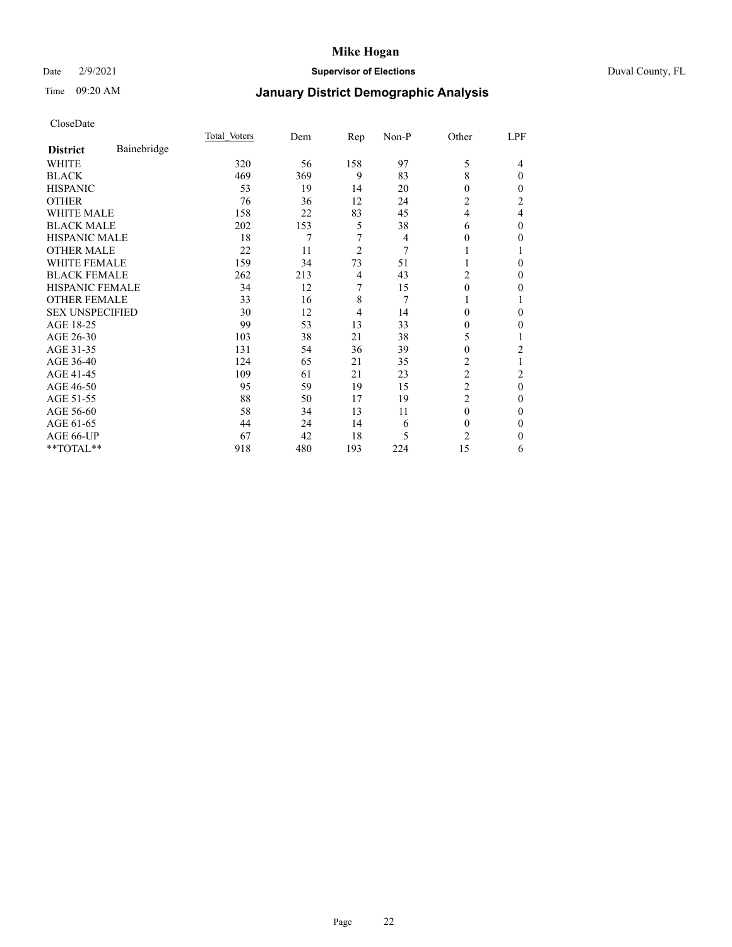### Date 2/9/2021 **Supervisor of Elections** Duval County, FL

# Time 09:20 AM **January District Demographic Analysis**

|                        |             | Total Voters | Dem | Rep            | Non-P | Other          | LPF      |
|------------------------|-------------|--------------|-----|----------------|-------|----------------|----------|
| <b>District</b>        | Bainebridge |              |     |                |       |                |          |
| WHITE                  |             | 320          | 56  | 158            | 97    | 5              | 4        |
| <b>BLACK</b>           |             | 469          | 369 | 9              | 83    | 8              | 0        |
| <b>HISPANIC</b>        |             | 53           | 19  | 14             | 20    | $\theta$       | 0        |
| <b>OTHER</b>           |             | 76           | 36  | 12             | 24    | $\overline{c}$ | 2        |
| <b>WHITE MALE</b>      |             | 158          | 22  | 83             | 45    | 4              | 4        |
| <b>BLACK MALE</b>      |             | 202          | 153 | 5              | 38    | 6              | 0        |
| <b>HISPANIC MALE</b>   |             | 18           | 7   | 7              | 4     | $\bf{0}$       | 0        |
| <b>OTHER MALE</b>      |             | 22           | 11  | $\overline{2}$ | 7     | 1              | 1        |
| <b>WHITE FEMALE</b>    |             | 159          | 34  | 73             | 51    |                | 0        |
| <b>BLACK FEMALE</b>    |             | 262          | 213 | 4              | 43    | 2              | 0        |
| <b>HISPANIC FEMALE</b> |             | 34           | 12  | 7              | 15    | $\theta$       | 0        |
| <b>OTHER FEMALE</b>    |             | 33           | 16  | 8              | 7     | 1              |          |
| <b>SEX UNSPECIFIED</b> |             | 30           | 12  | $\overline{4}$ | 14    | $\theta$       | 0        |
| AGE 18-25              |             | 99           | 53  | 13             | 33    | 0              | 0        |
| AGE 26-30              |             | 103          | 38  | 21             | 38    | 5              |          |
| AGE 31-35              |             | 131          | 54  | 36             | 39    | 0              | 2        |
| AGE 36-40              |             | 124          | 65  | 21             | 35    | 2              |          |
| AGE 41-45              |             | 109          | 61  | 21             | 23    | $\overline{c}$ | 2        |
| AGE 46-50              |             | 95           | 59  | 19             | 15    | 2              | $\theta$ |
| AGE 51-55              |             | 88           | 50  | 17             | 19    | $\overline{c}$ | 0        |
| AGE 56-60              |             | 58           | 34  | 13             | 11    | $\theta$       | 0        |
| AGE 61-65              |             | 44           | 24  | 14             | 6     | $\mathbf{0}$   | 0        |
| AGE 66-UP              |             | 67           | 42  | 18             | 5     | $\overline{c}$ | 0        |
| **TOTAL**              |             | 918          | 480 | 193            | 224   | 15             | 6        |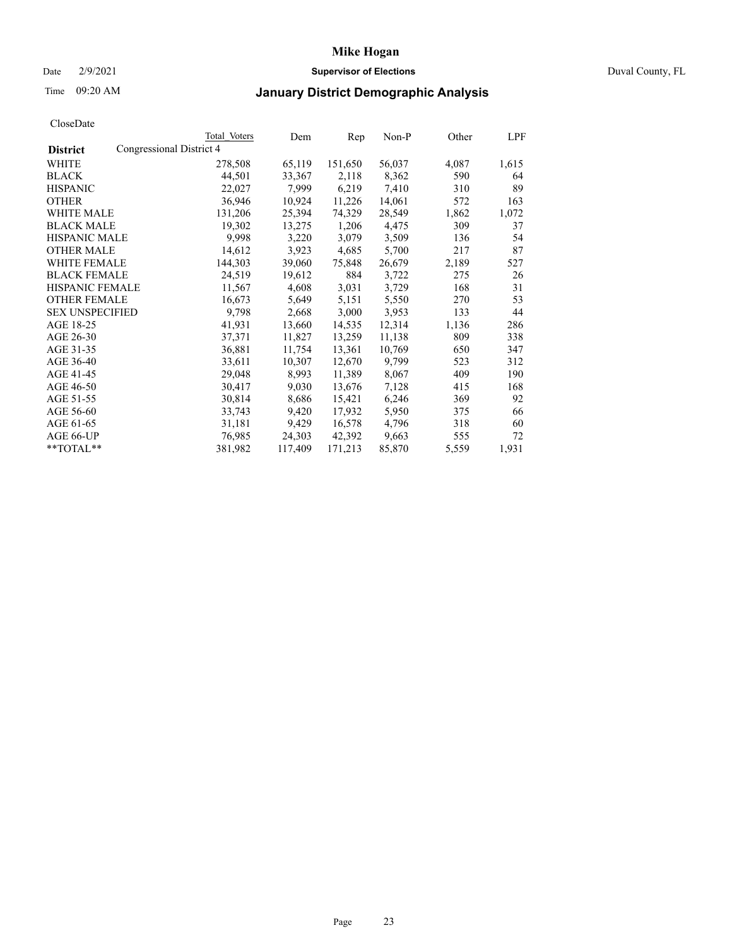### Date 2/9/2021 **Supervisor of Elections** Duval County, FL

## Time 09:20 AM **January District Demographic Analysis**

|                        |                          | Total Voters | Dem     | Rep     | $Non-P$ | Other | LPF   |
|------------------------|--------------------------|--------------|---------|---------|---------|-------|-------|
| <b>District</b>        | Congressional District 4 |              |         |         |         |       |       |
| WHITE                  |                          | 278,508      | 65,119  | 151,650 | 56,037  | 4,087 | 1,615 |
| <b>BLACK</b>           |                          | 44,501       | 33,367  | 2,118   | 8,362   | 590   | 64    |
| <b>HISPANIC</b>        |                          | 22,027       | 7.999   | 6,219   | 7,410   | 310   | 89    |
| <b>OTHER</b>           |                          | 36,946       | 10,924  | 11,226  | 14,061  | 572   | 163   |
| <b>WHITE MALE</b>      |                          | 131,206      | 25,394  | 74,329  | 28,549  | 1,862 | 1,072 |
| <b>BLACK MALE</b>      |                          | 19,302       | 13,275  | 1,206   | 4,475   | 309   | 37    |
| <b>HISPANIC MALE</b>   |                          | 9,998        | 3,220   | 3,079   | 3,509   | 136   | 54    |
| <b>OTHER MALE</b>      |                          | 14,612       | 3,923   | 4,685   | 5,700   | 217   | 87    |
| <b>WHITE FEMALE</b>    |                          | 144,303      | 39,060  | 75,848  | 26,679  | 2,189 | 527   |
| <b>BLACK FEMALE</b>    |                          | 24,519       | 19,612  | 884     | 3,722   | 275   | 26    |
| HISPANIC FEMALE        |                          | 11,567       | 4,608   | 3,031   | 3,729   | 168   | 31    |
| <b>OTHER FEMALE</b>    |                          | 16,673       | 5,649   | 5,151   | 5,550   | 270   | 53    |
| <b>SEX UNSPECIFIED</b> |                          | 9,798        | 2,668   | 3,000   | 3,953   | 133   | 44    |
| AGE 18-25              |                          | 41,931       | 13,660  | 14,535  | 12,314  | 1,136 | 286   |
| AGE 26-30              |                          | 37,371       | 11,827  | 13,259  | 11,138  | 809   | 338   |
| AGE 31-35              |                          | 36,881       | 11,754  | 13,361  | 10,769  | 650   | 347   |
| AGE 36-40              |                          | 33,611       | 10,307  | 12,670  | 9,799   | 523   | 312   |
| AGE 41-45              |                          | 29,048       | 8,993   | 11,389  | 8,067   | 409   | 190   |
| AGE 46-50              |                          | 30,417       | 9,030   | 13,676  | 7,128   | 415   | 168   |
| AGE 51-55              |                          | 30,814       | 8,686   | 15,421  | 6,246   | 369   | 92    |
| AGE 56-60              |                          | 33,743       | 9,420   | 17,932  | 5,950   | 375   | 66    |
| AGE 61-65              |                          | 31,181       | 9,429   | 16,578  | 4,796   | 318   | 60    |
| AGE 66-UP              |                          | 76,985       | 24,303  | 42,392  | 9,663   | 555   | 72    |
| **TOTAL**              |                          | 381,982      | 117,409 | 171,213 | 85,870  | 5,559 | 1,931 |
|                        |                          |              |         |         |         |       |       |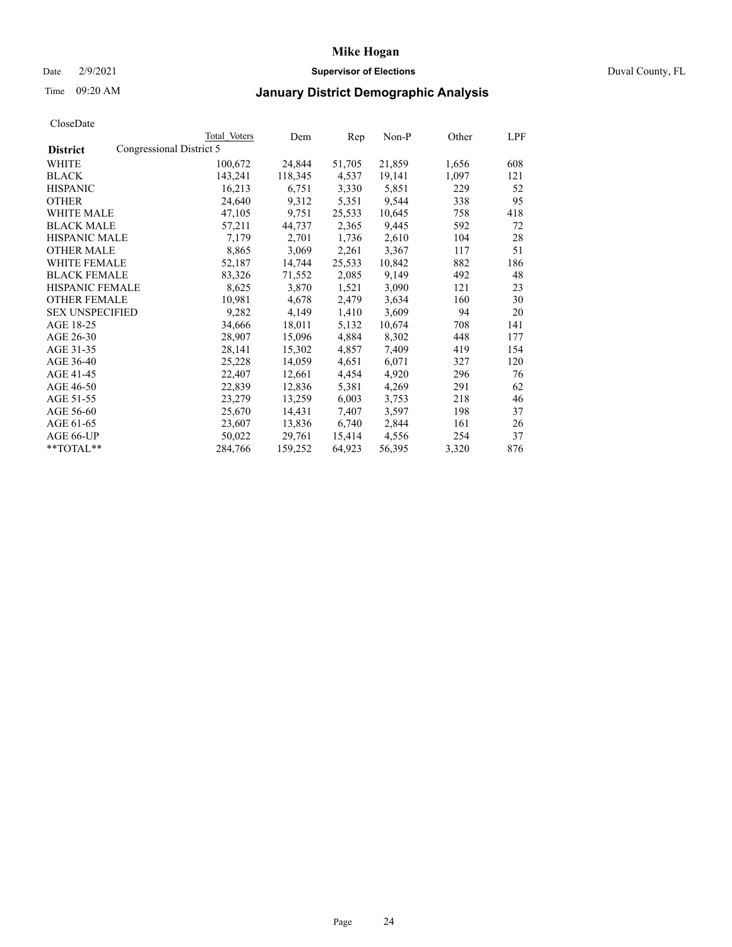### Date 2/9/2021 **Supervisor of Elections** Duval County, FL

# Time 09:20 AM **January District Demographic Analysis**

|                        |                          | Total Voters | Dem     | Rep    | Non-P  | Other | LPF |
|------------------------|--------------------------|--------------|---------|--------|--------|-------|-----|
| <b>District</b>        | Congressional District 5 |              |         |        |        |       |     |
| WHITE                  |                          | 100,672      | 24,844  | 51,705 | 21,859 | 1,656 | 608 |
| <b>BLACK</b>           |                          | 143,241      | 118,345 | 4,537  | 19,141 | 1,097 | 121 |
| <b>HISPANIC</b>        |                          | 16,213       | 6,751   | 3,330  | 5,851  | 229   | 52  |
| <b>OTHER</b>           |                          | 24,640       | 9,312   | 5,351  | 9,544  | 338   | 95  |
| <b>WHITE MALE</b>      |                          | 47,105       | 9,751   | 25,533 | 10,645 | 758   | 418 |
| <b>BLACK MALE</b>      |                          | 57,211       | 44,737  | 2,365  | 9,445  | 592   | 72  |
| <b>HISPANIC MALE</b>   |                          | 7,179        | 2,701   | 1,736  | 2,610  | 104   | 28  |
| <b>OTHER MALE</b>      |                          | 8,865        | 3,069   | 2,261  | 3,367  | 117   | 51  |
| <b>WHITE FEMALE</b>    |                          | 52,187       | 14,744  | 25,533 | 10,842 | 882   | 186 |
| <b>BLACK FEMALE</b>    |                          | 83,326       | 71,552  | 2,085  | 9,149  | 492   | 48  |
| <b>HISPANIC FEMALE</b> |                          | 8,625        | 3,870   | 1,521  | 3,090  | 121   | 23  |
| <b>OTHER FEMALE</b>    |                          | 10,981       | 4,678   | 2,479  | 3,634  | 160   | 30  |
| <b>SEX UNSPECIFIED</b> |                          | 9,282        | 4,149   | 1,410  | 3,609  | 94    | 20  |
| AGE 18-25              |                          | 34,666       | 18,011  | 5,132  | 10,674 | 708   | 141 |
| AGE 26-30              |                          | 28,907       | 15,096  | 4,884  | 8,302  | 448   | 177 |
| AGE 31-35              |                          | 28,141       | 15,302  | 4,857  | 7,409  | 419   | 154 |
| AGE 36-40              |                          | 25,228       | 14,059  | 4,651  | 6,071  | 327   | 120 |
| AGE 41-45              |                          | 22,407       | 12,661  | 4,454  | 4,920  | 296   | 76  |
| AGE 46-50              |                          | 22,839       | 12,836  | 5,381  | 4,269  | 291   | 62  |
| AGE 51-55              |                          | 23,279       | 13,259  | 6,003  | 3,753  | 218   | 46  |
| AGE 56-60              |                          | 25,670       | 14,431  | 7,407  | 3,597  | 198   | 37  |
| AGE 61-65              |                          | 23,607       | 13,836  | 6,740  | 2,844  | 161   | 26  |
| AGE 66-UP              |                          | 50,022       | 29,761  | 15,414 | 4,556  | 254   | 37  |
| **TOTAL**              |                          | 284,766      | 159,252 | 64,923 | 56,395 | 3,320 | 876 |
|                        |                          |              |         |        |        |       |     |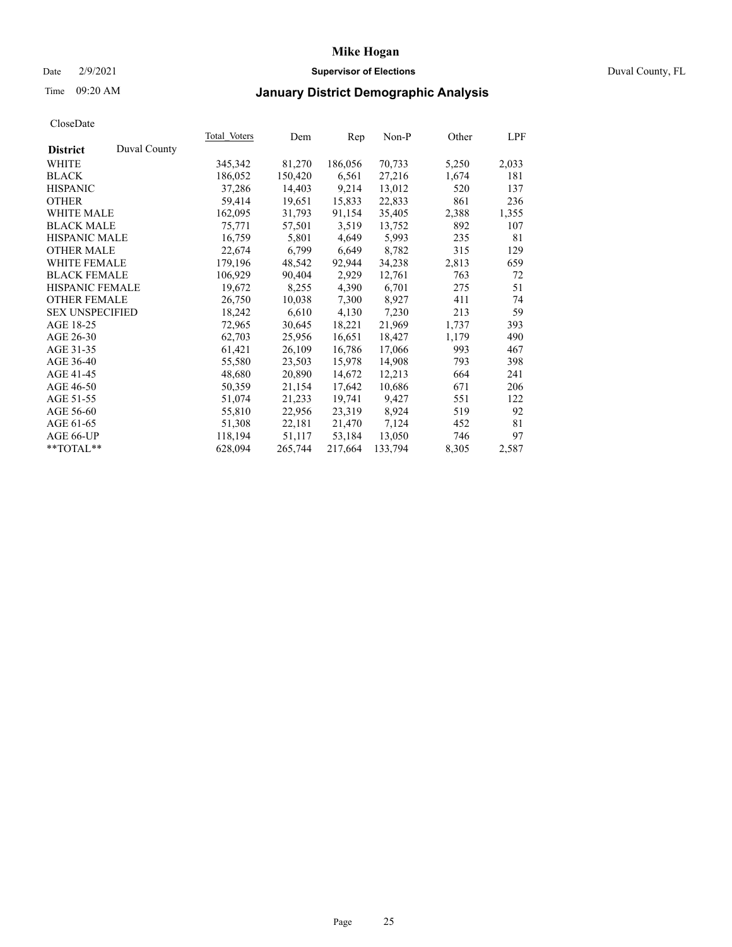### Date 2/9/2021 **Supervisor of Elections** Duval County, FL

## Time 09:20 AM **January District Demographic Analysis**

|                        |              | Total Voters | Dem     | Rep     | Non-P   | Other | LPF   |
|------------------------|--------------|--------------|---------|---------|---------|-------|-------|
| <b>District</b>        | Duval County |              |         |         |         |       |       |
| WHITE                  |              | 345,342      | 81,270  | 186,056 | 70,733  | 5,250 | 2,033 |
| <b>BLACK</b>           |              | 186,052      | 150,420 | 6,561   | 27,216  | 1,674 | 181   |
| <b>HISPANIC</b>        |              | 37,286       | 14,403  | 9,214   | 13,012  | 520   | 137   |
| <b>OTHER</b>           |              | 59,414       | 19,651  | 15,833  | 22,833  | 861   | 236   |
| <b>WHITE MALE</b>      |              | 162,095      | 31,793  | 91,154  | 35,405  | 2,388 | 1,355 |
| <b>BLACK MALE</b>      |              | 75,771       | 57,501  | 3,519   | 13,752  | 892   | 107   |
| <b>HISPANIC MALE</b>   |              | 16,759       | 5,801   | 4,649   | 5,993   | 235   | 81    |
| <b>OTHER MALE</b>      |              | 22,674       | 6,799   | 6,649   | 8,782   | 315   | 129   |
| <b>WHITE FEMALE</b>    |              | 179,196      | 48,542  | 92,944  | 34,238  | 2,813 | 659   |
| <b>BLACK FEMALE</b>    |              | 106,929      | 90,404  | 2,929   | 12,761  | 763   | 72    |
| <b>HISPANIC FEMALE</b> |              | 19,672       | 8,255   | 4,390   | 6,701   | 275   | 51    |
| <b>OTHER FEMALE</b>    |              | 26,750       | 10,038  | 7,300   | 8,927   | 411   | 74    |
| <b>SEX UNSPECIFIED</b> |              | 18,242       | 6,610   | 4,130   | 7,230   | 213   | 59    |
| AGE 18-25              |              | 72,965       | 30,645  | 18,221  | 21,969  | 1,737 | 393   |
| AGE 26-30              |              | 62,703       | 25,956  | 16,651  | 18,427  | 1,179 | 490   |
| AGE 31-35              |              | 61,421       | 26,109  | 16,786  | 17,066  | 993   | 467   |
| AGE 36-40              |              | 55,580       | 23,503  | 15,978  | 14,908  | 793   | 398   |
| AGE 41-45              |              | 48,680       | 20,890  | 14,672  | 12,213  | 664   | 241   |
| AGE 46-50              |              | 50,359       | 21,154  | 17,642  | 10,686  | 671   | 206   |
| AGE 51-55              |              | 51,074       | 21,233  | 19,741  | 9,427   | 551   | 122   |
| AGE 56-60              |              | 55,810       | 22,956  | 23,319  | 8,924   | 519   | 92    |
| AGE 61-65              |              | 51,308       | 22,181  | 21,470  | 7,124   | 452   | 81    |
| AGE 66-UP              |              | 118,194      | 51,117  | 53,184  | 13,050  | 746   | 97    |
| $*$ TOTAL $*$          |              | 628,094      | 265,744 | 217,664 | 133,794 | 8,305 | 2,587 |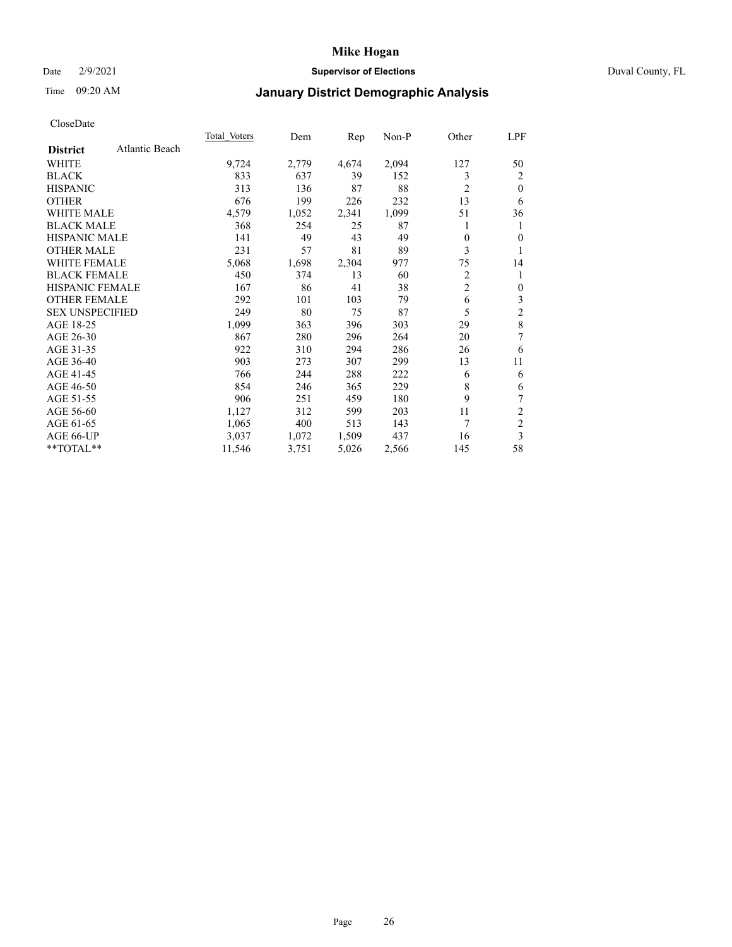### Date 2/9/2021 **Supervisor of Elections** Duval County, FL

## Time 09:20 AM **January District Demographic Analysis**

|                        |                | <b>Total Voters</b> | Dem   | Rep   | $Non-P$ | Other          | LPF            |
|------------------------|----------------|---------------------|-------|-------|---------|----------------|----------------|
| <b>District</b>        | Atlantic Beach |                     |       |       |         |                |                |
| WHITE                  |                | 9,724               | 2,779 | 4,674 | 2,094   | 127            | 50             |
| <b>BLACK</b>           |                | 833                 | 637   | 39    | 152     | 3              | 2              |
| <b>HISPANIC</b>        |                | 313                 | 136   | 87    | 88      | $\overline{2}$ | $\theta$       |
| <b>OTHER</b>           |                | 676                 | 199   | 226   | 232     | 13             | 6              |
| <b>WHITE MALE</b>      |                | 4,579               | 1,052 | 2,341 | 1,099   | 51             | 36             |
| <b>BLACK MALE</b>      |                | 368                 | 254   | 25    | 87      | 1              | 1              |
| <b>HISPANIC MALE</b>   |                | 141                 | 49    | 43    | 49      | $\theta$       | $\theta$       |
| <b>OTHER MALE</b>      |                | 231                 | 57    | 81    | 89      | 3              |                |
| <b>WHITE FEMALE</b>    |                | 5,068               | 1,698 | 2,304 | 977     | 75             | 14             |
| <b>BLACK FEMALE</b>    |                | 450                 | 374   | 13    | 60      | $\overline{2}$ |                |
| HISPANIC FEMALE        |                | 167                 | 86    | 41    | 38      | $\overline{2}$ | $\mathbf{0}$   |
| <b>OTHER FEMALE</b>    |                | 292                 | 101   | 103   | 79      | 6              | 3              |
| <b>SEX UNSPECIFIED</b> |                | 249                 | 80    | 75    | 87      | 5              | 2              |
| AGE 18-25              |                | 1,099               | 363   | 396   | 303     | 29             | 8              |
| AGE 26-30              |                | 867                 | 280   | 296   | 264     | 20             | 7              |
| AGE 31-35              |                | 922                 | 310   | 294   | 286     | 26             | 6              |
| AGE 36-40              |                | 903                 | 273   | 307   | 299     | 13             | 11             |
| AGE 41-45              |                | 766                 | 244   | 288   | 222     | 6              | 6              |
| AGE 46-50              |                | 854                 | 246   | 365   | 229     | 8              | 6              |
| AGE 51-55              |                | 906                 | 251   | 459   | 180     | 9              |                |
| AGE 56-60              |                | 1,127               | 312   | 599   | 203     | 11             | 2              |
| AGE 61-65              |                | 1,065               | 400   | 513   | 143     | 7              | $\overline{c}$ |
| AGE 66-UP              |                | 3,037               | 1,072 | 1,509 | 437     | 16             | 3              |
| **TOTAL**              |                | 11,546              | 3,751 | 5,026 | 2,566   | 145            | 58             |
|                        |                |                     |       |       |         |                |                |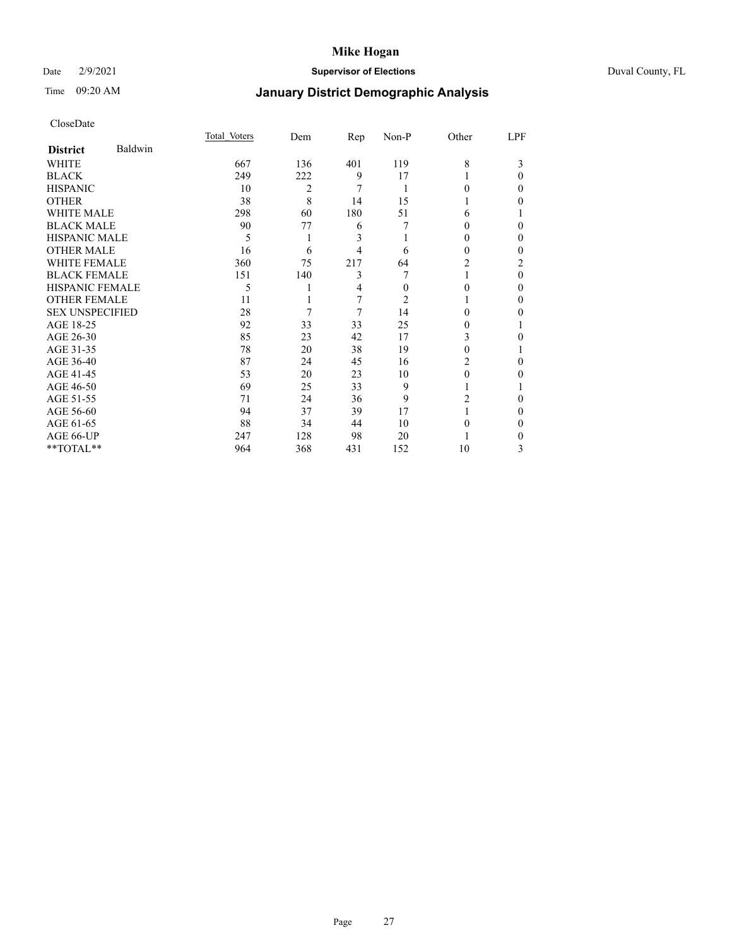### Date 2/9/2021 **Supervisor of Elections** Duval County, FL

# Time 09:20 AM **January District Demographic Analysis**

|                        |         | Total Voters | Dem | Rep | Non-P | Other          | LPF      |
|------------------------|---------|--------------|-----|-----|-------|----------------|----------|
| <b>District</b>        | Baldwin |              |     |     |       |                |          |
| WHITE                  |         | 667          | 136 | 401 | 119   | 8              | 3        |
| <b>BLACK</b>           |         | 249          | 222 | 9   | 17    |                | $\Omega$ |
| <b>HISPANIC</b>        |         | 10           | 2   | 7   | 1     | 0              | 0        |
| <b>OTHER</b>           |         | 38           | 8   | 14  | 15    |                | 0        |
| <b>WHITE MALE</b>      |         | 298          | 60  | 180 | 51    | 6              |          |
| <b>BLACK MALE</b>      |         | 90           | 77  | 6   | 7     | 0              | 0        |
| <b>HISPANIC MALE</b>   |         | 5            | 1   | 3   |       | 0              | 0        |
| <b>OTHER MALE</b>      |         | 16           | 6   | 4   | 6     | 0              | 0        |
| <b>WHITE FEMALE</b>    |         | 360          | 75  | 217 | 64    | $\overline{c}$ | 2        |
| <b>BLACK FEMALE</b>    |         | 151          | 140 | 3   |       |                | $\Omega$ |
| <b>HISPANIC FEMALE</b> |         | 5            |     | 4   | 0     | 0              | $\Omega$ |
| <b>OTHER FEMALE</b>    |         | 11           |     | 7   | 2     |                | 0        |
| <b>SEX UNSPECIFIED</b> |         | 28           | 7   | 7   | 14    | 0              | 0        |
| AGE 18-25              |         | 92           | 33  | 33  | 25    | 0              |          |
| AGE 26-30              |         | 85           | 23  | 42  | 17    | 3              | 0        |
| AGE 31-35              |         | 78           | 20  | 38  | 19    | 0              |          |
| AGE 36-40              |         | 87           | 24  | 45  | 16    | 2              | 0        |
| AGE 41-45              |         | 53           | 20  | 23  | 10    | 0              | 0        |
| AGE 46-50              |         | 69           | 25  | 33  | 9     |                |          |
| AGE 51-55              |         | 71           | 24  | 36  | 9     | 2              | 0        |
| AGE 56-60              |         | 94           | 37  | 39  | 17    |                | 0        |
| AGE 61-65              |         | 88           | 34  | 44  | 10    | $_{0}$         | 0        |
| AGE 66-UP              |         | 247          | 128 | 98  | 20    |                | 0        |
| **TOTAL**              |         | 964          | 368 | 431 | 152   | 10             | 3        |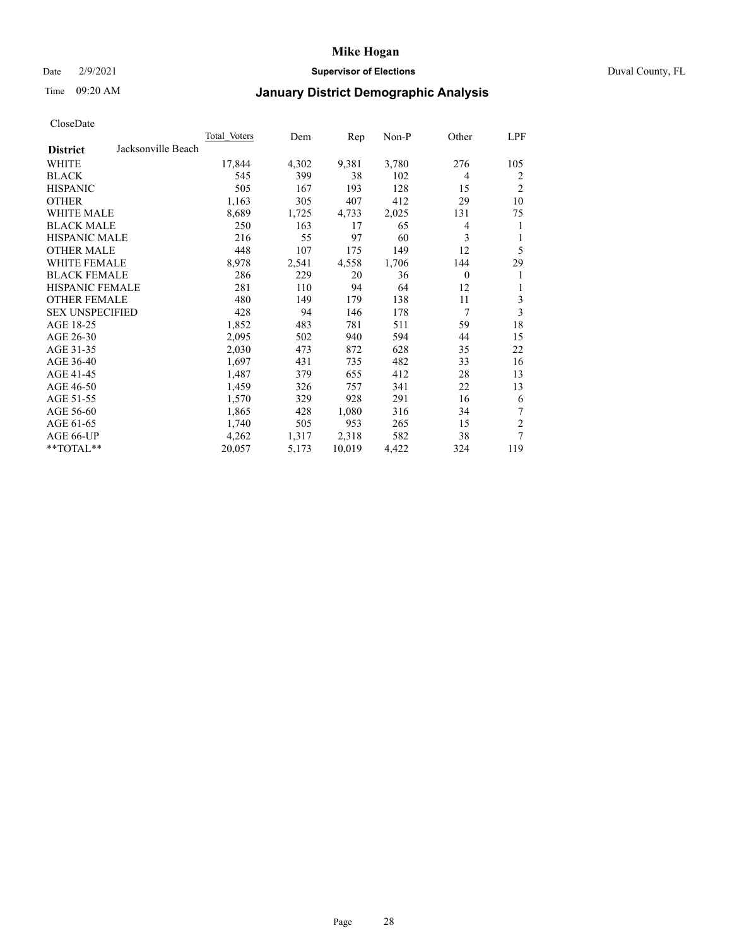### Date 2/9/2021 **Supervisor of Elections** Duval County, FL

# Time 09:20 AM **January District Demographic Analysis**

| <b>Total Voters</b> | Dem   | Rep    | Non-P |          | LPF            |
|---------------------|-------|--------|-------|----------|----------------|
|                     |       |        |       |          |                |
| 17,844              | 4,302 | 9,381  | 3,780 | 276      | 105            |
| 545                 | 399   | 38     | 102   | 4        | 2              |
| 505                 | 167   | 193    | 128   | 15       | $\overline{2}$ |
| 1,163               | 305   | 407    | 412   | 29       | 10             |
| 8,689               | 1,725 | 4,733  | 2,025 | 131      | 75             |
| 250                 | 163   | 17     | 65    | 4        | 1              |
| 216                 | 55    | 97     | 60    | 3        | 1              |
| 448                 | 107   | 175    | 149   | 12       | 5              |
| 8,978               | 2,541 | 4,558  | 1,706 | 144      | 29             |
| 286                 | 229   | 20     | 36    | $\theta$ | 1              |
| 281                 | 110   | 94     | 64    | 12       | 1              |
| 480                 | 149   | 179    | 138   | 11       | 3              |
| 428                 | 94    | 146    | 178   | 7        | 3              |
| 1,852               | 483   | 781    | 511   | 59       | 18             |
| 2,095               | 502   | 940    | 594   | 44       | 15             |
| 2,030               | 473   | 872    | 628   | 35       | 22             |
| 1,697               | 431   | 735    | 482   | 33       | 16             |
| 1,487               | 379   | 655    | 412   | 28       | 13             |
| 1,459               | 326   | 757    | 341   | 22       | 13             |
| 1,570               | 329   | 928    | 291   | 16       | 6              |
| 1,865               | 428   | 1,080  | 316   | 34       | 7              |
| 1,740               | 505   | 953    | 265   | 15       | $\overline{c}$ |
| 4,262               | 1,317 | 2,318  | 582   | 38       | 7              |
| 20,057              | 5,173 | 10,019 | 4,422 | 324      | 119            |
|                     |       |        |       |          | Other          |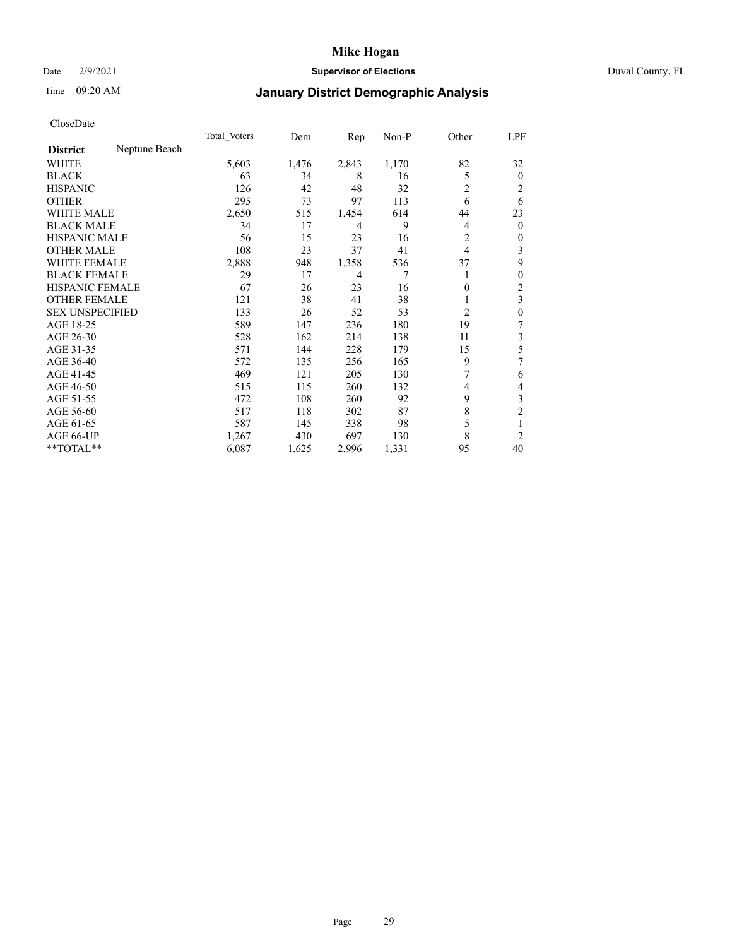### Date 2/9/2021 **Supervisor of Elections** Duval County, FL

# Time 09:20 AM **January District Demographic Analysis**

|                        |               | Total Voters | Dem   | $\mathbf{Rep}$ | Non-P | Other          | LPF            |
|------------------------|---------------|--------------|-------|----------------|-------|----------------|----------------|
| <b>District</b>        | Neptune Beach |              |       |                |       |                |                |
| WHITE                  |               | 5,603        | 1,476 | 2,843          | 1,170 | 82             | 32             |
| <b>BLACK</b>           |               | 63           | 34    | 8              | 16    | 5              | $\overline{0}$ |
| <b>HISPANIC</b>        |               | 126          | 42    | 48             | 32    | 2              | 2              |
| <b>OTHER</b>           |               | 295          | 73    | 97             | 113   | 6              | 6              |
| <b>WHITE MALE</b>      |               | 2,650        | 515   | 1,454          | 614   | 44             | 23             |
| <b>BLACK MALE</b>      |               | 34           | 17    | 4              | 9     | 4              | $\overline{0}$ |
| <b>HISPANIC MALE</b>   |               | 56           | 15    | 23             | 16    | 2              | 0              |
| <b>OTHER MALE</b>      |               | 108          | 23    | 37             | 41    | $\overline{4}$ | 3              |
| <b>WHITE FEMALE</b>    |               | 2,888        | 948   | 1,358          | 536   | 37             | 9              |
| <b>BLACK FEMALE</b>    |               | 29           | 17    | 4              | 7     | 1              | 0              |
| <b>HISPANIC FEMALE</b> |               | 67           | 26    | 23             | 16    | 0              | 2              |
| <b>OTHER FEMALE</b>    |               | 121          | 38    | 41             | 38    | 1              | 3              |
| <b>SEX UNSPECIFIED</b> |               | 133          | 26    | 52             | 53    | $\overline{c}$ | 0              |
| AGE 18-25              |               | 589          | 147   | 236            | 180   | 19             | 7              |
| AGE 26-30              |               | 528          | 162   | 214            | 138   | 11             | 3              |
| AGE 31-35              |               | 571          | 144   | 228            | 179   | 15             | 5              |
| AGE 36-40              |               | 572          | 135   | 256            | 165   | 9              | 7              |
| AGE 41-45              |               | 469          | 121   | 205            | 130   |                | 6              |
| AGE 46-50              |               | 515          | 115   | 260            | 132   | 4              | 4              |
| AGE 51-55              |               | 472          | 108   | 260            | 92    | 9              | 3              |
| AGE 56-60              |               | 517          | 118   | 302            | 87    | 8              | $\overline{c}$ |
| AGE 61-65              |               | 587          | 145   | 338            | 98    | 5              | 1              |
| AGE 66-UP              |               | 1,267        | 430   | 697            | 130   | 8              | 2              |
| **TOTAL**              |               | 6,087        | 1,625 | 2,996          | 1,331 | 95             | 40             |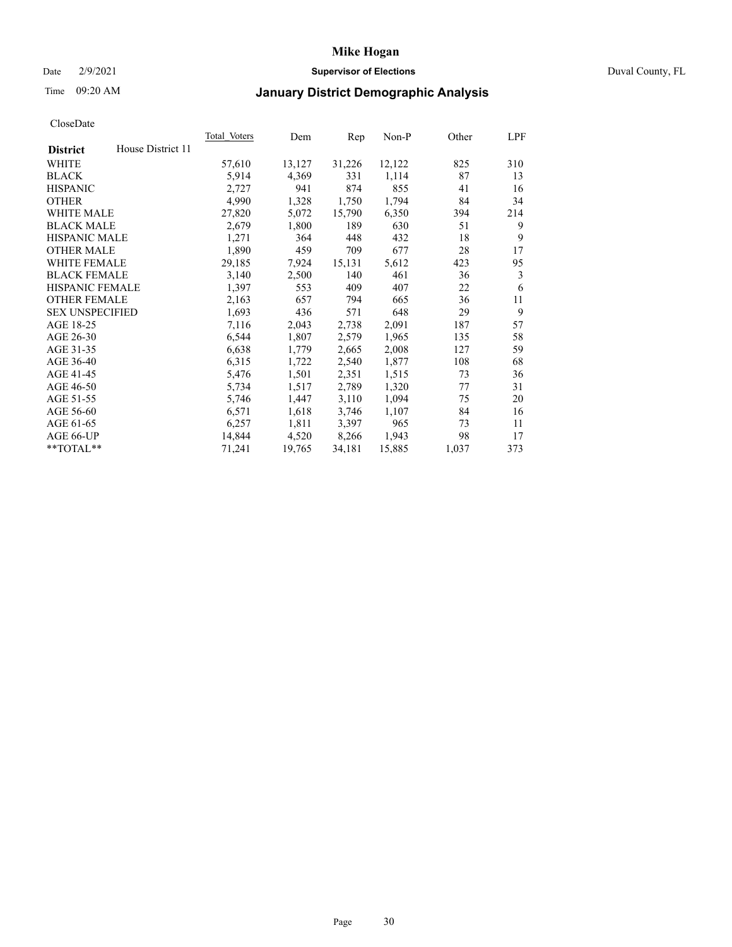### Date 2/9/2021 **Supervisor of Elections** Duval County, FL

# Time 09:20 AM **January District Demographic Analysis**

|                                      | <b>Total Voters</b> | Dem    | Rep    | Non-P  | Other | LPF |
|--------------------------------------|---------------------|--------|--------|--------|-------|-----|
| House District 11<br><b>District</b> |                     |        |        |        |       |     |
| WHITE                                | 57,610              | 13,127 | 31,226 | 12,122 | 825   | 310 |
| <b>BLACK</b>                         | 5,914               | 4,369  | 331    | 1,114  | 87    | 13  |
| <b>HISPANIC</b>                      | 2,727               | 941    | 874    | 855    | 41    | 16  |
| <b>OTHER</b>                         | 4,990               | 1,328  | 1,750  | 1,794  | 84    | 34  |
| <b>WHITE MALE</b>                    | 27,820              | 5,072  | 15,790 | 6,350  | 394   | 214 |
| <b>BLACK MALE</b>                    | 2,679               | 1,800  | 189    | 630    | 51    | 9   |
| <b>HISPANIC MALE</b>                 | 1,271               | 364    | 448    | 432    | 18    | 9   |
| <b>OTHER MALE</b>                    | 1,890               | 459    | 709    | 677    | 28    | 17  |
| WHITE FEMALE                         | 29,185              | 7,924  | 15,131 | 5,612  | 423   | 95  |
| <b>BLACK FEMALE</b>                  | 3,140               | 2,500  | 140    | 461    | 36    | 3   |
| HISPANIC FEMALE                      | 1,397               | 553    | 409    | 407    | 22    | 6   |
| <b>OTHER FEMALE</b>                  | 2,163               | 657    | 794    | 665    | 36    | 11  |
| <b>SEX UNSPECIFIED</b>               | 1,693               | 436    | 571    | 648    | 29    | 9   |
| AGE 18-25                            | 7,116               | 2,043  | 2,738  | 2,091  | 187   | 57  |
| AGE 26-30                            | 6,544               | 1,807  | 2,579  | 1,965  | 135   | 58  |
| AGE 31-35                            | 6,638               | 1,779  | 2,665  | 2,008  | 127   | 59  |
| AGE 36-40                            | 6,315               | 1,722  | 2,540  | 1,877  | 108   | 68  |
| AGE 41-45                            | 5,476               | 1,501  | 2,351  | 1,515  | 73    | 36  |
| AGE 46-50                            | 5,734               | 1,517  | 2,789  | 1,320  | 77    | 31  |
| AGE 51-55                            | 5,746               | 1,447  | 3,110  | 1,094  | 75    | 20  |
| AGE 56-60                            | 6,571               | 1,618  | 3,746  | 1,107  | 84    | 16  |
| AGE 61-65                            | 6,257               | 1,811  | 3,397  | 965    | 73    | 11  |
| AGE 66-UP                            | 14,844              | 4,520  | 8,266  | 1,943  | 98    | 17  |
| **TOTAL**                            | 71,241              | 19,765 | 34,181 | 15,885 | 1,037 | 373 |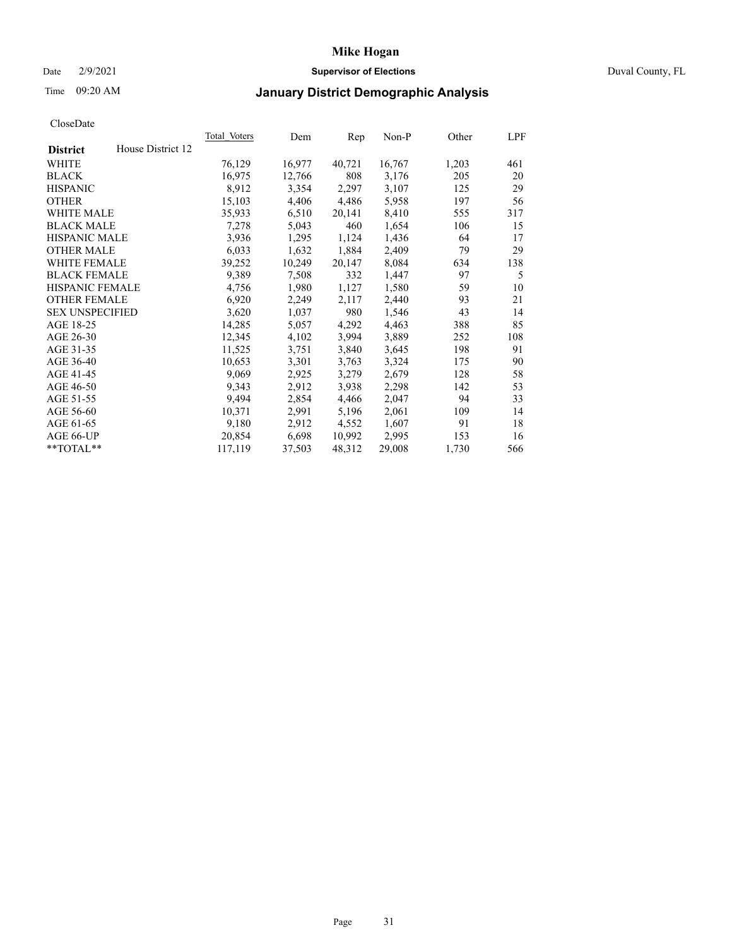### Date 2/9/2021 **Supervisor of Elections** Duval County, FL

# Time 09:20 AM **January District Demographic Analysis**

|                        |                   | <b>Total Voters</b> | Dem    | Rep    | Non-P  | Other | LPF |
|------------------------|-------------------|---------------------|--------|--------|--------|-------|-----|
| <b>District</b>        | House District 12 |                     |        |        |        |       |     |
| WHITE                  |                   | 76,129              | 16,977 | 40,721 | 16,767 | 1,203 | 461 |
| <b>BLACK</b>           |                   | 16,975              | 12,766 | 808    | 3,176  | 205   | 20  |
| <b>HISPANIC</b>        |                   | 8,912               | 3,354  | 2,297  | 3,107  | 125   | 29  |
| <b>OTHER</b>           |                   | 15,103              | 4,406  | 4,486  | 5,958  | 197   | 56  |
| <b>WHITE MALE</b>      |                   | 35,933              | 6,510  | 20,141 | 8,410  | 555   | 317 |
| <b>BLACK MALE</b>      |                   | 7,278               | 5,043  | 460    | 1,654  | 106   | 15  |
| <b>HISPANIC MALE</b>   |                   | 3,936               | 1,295  | 1,124  | 1,436  | 64    | 17  |
| <b>OTHER MALE</b>      |                   | 6,033               | 1,632  | 1,884  | 2,409  | 79    | 29  |
| WHITE FEMALE           |                   | 39,252              | 10,249 | 20,147 | 8,084  | 634   | 138 |
| <b>BLACK FEMALE</b>    |                   | 9,389               | 7,508  | 332    | 1,447  | 97    | 5   |
| HISPANIC FEMALE        |                   | 4,756               | 1,980  | 1,127  | 1,580  | 59    | 10  |
| <b>OTHER FEMALE</b>    |                   | 6,920               | 2,249  | 2,117  | 2,440  | 93    | 21  |
| <b>SEX UNSPECIFIED</b> |                   | 3,620               | 1,037  | 980    | 1,546  | 43    | 14  |
| AGE 18-25              |                   | 14,285              | 5,057  | 4,292  | 4,463  | 388   | 85  |
| AGE 26-30              |                   | 12,345              | 4,102  | 3,994  | 3,889  | 252   | 108 |
| AGE 31-35              |                   | 11,525              | 3,751  | 3,840  | 3,645  | 198   | 91  |
| AGE 36-40              |                   | 10,653              | 3,301  | 3,763  | 3,324  | 175   | 90  |
| AGE 41-45              |                   | 9,069               | 2,925  | 3,279  | 2,679  | 128   | 58  |
| AGE 46-50              |                   | 9,343               | 2,912  | 3,938  | 2,298  | 142   | 53  |
| AGE 51-55              |                   | 9,494               | 2,854  | 4,466  | 2,047  | 94    | 33  |
| AGE 56-60              |                   | 10,371              | 2,991  | 5,196  | 2,061  | 109   | 14  |
| AGE 61-65              |                   | 9,180               | 2,912  | 4,552  | 1,607  | 91    | 18  |
| AGE 66-UP              |                   | 20,854              | 6,698  | 10,992 | 2,995  | 153   | 16  |
| **TOTAL**              |                   | 117,119             | 37,503 | 48,312 | 29,008 | 1,730 | 566 |
|                        |                   |                     |        |        |        |       |     |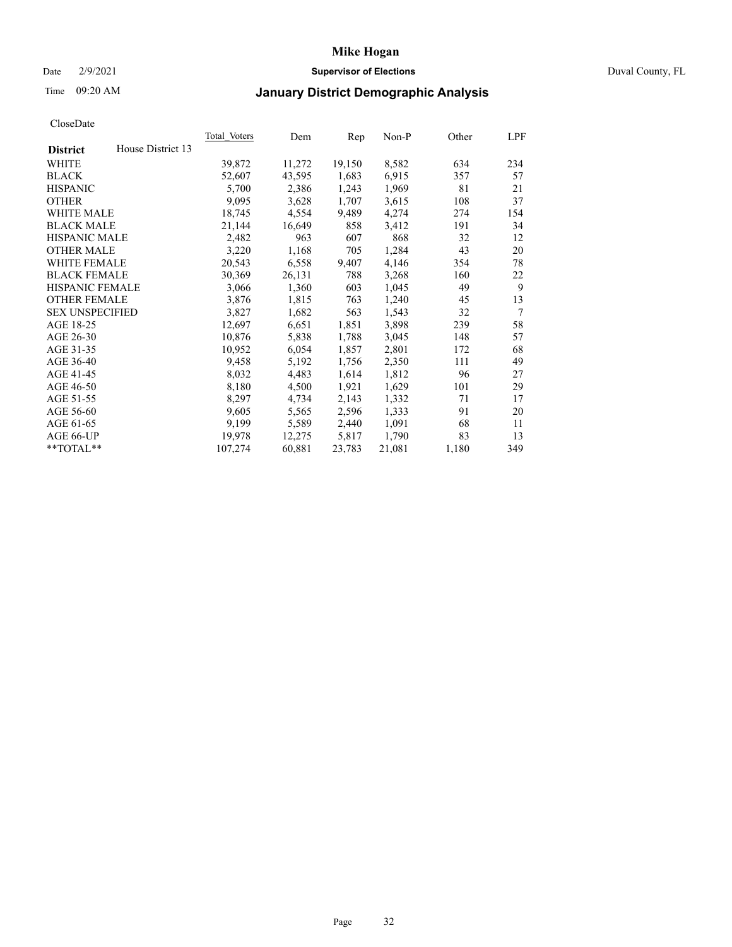### Date 2/9/2021 **Supervisor of Elections** Duval County, FL

# Time 09:20 AM **January District Demographic Analysis**

| <b>Total Voters</b> | Dem    | Rep    | $Non-P$ | Other | LPF            |
|---------------------|--------|--------|---------|-------|----------------|
|                     |        |        |         |       |                |
| 39,872              | 11,272 | 19,150 | 8,582   | 634   | 234            |
| 52,607              | 43,595 | 1,683  | 6,915   | 357   | 57             |
| 5,700               | 2,386  | 1,243  | 1,969   | 81    | 21             |
| 9,095               | 3,628  | 1,707  | 3,615   | 108   | 37             |
| 18,745              | 4,554  | 9,489  | 4,274   | 274   | 154            |
| 21,144              | 16,649 | 858    | 3,412   | 191   | 34             |
| 2,482               | 963    | 607    | 868     | 32    | 12             |
| 3,220               | 1,168  | 705    | 1,284   | 43    | 20             |
| 20,543              | 6,558  | 9,407  | 4,146   | 354   | 78             |
| 30,369              | 26,131 | 788    | 3,268   | 160   | 22             |
| 3,066               | 1,360  | 603    | 1,045   | 49    | 9              |
| 3,876               | 1,815  | 763    | 1,240   | 45    | 13             |
| 3,827               | 1,682  | 563    | 1,543   | 32    | $\overline{7}$ |
| 12,697              | 6,651  | 1,851  | 3,898   | 239   | 58             |
| 10,876              | 5,838  | 1,788  | 3,045   | 148   | 57             |
| 10,952              | 6,054  | 1,857  | 2,801   | 172   | 68             |
| 9,458               | 5,192  | 1,756  | 2,350   | 111   | 49             |
| 8,032               | 4,483  | 1,614  | 1,812   | 96    | 27             |
| 8,180               | 4,500  | 1,921  | 1,629   | 101   | 29             |
| 8,297               | 4,734  | 2,143  | 1,332   | 71    | 17             |
| 9,605               | 5,565  | 2,596  | 1,333   | 91    | 20             |
| 9,199               | 5,589  | 2,440  | 1,091   | 68    | 11             |
| 19,978              | 12,275 | 5,817  | 1,790   | 83    | 13             |
| 107,274             | 60,881 | 23,783 | 21,081  | 1,180 | 349            |
|                     |        |        |         |       |                |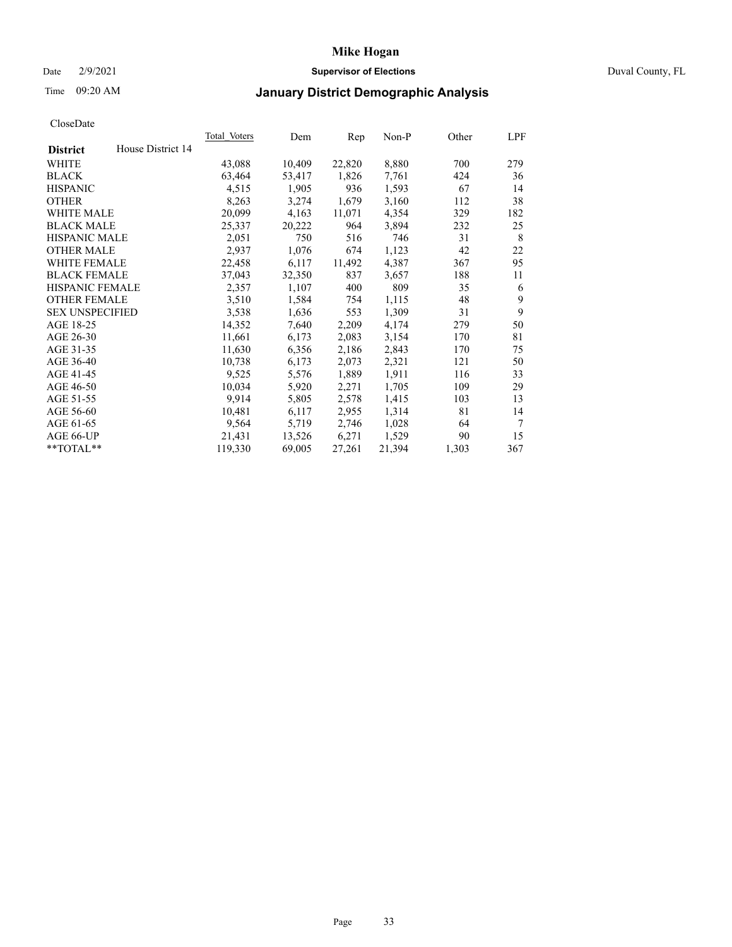### Date 2/9/2021 **Supervisor of Elections** Duval County, FL

## Time 09:20 AM **January District Demographic Analysis**

|                                      | <b>Total Voters</b> | Dem    | Rep    | $Non-P$ | Other | LPF    |
|--------------------------------------|---------------------|--------|--------|---------|-------|--------|
| House District 14<br><b>District</b> |                     |        |        |         |       |        |
| WHITE                                | 43,088              | 10,409 | 22,820 | 8,880   | 700   | 279    |
| <b>BLACK</b>                         | 63,464              | 53,417 | 1,826  | 7,761   | 424   | 36     |
| <b>HISPANIC</b>                      | 4,515               | 1,905  | 936    | 1,593   | 67    | 14     |
| <b>OTHER</b>                         | 8,263               | 3,274  | 1,679  | 3,160   | 112   | 38     |
| <b>WHITE MALE</b>                    | 20,099              | 4,163  | 11,071 | 4,354   | 329   | 182    |
| <b>BLACK MALE</b>                    | 25,337              | 20,222 | 964    | 3,894   | 232   | 25     |
| <b>HISPANIC MALE</b>                 | 2,051               | 750    | 516    | 746     | 31    | 8      |
| <b>OTHER MALE</b>                    | 2,937               | 1,076  | 674    | 1,123   | 42    | 22     |
| WHITE FEMALE                         | 22,458              | 6,117  | 11,492 | 4,387   | 367   | 95     |
| <b>BLACK FEMALE</b>                  | 37,043              | 32,350 | 837    | 3,657   | 188   | 11     |
| HISPANIC FEMALE                      | 2,357               | 1,107  | 400    | 809     | 35    | 6      |
| <b>OTHER FEMALE</b>                  | 3,510               | 1,584  | 754    | 1,115   | 48    | 9      |
| <b>SEX UNSPECIFIED</b>               | 3,538               | 1,636  | 553    | 1,309   | 31    | 9      |
| AGE 18-25                            | 14,352              | 7,640  | 2,209  | 4,174   | 279   | 50     |
| AGE 26-30                            | 11,661              | 6,173  | 2,083  | 3,154   | 170   | 81     |
| AGE 31-35                            | 11,630              | 6,356  | 2,186  | 2,843   | 170   | 75     |
| AGE 36-40                            | 10,738              | 6,173  | 2,073  | 2,321   | 121   | 50     |
| AGE 41-45                            | 9,525               | 5,576  | 1,889  | 1,911   | 116   | 33     |
| AGE 46-50                            | 10,034              | 5,920  | 2,271  | 1,705   | 109   | 29     |
| AGE 51-55                            | 9,914               | 5,805  | 2,578  | 1,415   | 103   | 13     |
| AGE 56-60                            | 10,481              | 6,117  | 2,955  | 1,314   | 81    | 14     |
| AGE 61-65                            | 9,564               | 5,719  | 2,746  | 1,028   | 64    | $\tau$ |
| AGE 66-UP                            | 21,431              | 13,526 | 6,271  | 1,529   | 90    | 15     |
| **TOTAL**                            | 119,330             | 69,005 | 27,261 | 21,394  | 1,303 | 367    |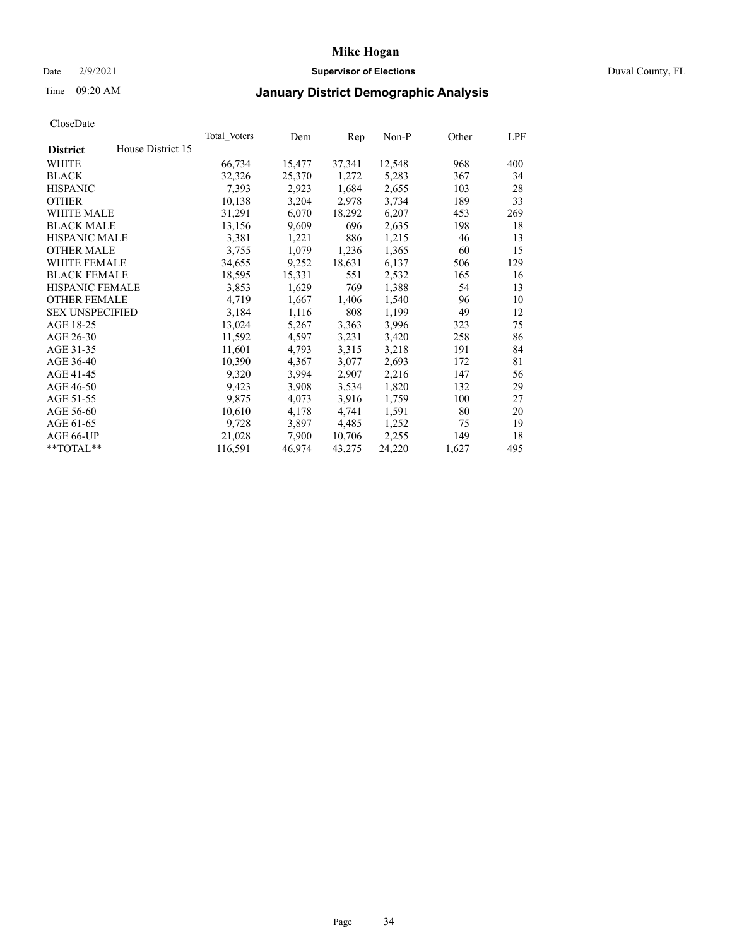### Date 2/9/2021 **Supervisor of Elections** Duval County, FL

## Time 09:20 AM **January District Demographic Analysis**

| <b>Total Voters</b> | Dem    | Rep    | $Non-P$ | Other | LPF |
|---------------------|--------|--------|---------|-------|-----|
|                     |        |        |         |       |     |
| 66,734              | 15,477 | 37,341 | 12,548  | 968   | 400 |
| 32,326              | 25,370 | 1,272  | 5,283   | 367   | 34  |
| 7,393               | 2,923  | 1,684  | 2,655   | 103   | 28  |
| 10,138              | 3,204  | 2,978  | 3,734   | 189   | 33  |
| 31,291              | 6,070  | 18,292 | 6,207   | 453   | 269 |
| 13,156              | 9,609  | 696    | 2,635   | 198   | 18  |
| 3,381               | 1,221  | 886    | 1,215   | 46    | 13  |
| 3,755               | 1,079  | 1,236  | 1,365   | 60    | 15  |
| 34,655              | 9,252  | 18,631 | 6,137   | 506   | 129 |
| 18,595              | 15,331 | 551    | 2,532   | 165   | 16  |
| 3,853               | 1,629  | 769    | 1,388   | 54    | 13  |
| 4,719               | 1,667  | 1,406  | 1,540   | 96    | 10  |
| 3,184               | 1,116  | 808    | 1,199   | 49    | 12  |
| 13,024              | 5,267  | 3,363  | 3,996   | 323   | 75  |
| 11,592              | 4,597  | 3,231  | 3,420   | 258   | 86  |
| 11,601              | 4,793  | 3,315  | 3,218   | 191   | 84  |
| 10,390              | 4,367  | 3,077  | 2,693   | 172   | 81  |
| 9,320               | 3,994  | 2,907  | 2,216   | 147   | 56  |
| 9,423               | 3,908  | 3,534  | 1,820   | 132   | 29  |
| 9,875               | 4,073  | 3,916  | 1,759   | 100   | 27  |
| 10,610              | 4,178  | 4,741  | 1,591   | 80    | 20  |
| 9,728               | 3,897  | 4,485  | 1,252   | 75    | 19  |
| 21,028              | 7,900  | 10,706 | 2,255   | 149   | 18  |
| 116,591             | 46,974 | 43,275 | 24,220  | 1,627 | 495 |
|                     |        |        |         |       |     |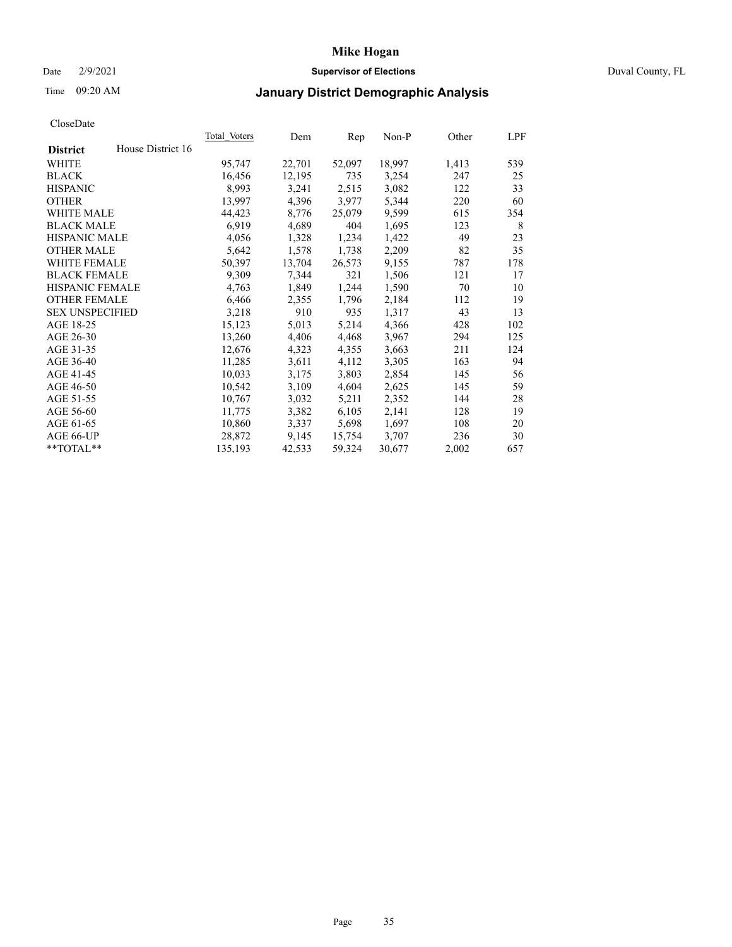### Date 2/9/2021 **Supervisor of Elections** Duval County, FL

# Time 09:20 AM **January District Demographic Analysis**

|                        |                   | Total Voters | Dem    | Rep    | Non-P  | Other | LPF |
|------------------------|-------------------|--------------|--------|--------|--------|-------|-----|
| <b>District</b>        | House District 16 |              |        |        |        |       |     |
| WHITE                  |                   | 95,747       | 22,701 | 52,097 | 18,997 | 1,413 | 539 |
| <b>BLACK</b>           |                   | 16,456       | 12,195 | 735    | 3,254  | 247   | 25  |
| <b>HISPANIC</b>        |                   | 8,993        | 3,241  | 2,515  | 3,082  | 122   | 33  |
| <b>OTHER</b>           |                   | 13,997       | 4,396  | 3,977  | 5,344  | 220   | 60  |
| <b>WHITE MALE</b>      |                   | 44,423       | 8,776  | 25,079 | 9,599  | 615   | 354 |
| <b>BLACK MALE</b>      |                   | 6,919        | 4,689  | 404    | 1,695  | 123   | 8   |
| <b>HISPANIC MALE</b>   |                   | 4,056        | 1,328  | 1,234  | 1,422  | 49    | 23  |
| <b>OTHER MALE</b>      |                   | 5,642        | 1,578  | 1,738  | 2,209  | 82    | 35  |
| WHITE FEMALE           |                   | 50,397       | 13,704 | 26,573 | 9,155  | 787   | 178 |
| <b>BLACK FEMALE</b>    |                   | 9,309        | 7,344  | 321    | 1,506  | 121   | 17  |
| <b>HISPANIC FEMALE</b> |                   | 4,763        | 1,849  | 1,244  | 1,590  | 70    | 10  |
| <b>OTHER FEMALE</b>    |                   | 6,466        | 2,355  | 1,796  | 2,184  | 112   | 19  |
| <b>SEX UNSPECIFIED</b> |                   | 3,218        | 910    | 935    | 1,317  | 43    | 13  |
| AGE 18-25              |                   | 15,123       | 5,013  | 5,214  | 4,366  | 428   | 102 |
| AGE 26-30              |                   | 13,260       | 4,406  | 4,468  | 3,967  | 294   | 125 |
| AGE 31-35              |                   | 12,676       | 4,323  | 4,355  | 3,663  | 211   | 124 |
| AGE 36-40              |                   | 11,285       | 3,611  | 4,112  | 3,305  | 163   | 94  |
| AGE 41-45              |                   | 10,033       | 3,175  | 3,803  | 2,854  | 145   | 56  |
| AGE 46-50              |                   | 10,542       | 3,109  | 4,604  | 2,625  | 145   | 59  |
| AGE 51-55              |                   | 10,767       | 3,032  | 5,211  | 2,352  | 144   | 28  |
| AGE 56-60              |                   | 11,775       | 3,382  | 6,105  | 2,141  | 128   | 19  |
| AGE 61-65              |                   | 10,860       | 3,337  | 5,698  | 1,697  | 108   | 20  |
| AGE 66-UP              |                   | 28,872       | 9,145  | 15,754 | 3,707  | 236   | 30  |
| $*$ TOTAL $*$          |                   | 135,193      | 42,533 | 59,324 | 30,677 | 2,002 | 657 |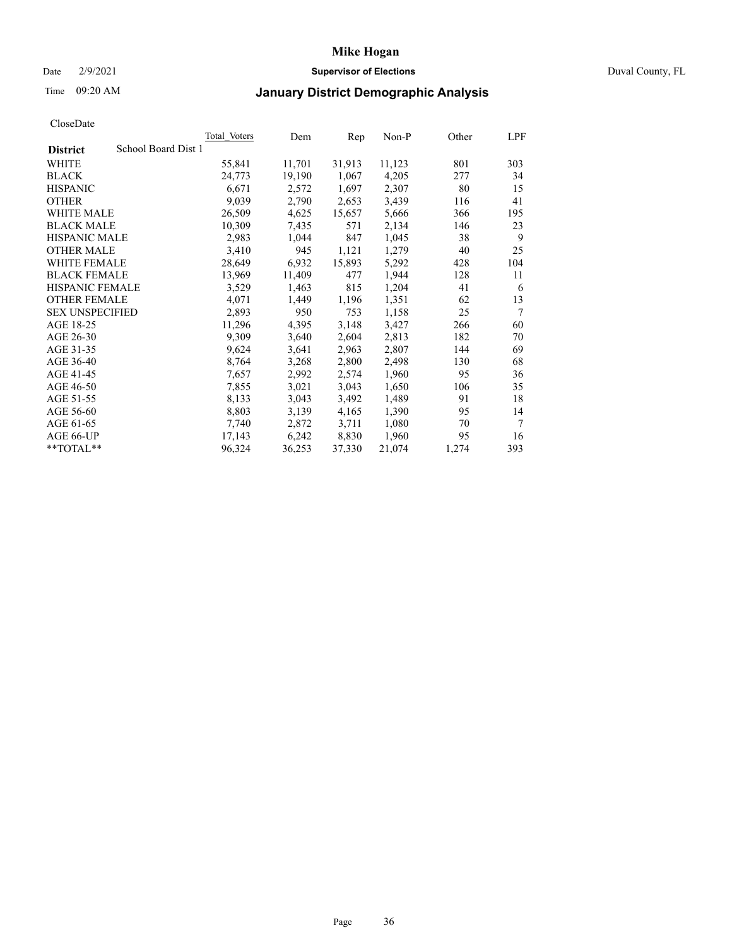### Date 2/9/2021 **Supervisor of Elections** Duval County, FL

## Time 09:20 AM **January District Demographic Analysis**

| <b>Total Voters</b> | Dem    | Rep    | $Non-P$ | Other | LPF |
|---------------------|--------|--------|---------|-------|-----|
| School Board Dist 1 |        |        |         |       |     |
| 55,841              | 11,701 | 31,913 | 11,123  | 801   | 303 |
| 24,773              | 19,190 | 1,067  | 4,205   | 277   | 34  |
| 6,671               | 2,572  | 1,697  | 2,307   | 80    | 15  |
| 9,039               | 2,790  | 2,653  | 3,439   | 116   | 41  |
| 26,509              | 4,625  | 15,657 | 5,666   | 366   | 195 |
| 10,309              | 7,435  | 571    | 2,134   | 146   | 23  |
| 2,983               | 1,044  | 847    | 1,045   | 38    | 9   |
| 3,410               | 945    | 1,121  | 1,279   | 40    | 25  |
| 28,649              | 6,932  | 15,893 | 5,292   | 428   | 104 |
| 13,969              | 11,409 | 477    | 1,944   | 128   | 11  |
| 3,529               | 1,463  | 815    | 1,204   | 41    | 6   |
| 4,071               | 1,449  | 1,196  | 1,351   | 62    | 13  |
| 2,893               | 950    | 753    | 1,158   | 25    | 7   |
| 11,296              | 4,395  | 3,148  | 3,427   | 266   | 60  |
| 9,309               | 3,640  | 2,604  | 2,813   | 182   | 70  |
| 9,624               | 3,641  | 2,963  | 2,807   | 144   | 69  |
| 8,764               | 3,268  | 2,800  | 2,498   | 130   | 68  |
| 7,657               | 2,992  | 2,574  | 1,960   | 95    | 36  |
| 7,855               | 3,021  | 3,043  | 1,650   | 106   | 35  |
| 8,133               | 3,043  | 3,492  | 1,489   | 91    | 18  |
| 8,803               | 3,139  | 4,165  | 1,390   | 95    | 14  |
| 7,740               | 2,872  | 3,711  | 1,080   | 70    | 7   |
| 17,143              | 6,242  | 8,830  | 1,960   | 95    | 16  |
| 96,324              | 36,253 | 37,330 | 21,074  | 1,274 | 393 |
|                     |        |        |         |       |     |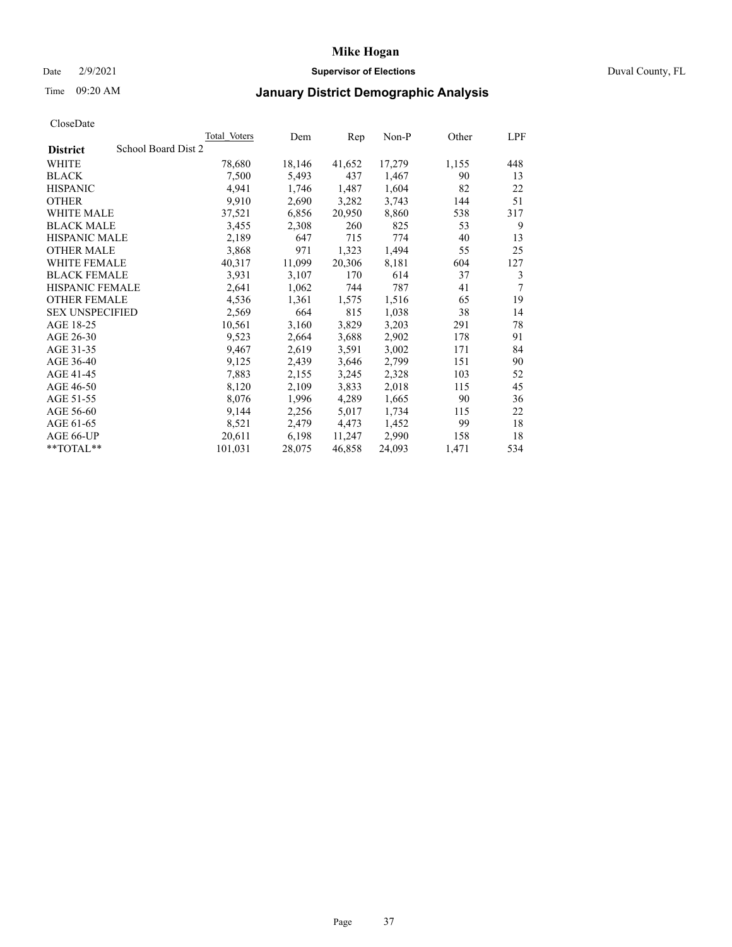### Date 2/9/2021 **Supervisor of Elections** Duval County, FL

## Time 09:20 AM **January District Demographic Analysis**

|                                        | Total Voters | Dem    | Rep    | Non-P  | Other | LPF |
|----------------------------------------|--------------|--------|--------|--------|-------|-----|
| School Board Dist 2<br><b>District</b> |              |        |        |        |       |     |
| WHITE                                  | 78,680       | 18,146 | 41,652 | 17,279 | 1,155 | 448 |
| <b>BLACK</b>                           | 7,500        | 5,493  | 437    | 1,467  | 90    | 13  |
| <b>HISPANIC</b>                        | 4,941        | 1,746  | 1,487  | 1,604  | 82    | 22  |
| <b>OTHER</b>                           | 9,910        | 2,690  | 3,282  | 3,743  | 144   | 51  |
| WHITE MALE                             | 37,521       | 6,856  | 20,950 | 8,860  | 538   | 317 |
| <b>BLACK MALE</b>                      | 3,455        | 2,308  | 260    | 825    | 53    | 9   |
| <b>HISPANIC MALE</b>                   | 2,189        | 647    | 715    | 774    | 40    | 13  |
| <b>OTHER MALE</b>                      | 3,868        | 971    | 1,323  | 1,494  | 55    | 25  |
| WHITE FEMALE                           | 40,317       | 11,099 | 20,306 | 8,181  | 604   | 127 |
| <b>BLACK FEMALE</b>                    | 3,931        | 3,107  | 170    | 614    | 37    | 3   |
| <b>HISPANIC FEMALE</b>                 | 2,641        | 1,062  | 744    | 787    | 41    | 7   |
| <b>OTHER FEMALE</b>                    | 4,536        | 1,361  | 1,575  | 1,516  | 65    | 19  |
| <b>SEX UNSPECIFIED</b>                 | 2,569        | 664    | 815    | 1,038  | 38    | 14  |
| AGE 18-25                              | 10,561       | 3,160  | 3,829  | 3,203  | 291   | 78  |
| AGE 26-30                              | 9,523        | 2,664  | 3,688  | 2,902  | 178   | 91  |
| AGE 31-35                              | 9,467        | 2,619  | 3,591  | 3,002  | 171   | 84  |
| AGE 36-40                              | 9,125        | 2,439  | 3,646  | 2,799  | 151   | 90  |
| AGE 41-45                              | 7,883        | 2,155  | 3,245  | 2,328  | 103   | 52  |
| AGE 46-50                              | 8,120        | 2,109  | 3,833  | 2,018  | 115   | 45  |
| AGE 51-55                              | 8,076        | 1,996  | 4,289  | 1,665  | 90    | 36  |
| AGE 56-60                              | 9,144        | 2,256  | 5,017  | 1,734  | 115   | 22  |
| AGE 61-65                              | 8,521        | 2,479  | 4,473  | 1,452  | 99    | 18  |
| AGE 66-UP                              | 20,611       | 6,198  | 11,247 | 2,990  | 158   | 18  |
| **TOTAL**                              | 101,031      | 28,075 | 46,858 | 24,093 | 1,471 | 534 |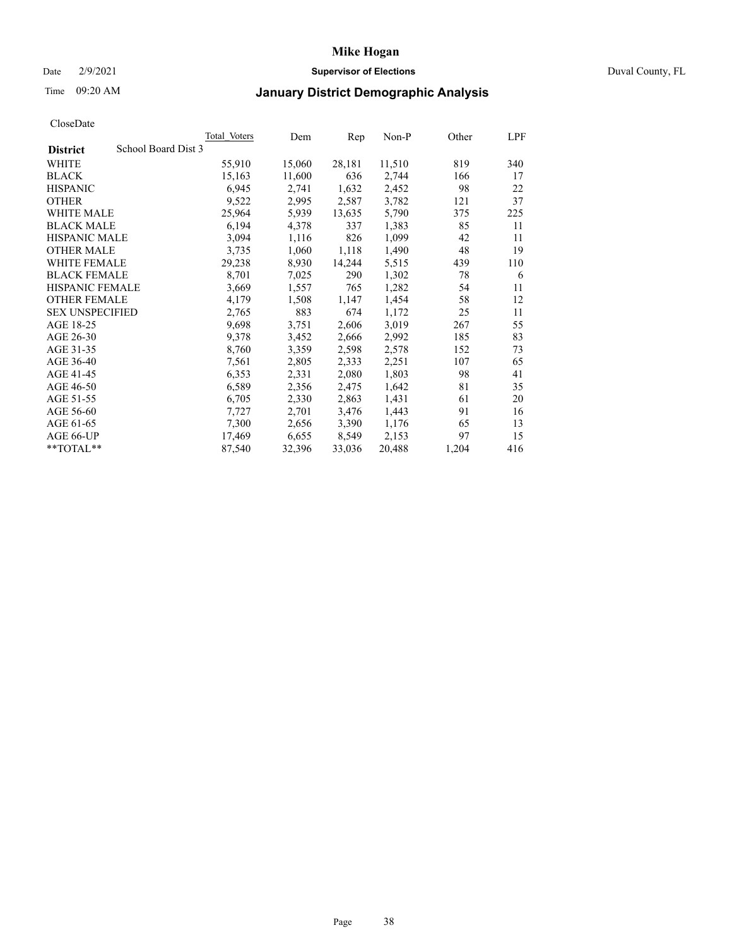### Date 2/9/2021 **Supervisor of Elections** Duval County, FL

## Time 09:20 AM **January District Demographic Analysis**

|                                        | Total Voters | Dem    | Rep    | Non-P  | Other | LPF |
|----------------------------------------|--------------|--------|--------|--------|-------|-----|
| School Board Dist 3<br><b>District</b> |              |        |        |        |       |     |
| WHITE                                  | 55,910       | 15,060 | 28,181 | 11,510 | 819   | 340 |
| <b>BLACK</b>                           | 15,163       | 11,600 | 636    | 2,744  | 166   | 17  |
| <b>HISPANIC</b>                        | 6,945        | 2,741  | 1,632  | 2,452  | 98    | 22  |
| <b>OTHER</b>                           | 9,522        | 2,995  | 2,587  | 3,782  | 121   | 37  |
| WHITE MALE                             | 25,964       | 5,939  | 13,635 | 5,790  | 375   | 225 |
| <b>BLACK MALE</b>                      | 6,194        | 4,378  | 337    | 1,383  | 85    | 11  |
| <b>HISPANIC MALE</b>                   | 3,094        | 1,116  | 826    | 1,099  | 42    | 11  |
| <b>OTHER MALE</b>                      | 3,735        | 1,060  | 1,118  | 1,490  | 48    | 19  |
| WHITE FEMALE                           | 29,238       | 8,930  | 14,244 | 5,515  | 439   | 110 |
| <b>BLACK FEMALE</b>                    | 8,701        | 7,025  | 290    | 1,302  | 78    | 6   |
| <b>HISPANIC FEMALE</b>                 | 3,669        | 1,557  | 765    | 1,282  | 54    | 11  |
| <b>OTHER FEMALE</b>                    | 4,179        | 1,508  | 1,147  | 1,454  | 58    | 12  |
| <b>SEX UNSPECIFIED</b>                 | 2,765        | 883    | 674    | 1,172  | 25    | 11  |
| AGE 18-25                              | 9,698        | 3,751  | 2,606  | 3,019  | 267   | 55  |
| AGE 26-30                              | 9,378        | 3,452  | 2,666  | 2,992  | 185   | 83  |
| AGE 31-35                              | 8,760        | 3,359  | 2,598  | 2,578  | 152   | 73  |
| AGE 36-40                              | 7,561        | 2,805  | 2,333  | 2,251  | 107   | 65  |
| AGE 41-45                              | 6,353        | 2,331  | 2,080  | 1,803  | 98    | 41  |
| AGE 46-50                              | 6,589        | 2,356  | 2,475  | 1,642  | 81    | 35  |
| AGE 51-55                              | 6,705        | 2,330  | 2,863  | 1,431  | 61    | 20  |
| AGE 56-60                              | 7,727        | 2,701  | 3,476  | 1,443  | 91    | 16  |
| AGE 61-65                              | 7,300        | 2,656  | 3,390  | 1,176  | 65    | 13  |
| AGE 66-UP                              | 17,469       | 6,655  | 8,549  | 2,153  | 97    | 15  |
| $*$ $TOTAL**$                          | 87,540       | 32,396 | 33,036 | 20,488 | 1,204 | 416 |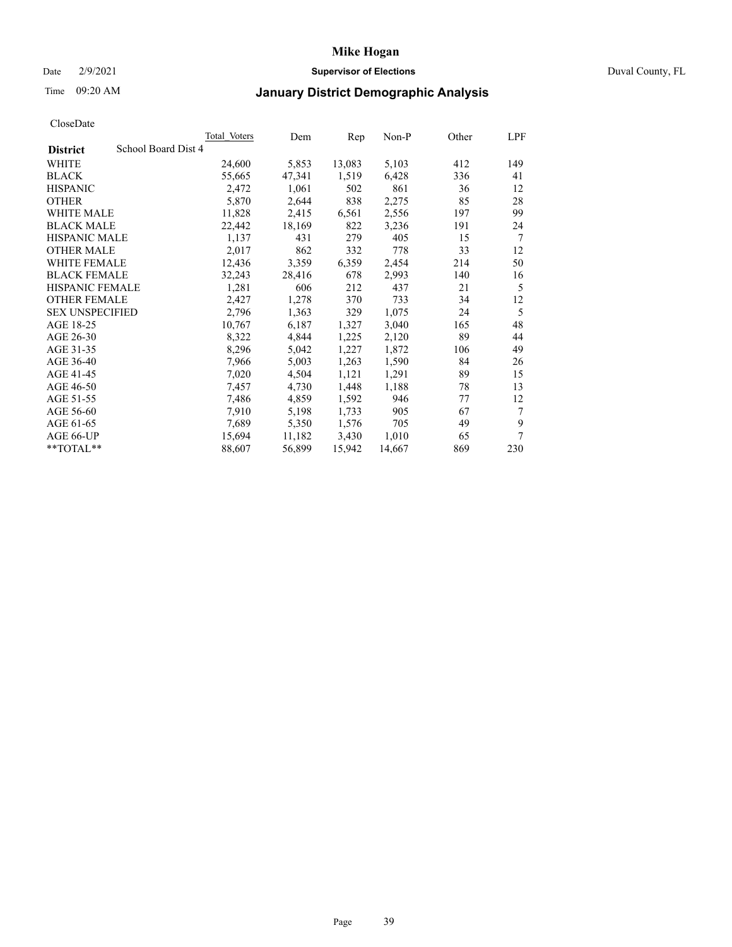### Date 2/9/2021 **Supervisor of Elections** Duval County, FL

# Time 09:20 AM **January District Demographic Analysis**

|                                        | <b>Total Voters</b> | Dem    | Rep    | $Non-P$ | Other | LPF |
|----------------------------------------|---------------------|--------|--------|---------|-------|-----|
| School Board Dist 4<br><b>District</b> |                     |        |        |         |       |     |
| WHITE                                  | 24,600              | 5,853  | 13,083 | 5,103   | 412   | 149 |
| <b>BLACK</b>                           | 55,665              | 47,341 | 1,519  | 6,428   | 336   | 41  |
| <b>HISPANIC</b>                        | 2,472               | 1,061  | 502    | 861     | 36    | 12  |
| <b>OTHER</b>                           | 5,870               | 2,644  | 838    | 2,275   | 85    | 28  |
| WHITE MALE                             | 11,828              | 2,415  | 6,561  | 2,556   | 197   | 99  |
| <b>BLACK MALE</b>                      | 22,442              | 18,169 | 822    | 3,236   | 191   | 24  |
| <b>HISPANIC MALE</b>                   | 1,137               | 431    | 279    | 405     | 15    | 7   |
| <b>OTHER MALE</b>                      | 2,017               | 862    | 332    | 778     | 33    | 12  |
| <b>WHITE FEMALE</b>                    | 12,436              | 3,359  | 6,359  | 2,454   | 214   | 50  |
| <b>BLACK FEMALE</b>                    | 32,243              | 28,416 | 678    | 2,993   | 140   | 16  |
| HISPANIC FEMALE                        | 1,281               | 606    | 212    | 437     | 21    | 5   |
| <b>OTHER FEMALE</b>                    | 2,427               | 1,278  | 370    | 733     | 34    | 12  |
| <b>SEX UNSPECIFIED</b>                 | 2,796               | 1,363  | 329    | 1,075   | 24    | 5   |
| AGE 18-25                              | 10,767              | 6,187  | 1,327  | 3,040   | 165   | 48  |
| AGE 26-30                              | 8,322               | 4,844  | 1,225  | 2,120   | 89    | 44  |
| AGE 31-35                              | 8,296               | 5,042  | 1,227  | 1,872   | 106   | 49  |
| AGE 36-40                              | 7,966               | 5,003  | 1,263  | 1,590   | 84    | 26  |
| AGE 41-45                              | 7,020               | 4,504  | 1,121  | 1,291   | 89    | 15  |
| AGE 46-50                              | 7,457               | 4,730  | 1,448  | 1,188   | 78    | 13  |
| AGE 51-55                              | 7,486               | 4,859  | 1,592  | 946     | 77    | 12  |
| AGE 56-60                              | 7,910               | 5,198  | 1,733  | 905     | 67    | 7   |
| AGE 61-65                              | 7,689               | 5,350  | 1,576  | 705     | 49    | 9   |
| AGE 66-UP                              | 15,694              | 11,182 | 3,430  | 1,010   | 65    | 7   |
| $*$ $TOTAL**$                          | 88,607              | 56,899 | 15,942 | 14,667  | 869   | 230 |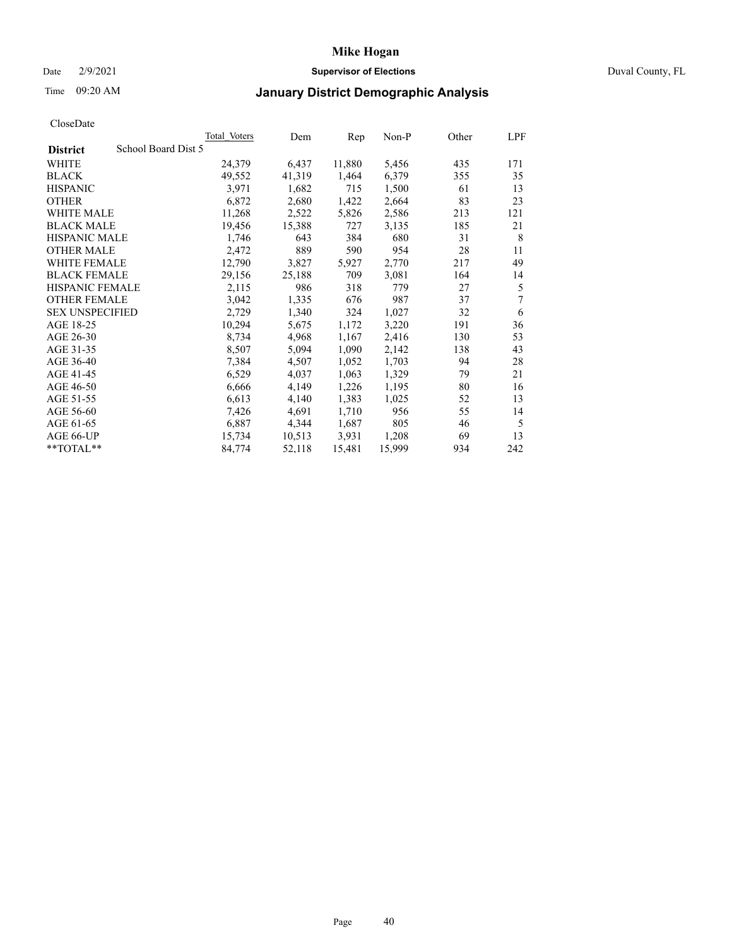### Date 2/9/2021 **Supervisor of Elections** Duval County, FL

# Time 09:20 AM **January District Demographic Analysis**

|                                        | Total Voters | Dem    | Rep    | Non-P  | Other | LPF |
|----------------------------------------|--------------|--------|--------|--------|-------|-----|
| School Board Dist 5<br><b>District</b> |              |        |        |        |       |     |
| WHITE                                  | 24,379       | 6,437  | 11,880 | 5,456  | 435   | 171 |
| <b>BLACK</b>                           | 49,552       | 41,319 | 1,464  | 6,379  | 355   | 35  |
| <b>HISPANIC</b>                        | 3,971        | 1,682  | 715    | 1,500  | 61    | 13  |
| <b>OTHER</b>                           | 6,872        | 2,680  | 1,422  | 2,664  | 83    | 23  |
| <b>WHITE MALE</b>                      | 11,268       | 2,522  | 5,826  | 2,586  | 213   | 121 |
| <b>BLACK MALE</b>                      | 19,456       | 15,388 | 727    | 3,135  | 185   | 21  |
| <b>HISPANIC MALE</b>                   | 1,746        | 643    | 384    | 680    | 31    | 8   |
| <b>OTHER MALE</b>                      | 2,472        | 889    | 590    | 954    | 28    | 11  |
| <b>WHITE FEMALE</b>                    | 12,790       | 3,827  | 5,927  | 2,770  | 217   | 49  |
| <b>BLACK FEMALE</b>                    | 29,156       | 25,188 | 709    | 3,081  | 164   | 14  |
| <b>HISPANIC FEMALE</b>                 | 2,115        | 986    | 318    | 779    | 27    | 5   |
| <b>OTHER FEMALE</b>                    | 3,042        | 1,335  | 676    | 987    | 37    | 7   |
| <b>SEX UNSPECIFIED</b>                 | 2,729        | 1,340  | 324    | 1,027  | 32    | 6   |
| AGE 18-25                              | 10,294       | 5,675  | 1,172  | 3,220  | 191   | 36  |
| AGE 26-30                              | 8,734        | 4,968  | 1,167  | 2,416  | 130   | 53  |
| AGE 31-35                              | 8,507        | 5,094  | 1,090  | 2,142  | 138   | 43  |
| AGE 36-40                              | 7,384        | 4,507  | 1,052  | 1,703  | 94    | 28  |
| AGE 41-45                              | 6,529        | 4,037  | 1,063  | 1,329  | 79    | 21  |
| AGE 46-50                              | 6,666        | 4,149  | 1,226  | 1,195  | 80    | 16  |
| AGE 51-55                              | 6,613        | 4,140  | 1,383  | 1,025  | 52    | 13  |
| AGE 56-60                              | 7,426        | 4,691  | 1,710  | 956    | 55    | 14  |
| AGE 61-65                              | 6,887        | 4,344  | 1,687  | 805    | 46    | 5   |
| AGE 66-UP                              | 15,734       | 10,513 | 3,931  | 1,208  | 69    | 13  |
| $*$ TOTAL $*$                          | 84,774       | 52,118 | 15,481 | 15,999 | 934   | 242 |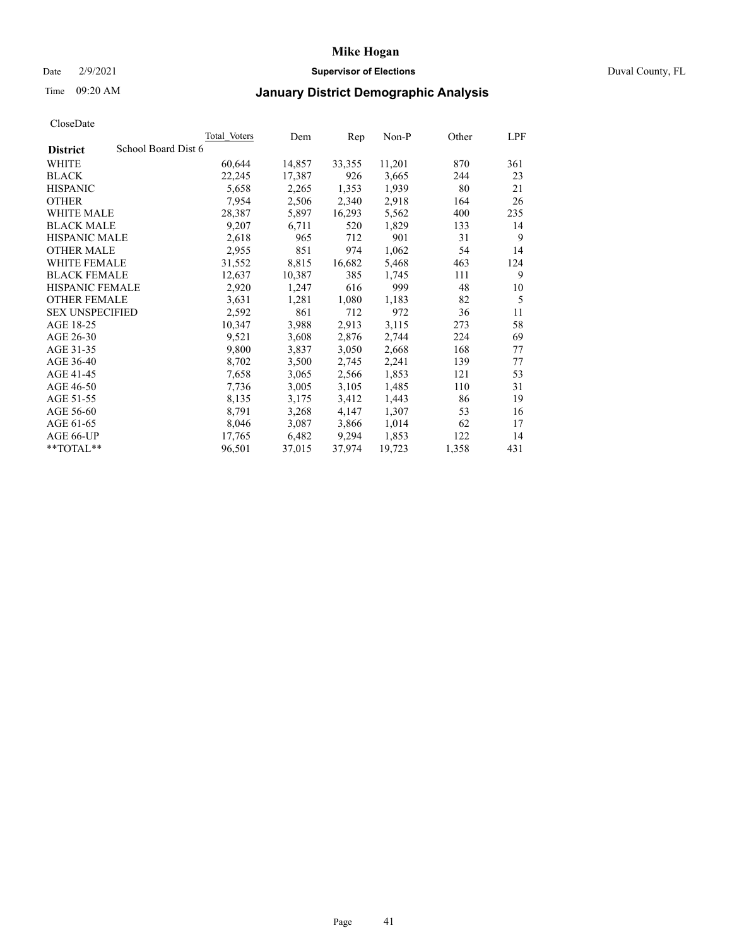### Date 2/9/2021 **Supervisor of Elections** Duval County, FL

# Time 09:20 AM **January District Demographic Analysis**

|                                        | Total Voters | Dem    | Rep    | $Non-P$ | Other | LPF |
|----------------------------------------|--------------|--------|--------|---------|-------|-----|
| School Board Dist 6<br><b>District</b> |              |        |        |         |       |     |
| WHITE                                  | 60,644       | 14,857 | 33,355 | 11,201  | 870   | 361 |
| <b>BLACK</b>                           | 22,245       | 17,387 | 926    | 3,665   | 244   | 23  |
| <b>HISPANIC</b>                        | 5,658        | 2,265  | 1,353  | 1,939   | 80    | 21  |
| <b>OTHER</b>                           | 7,954        | 2,506  | 2,340  | 2,918   | 164   | 26  |
| <b>WHITE MALE</b>                      | 28,387       | 5,897  | 16,293 | 5,562   | 400   | 235 |
| <b>BLACK MALE</b>                      | 9,207        | 6,711  | 520    | 1,829   | 133   | 14  |
| <b>HISPANIC MALE</b>                   | 2,618        | 965    | 712    | 901     | 31    | 9   |
| <b>OTHER MALE</b>                      | 2,955        | 851    | 974    | 1,062   | 54    | 14  |
| <b>WHITE FEMALE</b>                    | 31,552       | 8,815  | 16,682 | 5,468   | 463   | 124 |
| <b>BLACK FEMALE</b>                    | 12,637       | 10,387 | 385    | 1,745   | 111   | 9   |
| <b>HISPANIC FEMALE</b>                 | 2,920        | 1,247  | 616    | 999     | 48    | 10  |
| <b>OTHER FEMALE</b>                    | 3,631        | 1,281  | 1,080  | 1,183   | 82    | 5   |
| <b>SEX UNSPECIFIED</b>                 | 2,592        | 861    | 712    | 972     | 36    | 11  |
| AGE 18-25                              | 10,347       | 3,988  | 2,913  | 3,115   | 273   | 58  |
| AGE 26-30                              | 9,521        | 3,608  | 2,876  | 2,744   | 224   | 69  |
| AGE 31-35                              | 9,800        | 3,837  | 3,050  | 2,668   | 168   | 77  |
| AGE 36-40                              | 8,702        | 3,500  | 2,745  | 2,241   | 139   | 77  |
| AGE 41-45                              | 7,658        | 3,065  | 2,566  | 1,853   | 121   | 53  |
| AGE 46-50                              | 7,736        | 3,005  | 3,105  | 1,485   | 110   | 31  |
| AGE 51-55                              | 8,135        | 3,175  | 3,412  | 1,443   | 86    | 19  |
| AGE 56-60                              | 8,791        | 3,268  | 4,147  | 1,307   | 53    | 16  |
| AGE 61-65                              | 8,046        | 3,087  | 3,866  | 1,014   | 62    | 17  |
| AGE 66-UP                              | 17,765       | 6,482  | 9,294  | 1,853   | 122   | 14  |
| **TOTAL**                              | 96,501       | 37,015 | 37,974 | 19,723  | 1,358 | 431 |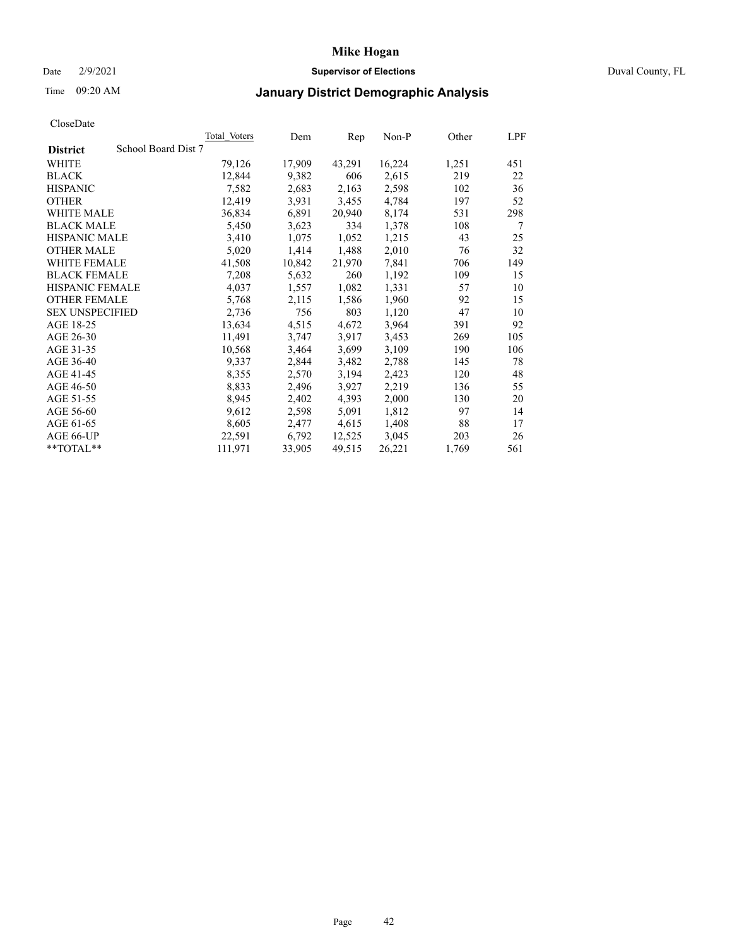### Date 2/9/2021 **Supervisor of Elections** Duval County, FL

# Time 09:20 AM **January District Demographic Analysis**

|                                        | Total Voters | Dem    | Rep    | Non-P  | Other | LPF |
|----------------------------------------|--------------|--------|--------|--------|-------|-----|
| School Board Dist 7<br><b>District</b> |              |        |        |        |       |     |
| WHITE                                  | 79,126       | 17,909 | 43,291 | 16,224 | 1,251 | 451 |
| <b>BLACK</b>                           | 12,844       | 9,382  | 606    | 2,615  | 219   | 22  |
| <b>HISPANIC</b>                        | 7,582        | 2,683  | 2,163  | 2,598  | 102   | 36  |
| <b>OTHER</b>                           | 12,419       | 3,931  | 3,455  | 4,784  | 197   | 52  |
| WHITE MALE                             | 36,834       | 6,891  | 20,940 | 8,174  | 531   | 298 |
| <b>BLACK MALE</b>                      | 5,450        | 3,623  | 334    | 1,378  | 108   | 7   |
| <b>HISPANIC MALE</b>                   | 3,410        | 1,075  | 1,052  | 1,215  | 43    | 25  |
| <b>OTHER MALE</b>                      | 5,020        | 1,414  | 1,488  | 2,010  | 76    | 32  |
| <b>WHITE FEMALE</b>                    | 41,508       | 10,842 | 21,970 | 7,841  | 706   | 149 |
| <b>BLACK FEMALE</b>                    | 7,208        | 5,632  | 260    | 1,192  | 109   | 15  |
| <b>HISPANIC FEMALE</b>                 | 4,037        | 1,557  | 1,082  | 1,331  | 57    | 10  |
| <b>OTHER FEMALE</b>                    | 5,768        | 2,115  | 1,586  | 1,960  | 92    | 15  |
| <b>SEX UNSPECIFIED</b>                 | 2,736        | 756    | 803    | 1,120  | 47    | 10  |
| AGE 18-25                              | 13,634       | 4,515  | 4,672  | 3,964  | 391   | 92  |
| AGE 26-30                              | 11,491       | 3,747  | 3,917  | 3,453  | 269   | 105 |
| AGE 31-35                              | 10,568       | 3,464  | 3,699  | 3,109  | 190   | 106 |
| AGE 36-40                              | 9,337        | 2,844  | 3,482  | 2,788  | 145   | 78  |
| AGE 41-45                              | 8,355        | 2,570  | 3,194  | 2,423  | 120   | 48  |
| AGE 46-50                              | 8,833        | 2,496  | 3,927  | 2,219  | 136   | 55  |
| AGE 51-55                              | 8,945        | 2,402  | 4,393  | 2,000  | 130   | 20  |
| AGE 56-60                              | 9,612        | 2,598  | 5,091  | 1,812  | 97    | 14  |
| AGE 61-65                              | 8,605        | 2,477  | 4,615  | 1,408  | 88    | 17  |
| AGE 66-UP                              | 22,591       | 6,792  | 12,525 | 3,045  | 203   | 26  |
| $*$ $TOTAL**$                          | 111,971      | 33,905 | 49,515 | 26,221 | 1,769 | 561 |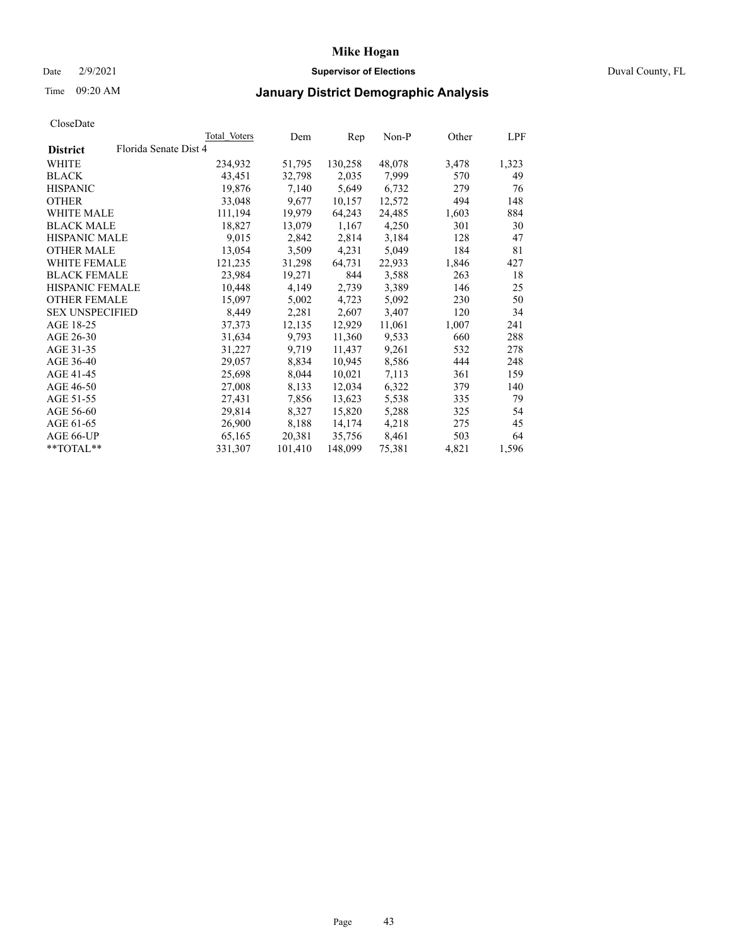### Date 2/9/2021 **Supervisor of Elections** Duval County, FL

# Time 09:20 AM **January District Demographic Analysis**

|                        | Total Voters          | Dem     | Rep     | Non-P  | Other | LPF   |
|------------------------|-----------------------|---------|---------|--------|-------|-------|
| <b>District</b>        | Florida Senate Dist 4 |         |         |        |       |       |
| WHITE                  | 234,932               | 51,795  | 130,258 | 48,078 | 3,478 | 1,323 |
| <b>BLACK</b>           | 43,451                | 32,798  | 2,035   | 7,999  | 570   | 49    |
| <b>HISPANIC</b>        | 19,876                | 7,140   | 5,649   | 6,732  | 279   | 76    |
| <b>OTHER</b>           | 33,048                | 9,677   | 10,157  | 12,572 | 494   | 148   |
| <b>WHITE MALE</b>      | 111,194               | 19,979  | 64,243  | 24,485 | 1,603 | 884   |
| <b>BLACK MALE</b>      | 18,827                | 13,079  | 1,167   | 4,250  | 301   | 30    |
| <b>HISPANIC MALE</b>   | 9,015                 | 2,842   | 2,814   | 3,184  | 128   | 47    |
| <b>OTHER MALE</b>      | 13,054                | 3,509   | 4,231   | 5,049  | 184   | 81    |
| <b>WHITE FEMALE</b>    | 121,235               | 31,298  | 64,731  | 22,933 | 1,846 | 427   |
| <b>BLACK FEMALE</b>    | 23,984                | 19,271  | 844     | 3,588  | 263   | 18    |
| <b>HISPANIC FEMALE</b> | 10,448                | 4,149   | 2,739   | 3,389  | 146   | 25    |
| <b>OTHER FEMALE</b>    | 15,097                | 5,002   | 4,723   | 5,092  | 230   | 50    |
| <b>SEX UNSPECIFIED</b> | 8,449                 | 2,281   | 2,607   | 3,407  | 120   | 34    |
| AGE 18-25              | 37,373                | 12,135  | 12,929  | 11,061 | 1,007 | 241   |
| AGE 26-30              | 31,634                | 9,793   | 11,360  | 9,533  | 660   | 288   |
| AGE 31-35              | 31,227                | 9,719   | 11,437  | 9,261  | 532   | 278   |
| AGE 36-40              | 29,057                | 8,834   | 10,945  | 8,586  | 444   | 248   |
| AGE 41-45              | 25,698                | 8,044   | 10,021  | 7,113  | 361   | 159   |
| AGE 46-50              | 27,008                | 8,133   | 12,034  | 6,322  | 379   | 140   |
| AGE 51-55              | 27,431                | 7,856   | 13,623  | 5,538  | 335   | 79    |
| AGE 56-60              | 29,814                | 8,327   | 15,820  | 5,288  | 325   | 54    |
| AGE 61-65              | 26,900                | 8,188   | 14,174  | 4,218  | 275   | 45    |
| AGE 66-UP              | 65,165                | 20,381  | 35,756  | 8,461  | 503   | 64    |
| $*$ TOTAL $*$          | 331,307               | 101,410 | 148,099 | 75,381 | 4,821 | 1,596 |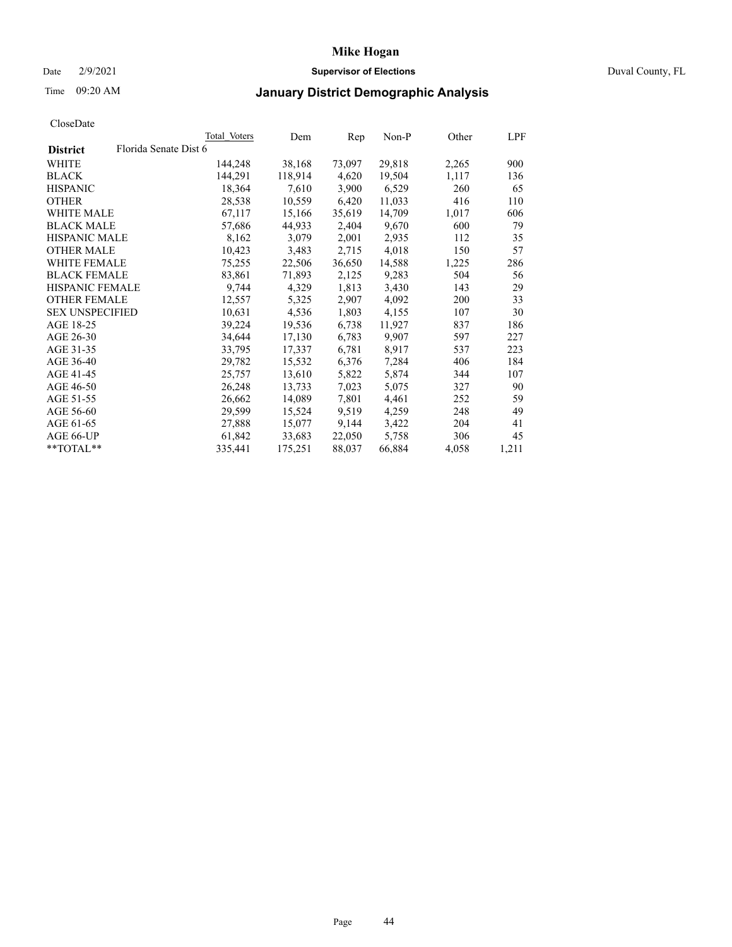### Date 2/9/2021 **Supervisor of Elections** Duval County, FL

# Time 09:20 AM **January District Demographic Analysis**

|                        |                       | Total Voters | Dem     | Rep    | Non-P  | Other | LPF   |
|------------------------|-----------------------|--------------|---------|--------|--------|-------|-------|
| <b>District</b>        | Florida Senate Dist 6 |              |         |        |        |       |       |
| WHITE                  |                       | 144,248      | 38,168  | 73,097 | 29,818 | 2,265 | 900   |
| <b>BLACK</b>           |                       | 144,291      | 118,914 | 4,620  | 19,504 | 1,117 | 136   |
| <b>HISPANIC</b>        |                       | 18,364       | 7,610   | 3,900  | 6,529  | 260   | 65    |
| <b>OTHER</b>           |                       | 28,538       | 10,559  | 6,420  | 11,033 | 416   | 110   |
| <b>WHITE MALE</b>      |                       | 67,117       | 15,166  | 35,619 | 14,709 | 1,017 | 606   |
| <b>BLACK MALE</b>      |                       | 57,686       | 44,933  | 2,404  | 9,670  | 600   | 79    |
| <b>HISPANIC MALE</b>   |                       | 8,162        | 3,079   | 2,001  | 2,935  | 112   | 35    |
| <b>OTHER MALE</b>      |                       | 10,423       | 3,483   | 2,715  | 4,018  | 150   | 57    |
| <b>WHITE FEMALE</b>    |                       | 75,255       | 22,506  | 36,650 | 14,588 | 1,225 | 286   |
| <b>BLACK FEMALE</b>    |                       | 83,861       | 71,893  | 2,125  | 9,283  | 504   | 56    |
| <b>HISPANIC FEMALE</b> |                       | 9,744        | 4,329   | 1,813  | 3,430  | 143   | 29    |
| <b>OTHER FEMALE</b>    |                       | 12,557       | 5,325   | 2,907  | 4,092  | 200   | 33    |
| <b>SEX UNSPECIFIED</b> |                       | 10,631       | 4,536   | 1,803  | 4,155  | 107   | 30    |
| AGE 18-25              |                       | 39,224       | 19,536  | 6,738  | 11,927 | 837   | 186   |
| AGE 26-30              |                       | 34,644       | 17,130  | 6,783  | 9,907  | 597   | 227   |
| AGE 31-35              |                       | 33,795       | 17,337  | 6,781  | 8,917  | 537   | 223   |
| AGE 36-40              |                       | 29,782       | 15,532  | 6,376  | 7,284  | 406   | 184   |
| AGE 41-45              |                       | 25,757       | 13,610  | 5,822  | 5,874  | 344   | 107   |
| AGE 46-50              |                       | 26,248       | 13,733  | 7,023  | 5,075  | 327   | 90    |
| AGE 51-55              |                       | 26,662       | 14,089  | 7,801  | 4,461  | 252   | 59    |
| AGE 56-60              |                       | 29,599       | 15,524  | 9,519  | 4,259  | 248   | 49    |
| AGE 61-65              |                       | 27,888       | 15,077  | 9,144  | 3,422  | 204   | 41    |
| AGE 66-UP              |                       | 61,842       | 33,683  | 22,050 | 5,758  | 306   | 45    |
| $*$ TOTAL $*$          |                       | 335,441      | 175,251 | 88,037 | 66,884 | 4,058 | 1,211 |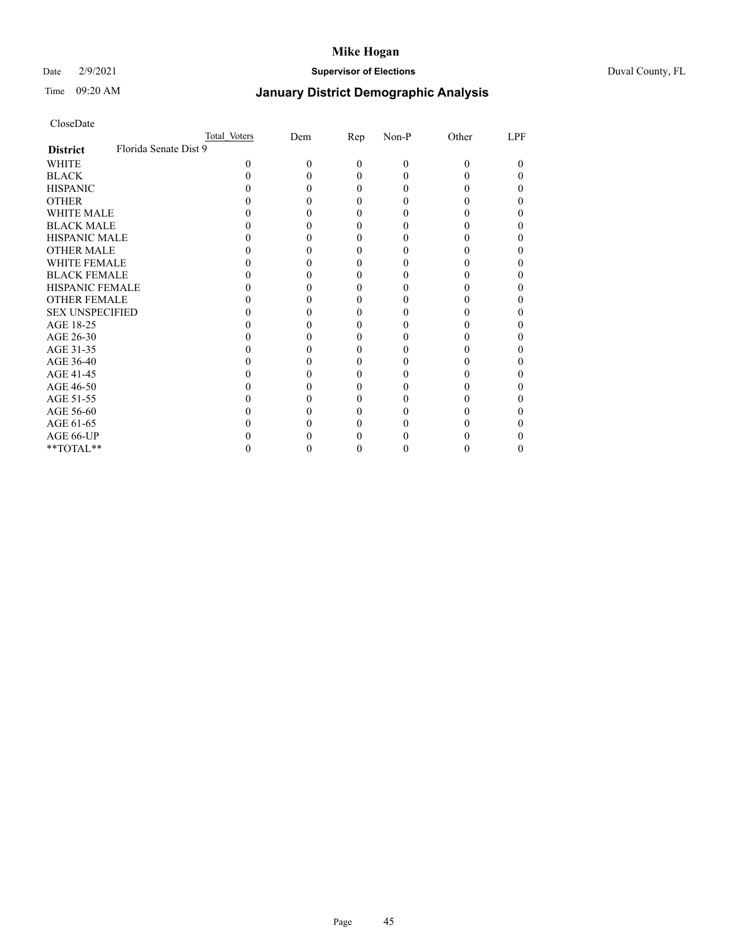### Date 2/9/2021 **Supervisor of Elections** Duval County, FL

# Time 09:20 AM **January District Demographic Analysis**

|                                          | Total Voters | Dem | Rep      | Non-P    | Other | LPF |
|------------------------------------------|--------------|-----|----------|----------|-------|-----|
| Florida Senate Dist 9<br><b>District</b> |              |     |          |          |       |     |
| <b>WHITE</b>                             | 0            | O   | $\theta$ | $\theta$ | 0     | 0   |
| <b>BLACK</b>                             |              |     | $_{0}$   |          |       |     |
| <b>HISPANIC</b>                          |              |     | 0        |          |       |     |
| <b>OTHER</b>                             |              |     |          |          |       |     |
| <b>WHITE MALE</b>                        |              |     |          |          |       |     |
| <b>BLACK MALE</b>                        |              |     |          |          |       |     |
| <b>HISPANIC MALE</b>                     |              |     |          |          |       |     |
| <b>OTHER MALE</b>                        |              |     |          |          |       |     |
| <b>WHITE FEMALE</b>                      |              |     |          |          |       |     |
| <b>BLACK FEMALE</b>                      |              |     | 0        |          |       |     |
| <b>HISPANIC FEMALE</b>                   |              |     |          |          |       |     |
| <b>OTHER FEMALE</b>                      |              |     |          |          |       |     |
| <b>SEX UNSPECIFIED</b>                   |              |     |          |          |       |     |
| AGE 18-25                                |              |     |          |          |       |     |
| AGE 26-30                                |              |     |          |          |       |     |
| AGE 31-35                                |              |     |          |          |       |     |
| AGE 36-40                                |              |     | 0        |          |       |     |
| AGE 41-45                                |              |     |          |          |       |     |
| AGE 46-50                                |              |     |          |          |       |     |
| AGE 51-55                                |              |     |          |          |       |     |
| AGE 56-60                                |              |     |          |          |       |     |
| AGE 61-65                                |              |     |          |          |       |     |
| AGE 66-UP                                |              |     |          |          |       |     |
| **TOTAL**                                |              |     |          |          |       | 0   |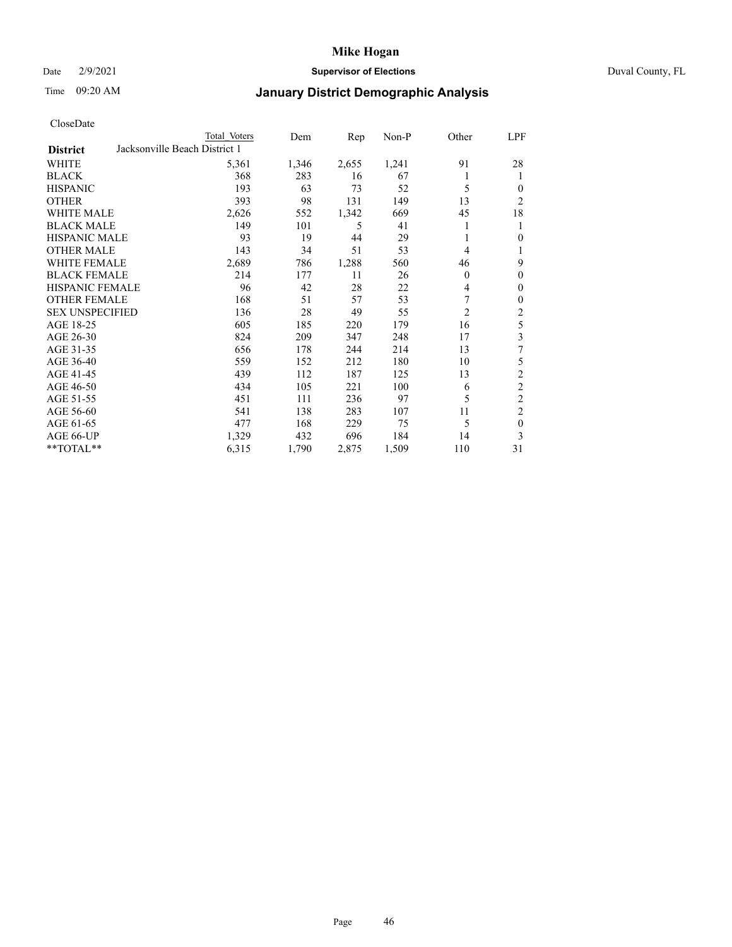### Date 2/9/2021 **Supervisor of Elections** Duval County, FL

## Time 09:20 AM **January District Demographic Analysis**

|                        |                               | Total Voters | Dem   | Rep   | Non-P | Other          | LPF            |
|------------------------|-------------------------------|--------------|-------|-------|-------|----------------|----------------|
| <b>District</b>        | Jacksonville Beach District 1 |              |       |       |       |                |                |
| WHITE                  |                               | 5,361        | 1,346 | 2,655 | 1,241 | 91             | 28             |
| <b>BLACK</b>           |                               | 368          | 283   | 16    | 67    |                | 1              |
| <b>HISPANIC</b>        |                               | 193          | 63    | 73    | 52    | 5              | 0              |
| <b>OTHER</b>           |                               | 393          | 98    | 131   | 149   | 13             | $\overline{2}$ |
| <b>WHITE MALE</b>      |                               | 2,626        | 552   | 1,342 | 669   | 45             | 18             |
| <b>BLACK MALE</b>      |                               | 149          | 101   | 5     | 41    |                | 1              |
| <b>HISPANIC MALE</b>   |                               | 93           | 19    | 44    | 29    |                | 0              |
| <b>OTHER MALE</b>      |                               | 143          | 34    | 51    | 53    | 4              | 1              |
| <b>WHITE FEMALE</b>    |                               | 2,689        | 786   | 1,288 | 560   | 46             | 9              |
| <b>BLACK FEMALE</b>    |                               | 214          | 177   | 11    | 26    | 0              | $\theta$       |
| <b>HISPANIC FEMALE</b> |                               | 96           | 42    | 28    | 22    | 4              | $\Omega$       |
| <b>OTHER FEMALE</b>    |                               | 168          | 51    | 57    | 53    | 7              | $\theta$       |
| <b>SEX UNSPECIFIED</b> |                               | 136          | 28    | 49    | 55    | $\overline{2}$ | $\overline{c}$ |
| AGE 18-25              |                               | 605          | 185   | 220   | 179   | 16             | 5              |
| AGE 26-30              |                               | 824          | 209   | 347   | 248   | 17             | 3              |
| AGE 31-35              |                               | 656          | 178   | 244   | 214   | 13             | 7              |
| AGE 36-40              |                               | 559          | 152   | 212   | 180   | 10             | 5              |
| AGE 41-45              |                               | 439          | 112   | 187   | 125   | 13             | 2              |
| AGE 46-50              |                               | 434          | 105   | 221   | 100   | 6              | $\overline{c}$ |
| AGE 51-55              |                               | 451          | 111   | 236   | 97    | 5              | $\overline{c}$ |
| AGE 56-60              |                               | 541          | 138   | 283   | 107   | 11             | $\overline{2}$ |
| AGE 61-65              |                               | 477          | 168   | 229   | 75    | 5              | $\theta$       |
| AGE 66-UP              |                               | 1,329        | 432   | 696   | 184   | 14             | 3              |
| **TOTAL**              |                               | 6,315        | 1,790 | 2,875 | 1,509 | 110            | 31             |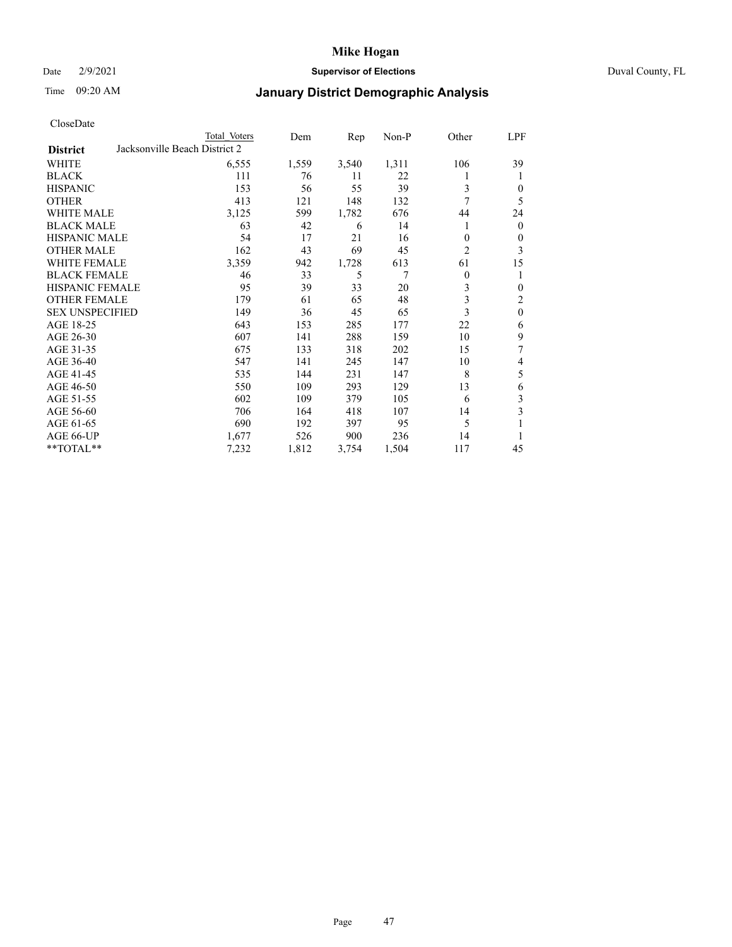### Date 2/9/2021 **Supervisor of Elections** Duval County, FL

# Time 09:20 AM **January District Demographic Analysis**

|                        | Total Voters                  | Dem   | Rep   | $Non-P$ | Other          | LPF            |
|------------------------|-------------------------------|-------|-------|---------|----------------|----------------|
| <b>District</b>        | Jacksonville Beach District 2 |       |       |         |                |                |
| WHITE                  | 6,555                         | 1,559 | 3,540 | 1,311   | 106            | 39             |
| <b>BLACK</b>           | 111                           | 76    | 11    | 22      | 1              | 1              |
| <b>HISPANIC</b>        | 153                           | 56    | 55    | 39      | 3              | $\mathbf{0}$   |
| <b>OTHER</b>           | 413                           | 121   | 148   | 132     | 7              | 5              |
| <b>WHITE MALE</b>      | 3,125                         | 599   | 1,782 | 676     | 44             | 24             |
| <b>BLACK MALE</b>      | 63                            | 42    | 6     | 14      | 1              | $\mathbf{0}$   |
| <b>HISPANIC MALE</b>   | 54                            | 17    | 21    | 16      | $\mathbf{0}$   | $\mathbf{0}$   |
| <b>OTHER MALE</b>      | 162                           | 43    | 69    | 45      | $\overline{2}$ | 3              |
| WHITE FEMALE           | 3,359                         | 942   | 1,728 | 613     | 61             | 15             |
| <b>BLACK FEMALE</b>    | 46                            | 33    | 5     | 7       | $\mathbf{0}$   | 1              |
| <b>HISPANIC FEMALE</b> | 95                            | 39    | 33    | 20      | 3              | $\mathbf{0}$   |
| <b>OTHER FEMALE</b>    | 179                           | 61    | 65    | 48      | 3              | $\overline{2}$ |
| <b>SEX UNSPECIFIED</b> | 149                           | 36    | 45    | 65      | 3              | $\mathbf{0}$   |
| AGE 18-25              | 643                           | 153   | 285   | 177     | 22             | 6              |
| AGE 26-30              | 607                           | 141   | 288   | 159     | 10             | 9              |
| AGE 31-35              | 675                           | 133   | 318   | 202     | 15             | 7              |
| AGE 36-40              | 547                           | 141   | 245   | 147     | 10             | 4              |
| AGE 41-45              | 535                           | 144   | 231   | 147     | 8              | 5              |
| AGE 46-50              | 550                           | 109   | 293   | 129     | 13             | 6              |
| AGE 51-55              | 602                           | 109   | 379   | 105     | 6              | 3              |
| AGE 56-60              | 706                           | 164   | 418   | 107     | 14             | 3              |
| AGE 61-65              | 690                           | 192   | 397   | 95      | 5              | 1              |
| AGE 66-UP              | 1,677                         | 526   | 900   | 236     | 14             | 1              |
| **TOTAL**              | 7,232                         | 1,812 | 3,754 | 1,504   | 117            | 45             |
|                        |                               |       |       |         |                |                |